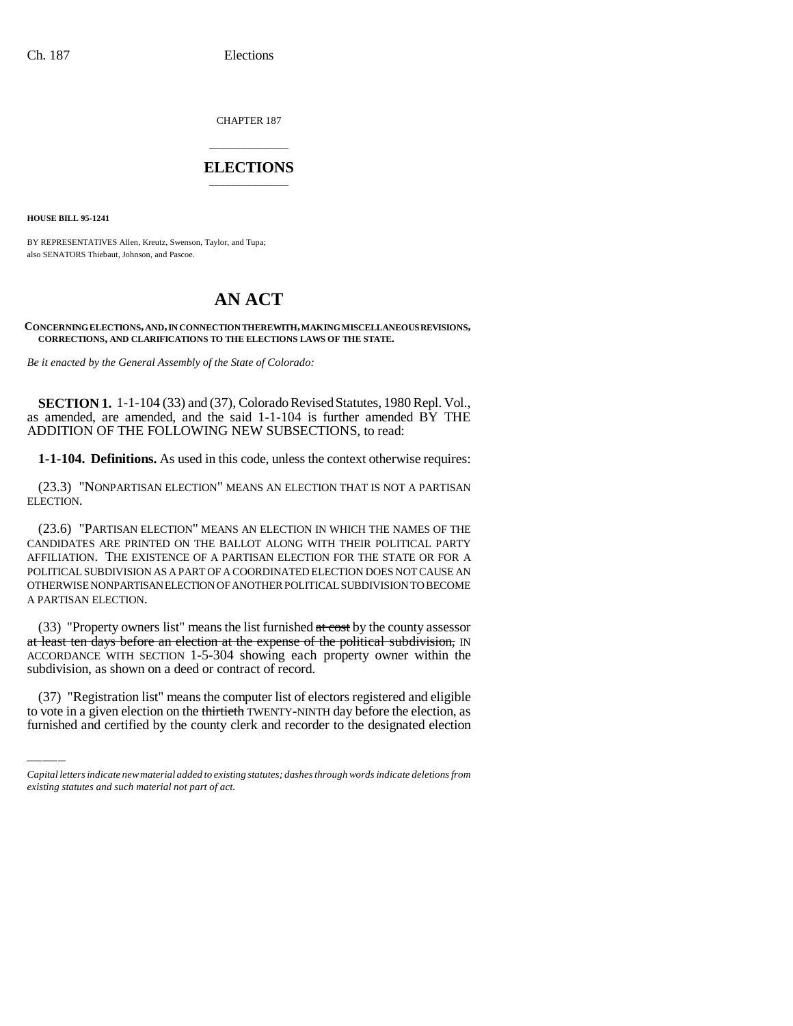CHAPTER 187

# \_\_\_\_\_\_\_\_\_\_\_\_\_\_\_ **ELECTIONS** \_\_\_\_\_\_\_\_\_\_\_\_\_\_\_

**HOUSE BILL 95-1241**

BY REPRESENTATIVES Allen, Kreutz, Swenson, Taylor, and Tupa; also SENATORS Thiebaut, Johnson, and Pascoe.

# **AN ACT**

#### **CONCERNING ELECTIONS, AND, IN CONNECTION THEREWITH, MAKING MISCELLANEOUS REVISIONS, CORRECTIONS, AND CLARIFICATIONS TO THE ELECTIONS LAWS OF THE STATE.**

*Be it enacted by the General Assembly of the State of Colorado:*

**SECTION 1.** 1-1-104 (33) and (37), Colorado Revised Statutes, 1980 Repl. Vol., as amended, are amended, and the said 1-1-104 is further amended BY THE ADDITION OF THE FOLLOWING NEW SUBSECTIONS, to read:

**1-1-104. Definitions.** As used in this code, unless the context otherwise requires:

(23.3) "NONPARTISAN ELECTION" MEANS AN ELECTION THAT IS NOT A PARTISAN ELECTION.

(23.6) "PARTISAN ELECTION" MEANS AN ELECTION IN WHICH THE NAMES OF THE CANDIDATES ARE PRINTED ON THE BALLOT ALONG WITH THEIR POLITICAL PARTY AFFILIATION. THE EXISTENCE OF A PARTISAN ELECTION FOR THE STATE OR FOR A POLITICAL SUBDIVISION AS A PART OF A COORDINATED ELECTION DOES NOT CAUSE AN OTHERWISE NONPARTISAN ELECTION OF ANOTHER POLITICAL SUBDIVISION TO BECOME A PARTISAN ELECTION.

subdivision, as shown on a deed or contract of record. (33) "Property owners list" means the list furnished at cost by the county assessor at least ten days before an election at the expense of the political subdivision, IN ACCORDANCE WITH SECTION 1-5-304 showing each property owner within the

(37) "Registration list" means the computer list of electors registered and eligible to vote in a given election on the thirtieth TWENTY-NINTH day before the election, as furnished and certified by the county clerk and recorder to the designated election

*Capital letters indicate new material added to existing statutes; dashes through words indicate deletions from existing statutes and such material not part of act.*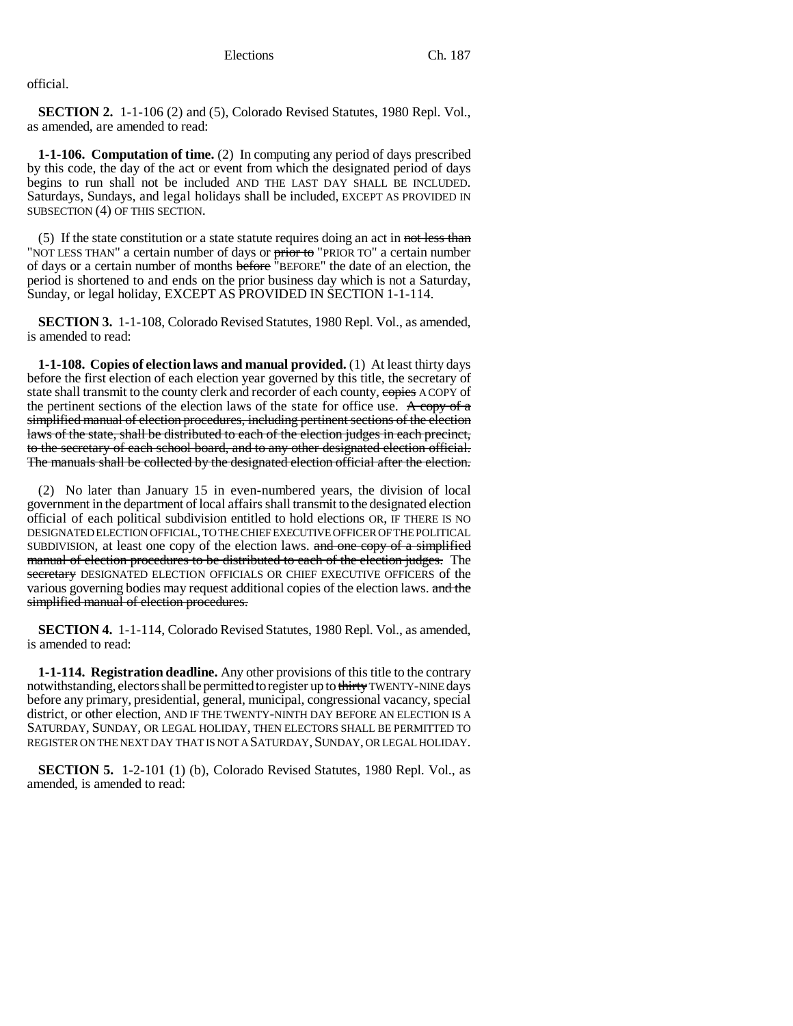official.

**SECTION 2.** 1-1-106 (2) and (5), Colorado Revised Statutes, 1980 Repl. Vol., as amended, are amended to read:

**1-1-106. Computation of time.** (2) In computing any period of days prescribed by this code, the day of the act or event from which the designated period of days begins to run shall not be included AND THE LAST DAY SHALL BE INCLUDED. Saturdays, Sundays, and legal holidays shall be included, EXCEPT AS PROVIDED IN SUBSECTION (4) OF THIS SECTION.

(5) If the state constitution or a state statute requires doing an act in not less than "NOT LESS THAN" a certain number of days or prior to "PRIOR TO" a certain number of days or a certain number of months before "BEFORE" the date of an election, the period is shortened to and ends on the prior business day which is not a Saturday, Sunday, or legal holiday, EXCEPT AS PROVIDED IN SECTION 1-1-114.

**SECTION 3.** 1-1-108, Colorado Revised Statutes, 1980 Repl. Vol., as amended, is amended to read:

**1-1-108. Copies of election laws and manual provided.** (1) At least thirty days before the first election of each election year governed by this title, the secretary of state shall transmit to the county clerk and recorder of each county, copies A COPY of the pertinent sections of the election laws of the state for office use. A copy of a simplified manual of election procedures, including pertinent sections of the election laws of the state, shall be distributed to each of the election judges in each precinct, to the secretary of each school board, and to any other designated election official. The manuals shall be collected by the designated election official after the election.

(2) No later than January 15 in even-numbered years, the division of local government in the department of local affairs shall transmit to the designated election official of each political subdivision entitled to hold elections OR, IF THERE IS NO DESIGNATED ELECTION OFFICIAL, TO THE CHIEF EXECUTIVE OFFICER OF THE POLITICAL SUBDIVISION, at least one copy of the election laws. and one copy of a simplified manual of election procedures to be distributed to each of the election judges. The secretary DESIGNATED ELECTION OFFICIALS OR CHIEF EXECUTIVE OFFICERS of the various governing bodies may request additional copies of the election laws. and the simplified manual of election procedures.

**SECTION 4.** 1-1-114, Colorado Revised Statutes, 1980 Repl. Vol., as amended, is amended to read:

**1-1-114. Registration deadline.** Any other provisions of this title to the contrary notwithstanding, electors shall be permitted to register up to thirty TWENTY-NINE days before any primary, presidential, general, municipal, congressional vacancy, special district, or other election, AND IF THE TWENTY-NINTH DAY BEFORE AN ELECTION IS A SATURDAY, SUNDAY, OR LEGAL HOLIDAY, THEN ELECTORS SHALL BE PERMITTED TO REGISTER ON THE NEXT DAY THAT IS NOT A SATURDAY, SUNDAY, OR LEGAL HOLIDAY.

**SECTION 5.** 1-2-101 (1) (b), Colorado Revised Statutes, 1980 Repl. Vol., as amended, is amended to read: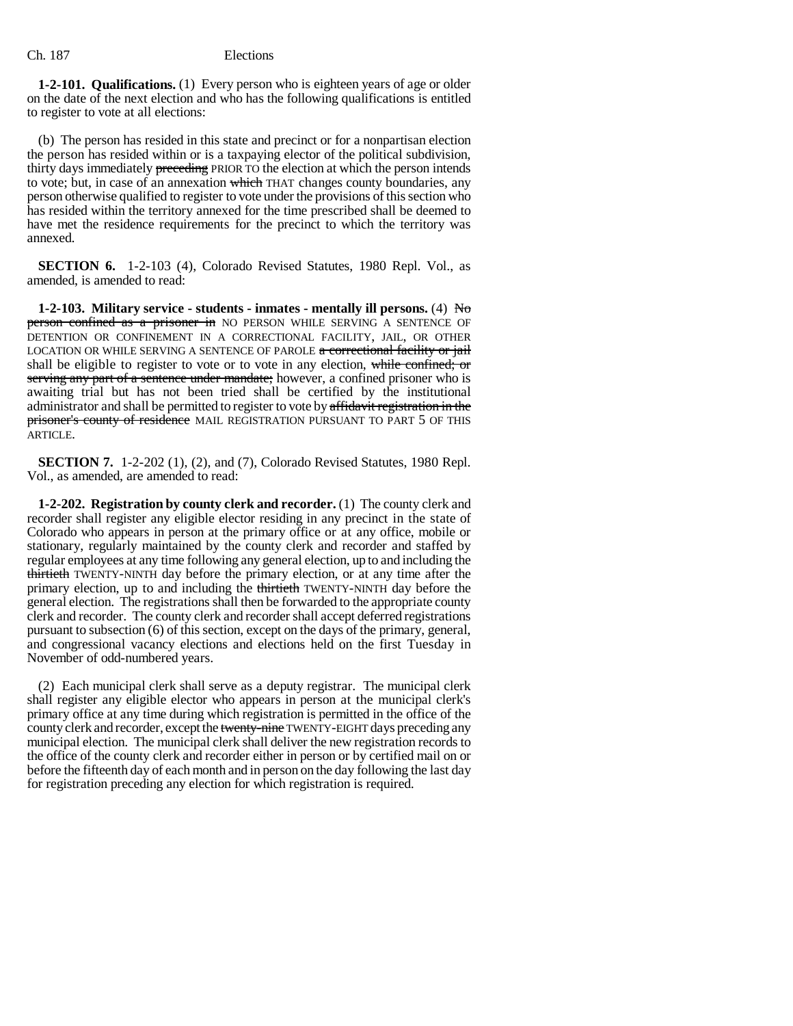**1-2-101. Qualifications.** (1) Every person who is eighteen years of age or older on the date of the next election and who has the following qualifications is entitled to register to vote at all elections:

(b) The person has resided in this state and precinct or for a nonpartisan election the person has resided within or is a taxpaying elector of the political subdivision, thirty days immediately **preceding** PRIOR TO the election at which the person intends to vote; but, in case of an annexation which THAT changes county boundaries, any person otherwise qualified to register to vote under the provisions of this section who has resided within the territory annexed for the time prescribed shall be deemed to have met the residence requirements for the precinct to which the territory was annexed.

**SECTION 6.** 1-2-103 (4), Colorado Revised Statutes, 1980 Repl. Vol., as amended, is amended to read:

**1-2-103. Military service - students - inmates - mentally ill persons.** (4) No person confined as a prisoner in NO PERSON WHILE SERVING A SENTENCE OF DETENTION OR CONFINEMENT IN A CORRECTIONAL FACILITY, JAIL, OR OTHER LOCATION OR WHILE SERVING A SENTENCE OF PAROLE a correctional facility or jail shall be eligible to register to vote or to vote in any election, while confined; or serving any part of a sentence under mandate; however, a confined prisoner who is awaiting trial but has not been tried shall be certified by the institutional administrator and shall be permitted to register to vote by affidavit registration in the prisoner's county of residence MAIL REGISTRATION PURSUANT TO PART 5 OF THIS ARTICLE.

**SECTION 7.** 1-2-202 (1), (2), and (7), Colorado Revised Statutes, 1980 Repl. Vol., as amended, are amended to read:

**1-2-202. Registration by county clerk and recorder.** (1) The county clerk and recorder shall register any eligible elector residing in any precinct in the state of Colorado who appears in person at the primary office or at any office, mobile or stationary, regularly maintained by the county clerk and recorder and staffed by regular employees at any time following any general election, up to and including the thirtieth TWENTY-NINTH day before the primary election, or at any time after the primary election, up to and including the thirtieth TWENTY-NINTH day before the general election. The registrations shall then be forwarded to the appropriate county clerk and recorder. The county clerk and recorder shall accept deferred registrations pursuant to subsection (6) of this section, except on the days of the primary, general, and congressional vacancy elections and elections held on the first Tuesday in November of odd-numbered years.

(2) Each municipal clerk shall serve as a deputy registrar. The municipal clerk shall register any eligible elector who appears in person at the municipal clerk's primary office at any time during which registration is permitted in the office of the county clerk and recorder, except the twenty-nine TWENTY-EIGHT days preceding any municipal election. The municipal clerk shall deliver the new registration records to the office of the county clerk and recorder either in person or by certified mail on or before the fifteenth day of each month and in person on the day following the last day for registration preceding any election for which registration is required.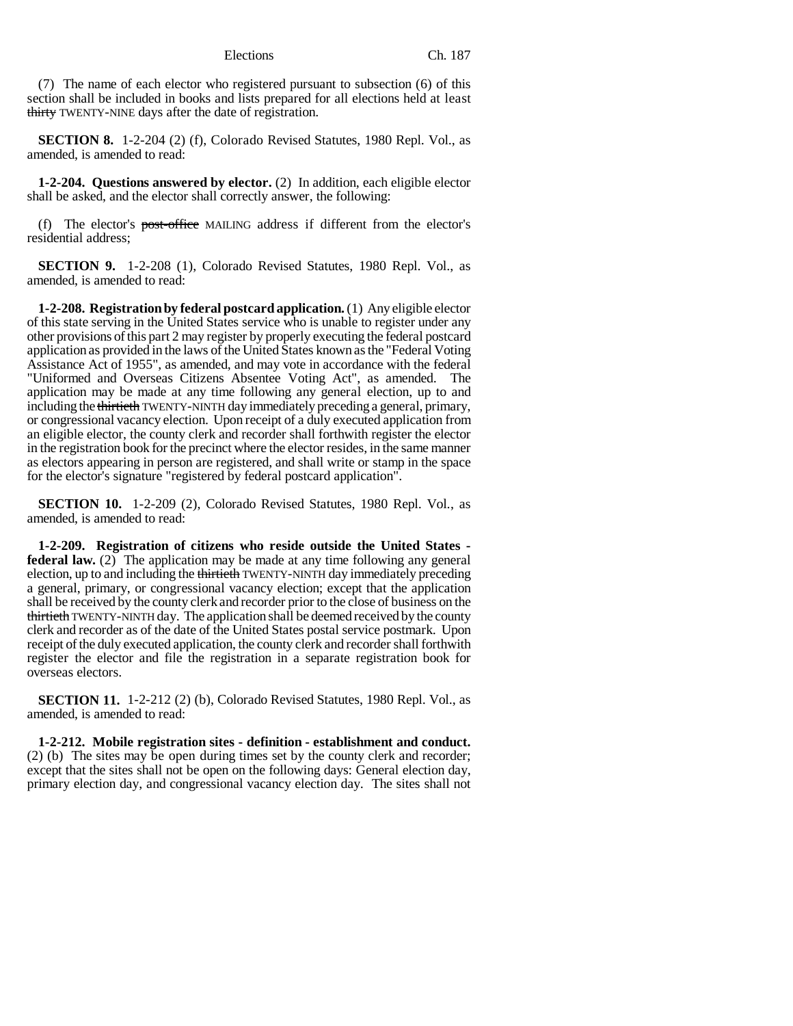(7) The name of each elector who registered pursuant to subsection (6) of this section shall be included in books and lists prepared for all elections held at least thirty TWENTY-NINE days after the date of registration.

**SECTION 8.** 1-2-204 (2) (f), Colorado Revised Statutes, 1980 Repl. Vol., as amended, is amended to read:

**1-2-204. Questions answered by elector.** (2) In addition, each eligible elector shall be asked, and the elector shall correctly answer, the following:

(f) The elector's post-office MAILING address if different from the elector's residential address;

**SECTION 9.** 1-2-208 (1), Colorado Revised Statutes, 1980 Repl. Vol., as amended, is amended to read:

**1-2-208. Registration by federal postcard application.** (1) Any eligible elector of this state serving in the United States service who is unable to register under any other provisions of this part 2 may register by properly executing the federal postcard application as provided in the laws of the United States known as the "Federal Voting Assistance Act of 1955", as amended, and may vote in accordance with the federal "Uniformed and Overseas Citizens Absentee Voting Act", as amended. The application may be made at any time following any general election, up to and including the thirtieth TWENTY-NINTH day immediately preceding a general, primary, or congressional vacancy election. Upon receipt of a duly executed application from an eligible elector, the county clerk and recorder shall forthwith register the elector in the registration book for the precinct where the elector resides, in the same manner as electors appearing in person are registered, and shall write or stamp in the space for the elector's signature "registered by federal postcard application".

**SECTION 10.** 1-2-209 (2), Colorado Revised Statutes, 1980 Repl. Vol., as amended, is amended to read:

**1-2-209. Registration of citizens who reside outside the United States federal law.** (2) The application may be made at any time following any general election, up to and including the thirtieth TWENTY-NINTH day immediately preceding a general, primary, or congressional vacancy election; except that the application shall be received by the county clerk and recorder prior to the close of business on the thirtieth TWENTY-NINTH day. The application shall be deemed received by the county clerk and recorder as of the date of the United States postal service postmark. Upon receipt of the duly executed application, the county clerk and recorder shall forthwith register the elector and file the registration in a separate registration book for overseas electors.

**SECTION 11.** 1-2-212 (2) (b), Colorado Revised Statutes, 1980 Repl. Vol., as amended, is amended to read:

**1-2-212. Mobile registration sites - definition - establishment and conduct.** (2) (b) The sites may be open during times set by the county clerk and recorder; except that the sites shall not be open on the following days: General election day, primary election day, and congressional vacancy election day. The sites shall not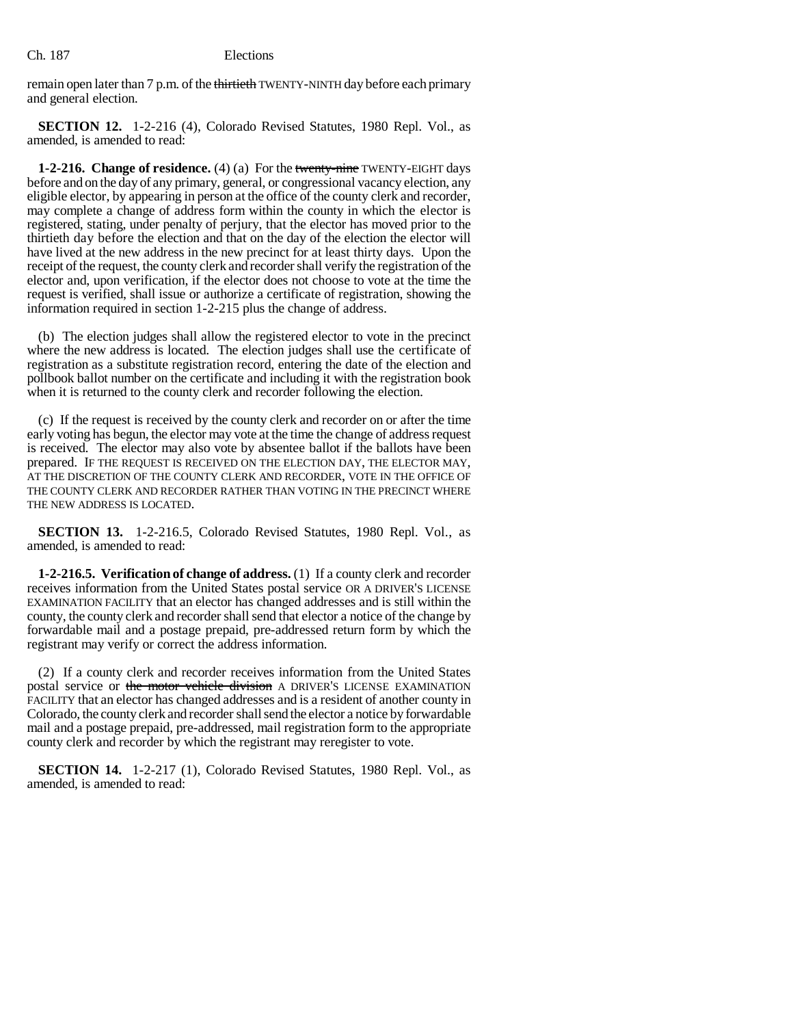remain open later than 7 p.m. of the thirtieth TWENTY-NINTH day before each primary and general election.

**SECTION 12.** 1-2-216 (4), Colorado Revised Statutes, 1980 Repl. Vol., as amended, is amended to read:

**1-2-216. Change of residence.** (4) (a) For the twenty-nine TWENTY-EIGHT days before and on the day of any primary, general, or congressional vacancy election, any eligible elector, by appearing in person at the office of the county clerk and recorder, may complete a change of address form within the county in which the elector is registered, stating, under penalty of perjury, that the elector has moved prior to the thirtieth day before the election and that on the day of the election the elector will have lived at the new address in the new precinct for at least thirty days. Upon the receipt of the request, the county clerk and recorder shall verify the registration of the elector and, upon verification, if the elector does not choose to vote at the time the request is verified, shall issue or authorize a certificate of registration, showing the information required in section 1-2-215 plus the change of address.

(b) The election judges shall allow the registered elector to vote in the precinct where the new address is located. The election judges shall use the certificate of registration as a substitute registration record, entering the date of the election and pollbook ballot number on the certificate and including it with the registration book when it is returned to the county clerk and recorder following the election.

(c) If the request is received by the county clerk and recorder on or after the time early voting has begun, the elector may vote at the time the change of address request is received. The elector may also vote by absentee ballot if the ballots have been prepared. IF THE REQUEST IS RECEIVED ON THE ELECTION DAY, THE ELECTOR MAY, AT THE DISCRETION OF THE COUNTY CLERK AND RECORDER, VOTE IN THE OFFICE OF THE COUNTY CLERK AND RECORDER RATHER THAN VOTING IN THE PRECINCT WHERE THE NEW ADDRESS IS LOCATED.

**SECTION 13.** 1-2-216.5, Colorado Revised Statutes, 1980 Repl. Vol., as amended, is amended to read:

**1-2-216.5. Verification of change of address.** (1) If a county clerk and recorder receives information from the United States postal service OR A DRIVER'S LICENSE EXAMINATION FACILITY that an elector has changed addresses and is still within the county, the county clerk and recorder shall send that elector a notice of the change by forwardable mail and a postage prepaid, pre-addressed return form by which the registrant may verify or correct the address information.

(2) If a county clerk and recorder receives information from the United States postal service or the motor vehicle division A DRIVER'S LICENSE EXAMINATION FACILITY that an elector has changed addresses and is a resident of another county in Colorado, the county clerk and recorder shall send the elector a notice by forwardable mail and a postage prepaid, pre-addressed, mail registration form to the appropriate county clerk and recorder by which the registrant may reregister to vote.

**SECTION 14.** 1-2-217 (1), Colorado Revised Statutes, 1980 Repl. Vol., as amended, is amended to read: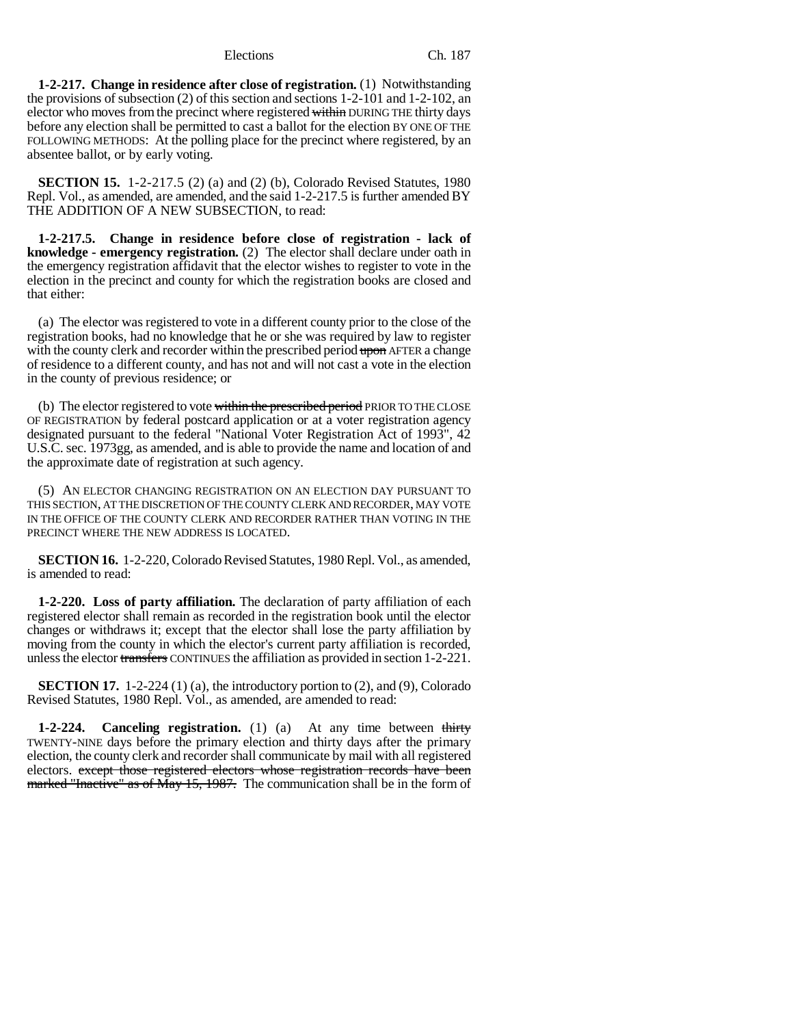**1-2-217. Change in residence after close of registration.** (1) Notwithstanding the provisions of subsection (2) of this section and sections 1-2-101 and 1-2-102, an elector who moves from the precinct where registered within DURING THE thirty days before any election shall be permitted to cast a ballot for the election BY ONE OF THE FOLLOWING METHODS: At the polling place for the precinct where registered, by an absentee ballot, or by early voting.

**SECTION 15.** 1-2-217.5 (2) (a) and (2) (b), Colorado Revised Statutes, 1980 Repl. Vol., as amended, are amended, and the said 1-2-217.5 is further amended BY THE ADDITION OF A NEW SUBSECTION, to read:

**1-2-217.5. Change in residence before close of registration - lack of knowledge - emergency registration.** (2) The elector shall declare under oath in the emergency registration affidavit that the elector wishes to register to vote in the election in the precinct and county for which the registration books are closed and that either:

(a) The elector was registered to vote in a different county prior to the close of the registration books, had no knowledge that he or she was required by law to register with the county clerk and recorder within the prescribed period upon AFTER a change of residence to a different county, and has not and will not cast a vote in the election in the county of previous residence; or

(b) The elector registered to vote within the prescribed period PRIOR TO THE CLOSE OF REGISTRATION by federal postcard application or at a voter registration agency designated pursuant to the federal "National Voter Registration Act of 1993", 42 U.S.C. sec. 1973gg, as amended, and is able to provide the name and location of and the approximate date of registration at such agency.

(5) AN ELECTOR CHANGING REGISTRATION ON AN ELECTION DAY PURSUANT TO THIS SECTION, AT THE DISCRETION OF THE COUNTY CLERK AND RECORDER, MAY VOTE IN THE OFFICE OF THE COUNTY CLERK AND RECORDER RATHER THAN VOTING IN THE PRECINCT WHERE THE NEW ADDRESS IS LOCATED.

**SECTION 16.** 1-2-220, Colorado Revised Statutes, 1980 Repl. Vol., as amended, is amended to read:

**1-2-220. Loss of party affiliation.** The declaration of party affiliation of each registered elector shall remain as recorded in the registration book until the elector changes or withdraws it; except that the elector shall lose the party affiliation by moving from the county in which the elector's current party affiliation is recorded, unless the elector transfers CONTINUES the affiliation as provided in section 1-2-221.

**SECTION 17.** 1-2-224 (1) (a), the introductory portion to (2), and (9), Colorado Revised Statutes, 1980 Repl. Vol., as amended, are amended to read:

**1-2-224. Canceling registration.** (1) (a) At any time between thirty TWENTY-NINE days before the primary election and thirty days after the primary election, the county clerk and recorder shall communicate by mail with all registered electors. except those registered electors whose registration records have been marked "Inactive" as of May 15, 1987. The communication shall be in the form of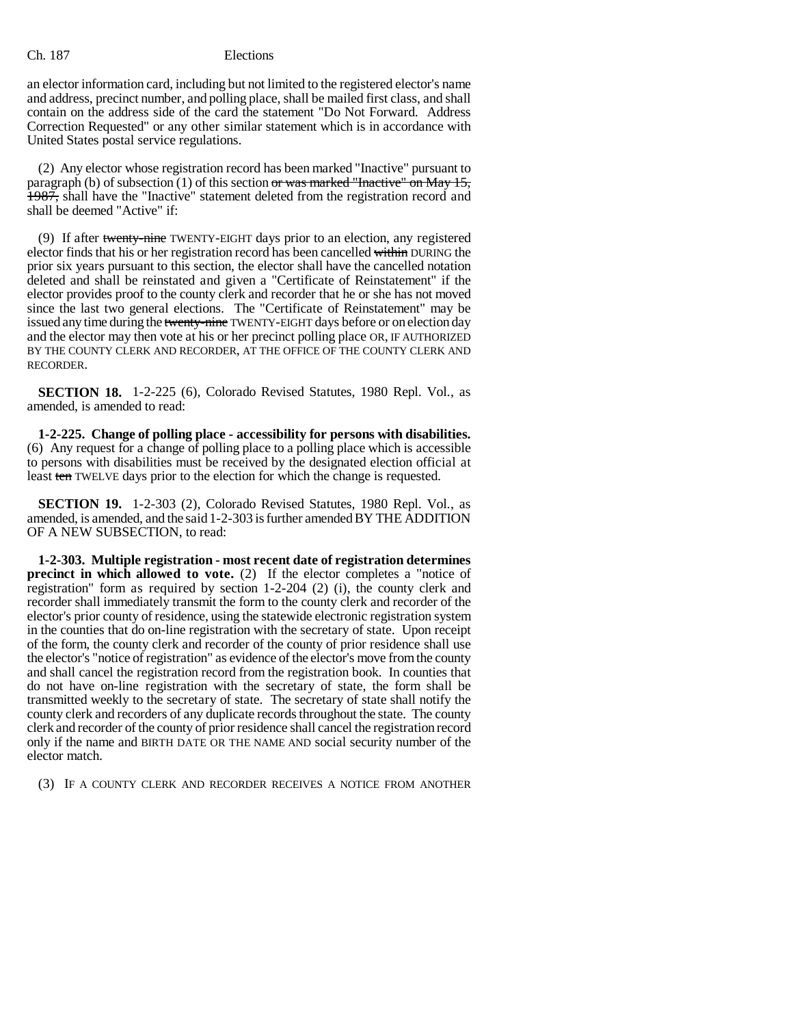an elector information card, including but not limited to the registered elector's name and address, precinct number, and polling place, shall be mailed first class, and shall contain on the address side of the card the statement "Do Not Forward. Address Correction Requested" or any other similar statement which is in accordance with United States postal service regulations.

(2) Any elector whose registration record has been marked "Inactive" pursuant to paragraph (b) of subsection (1) of this section or was marked "Inactive" on May 15, 1987, shall have the "Inactive" statement deleted from the registration record and shall be deemed "Active" if:

(9) If after twenty-nine TWENTY-EIGHT days prior to an election, any registered elector finds that his or her registration record has been cancelled within DURING the prior six years pursuant to this section, the elector shall have the cancelled notation deleted and shall be reinstated and given a "Certificate of Reinstatement" if the elector provides proof to the county clerk and recorder that he or she has not moved since the last two general elections. The "Certificate of Reinstatement" may be issued any time during the twenty-nine TWENTY-EIGHT days before or on election day and the elector may then vote at his or her precinct polling place OR, IF AUTHORIZED BY THE COUNTY CLERK AND RECORDER, AT THE OFFICE OF THE COUNTY CLERK AND RECORDER.

**SECTION 18.** 1-2-225 (6), Colorado Revised Statutes, 1980 Repl. Vol., as amended, is amended to read:

**1-2-225. Change of polling place - accessibility for persons with disabilities.** (6) Any request for a change of polling place to a polling place which is accessible to persons with disabilities must be received by the designated election official at least ten TWELVE days prior to the election for which the change is requested.

**SECTION 19.** 1-2-303 (2), Colorado Revised Statutes, 1980 Repl. Vol., as amended, is amended, and the said 1-2-303 is further amended BY THE ADDITION OF A NEW SUBSECTION, to read:

**1-2-303. Multiple registration - most recent date of registration determines precinct in which allowed to vote.** (2) If the elector completes a "notice of registration" form as required by section 1-2-204 (2) (i), the county clerk and recorder shall immediately transmit the form to the county clerk and recorder of the elector's prior county of residence, using the statewide electronic registration system in the counties that do on-line registration with the secretary of state. Upon receipt of the form, the county clerk and recorder of the county of prior residence shall use the elector's "notice of registration" as evidence of the elector's move from the county and shall cancel the registration record from the registration book. In counties that do not have on-line registration with the secretary of state, the form shall be transmitted weekly to the secretary of state. The secretary of state shall notify the county clerk and recorders of any duplicate records throughout the state. The county clerk and recorder of the county of prior residence shall cancel the registration record only if the name and BIRTH DATE OR THE NAME AND social security number of the elector match.

(3) IF A COUNTY CLERK AND RECORDER RECEIVES A NOTICE FROM ANOTHER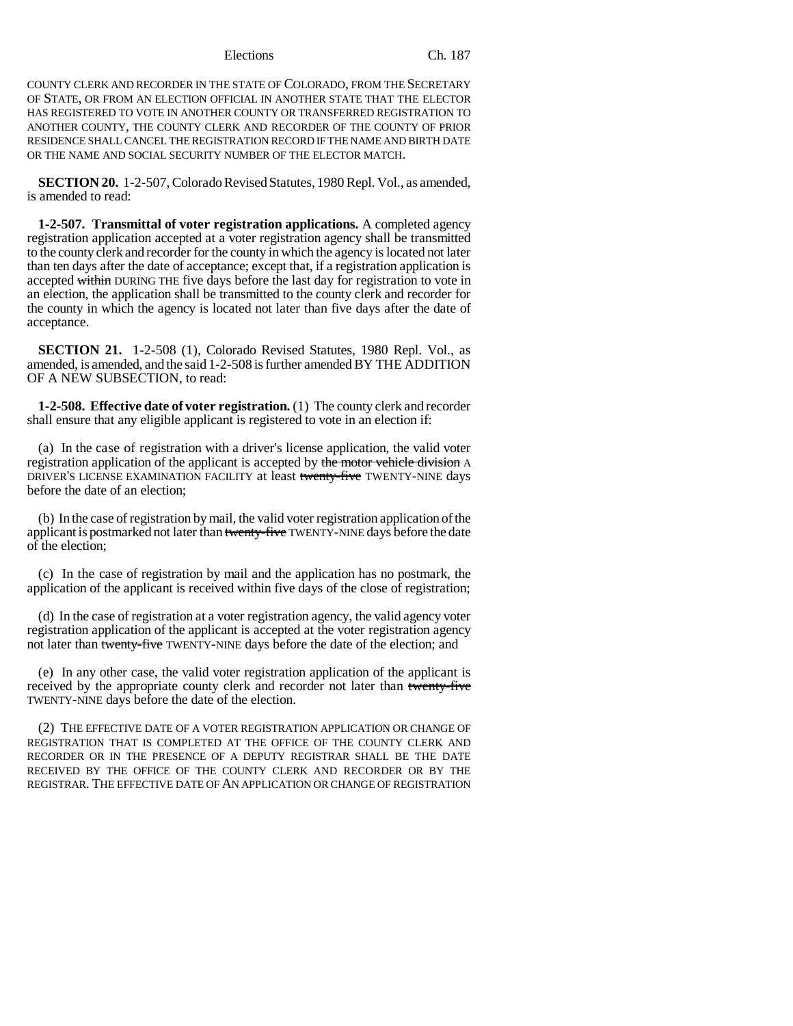COUNTY CLERK AND RECORDER IN THE STATE OF COLORADO, FROM THE SECRETARY OF STATE, OR FROM AN ELECTION OFFICIAL IN ANOTHER STATE THAT THE ELECTOR HAS REGISTERED TO VOTE IN ANOTHER COUNTY OR TRANSFERRED REGISTRATION TO ANOTHER COUNTY, THE COUNTY CLERK AND RECORDER OF THE COUNTY OF PRIOR RESIDENCE SHALL CANCEL THE REGISTRATION RECORD IF THE NAME AND BIRTH DATE OR THE NAME AND SOCIAL SECURITY NUMBER OF THE ELECTOR MATCH.

**SECTION 20.** 1-2-507, Colorado Revised Statutes, 1980 Repl. Vol., as amended, is amended to read:

**1-2-507. Transmittal of voter registration applications.** A completed agency registration application accepted at a voter registration agency shall be transmitted to the county clerk and recorder for the county in which the agency is located not later than ten days after the date of acceptance; except that, if a registration application is accepted within DURING THE five days before the last day for registration to vote in an election, the application shall be transmitted to the county clerk and recorder for the county in which the agency is located not later than five days after the date of acceptance.

**SECTION 21.** 1-2-508 (1), Colorado Revised Statutes, 1980 Repl. Vol., as amended, is amended, and the said 1-2-508 is further amended BY THE ADDITION OF A NEW SUBSECTION, to read:

**1-2-508. Effective date of voter registration.** (1) The county clerk and recorder shall ensure that any eligible applicant is registered to vote in an election if:

(a) In the case of registration with a driver's license application, the valid voter registration application of the applicant is accepted by the motor vehicle division A DRIVER'S LICENSE EXAMINATION FACILITY at least twenty-five TWENTY-NINE days before the date of an election;

(b) In the case of registration by mail, the valid voter registration application of the applicant is postmarked not later than twenty-five TWENTY-NINE days before the date of the election;

(c) In the case of registration by mail and the application has no postmark, the application of the applicant is received within five days of the close of registration;

(d) In the case of registration at a voter registration agency, the valid agency voter registration application of the applicant is accepted at the voter registration agency not later than twenty-five TWENTY-NINE days before the date of the election; and

(e) In any other case, the valid voter registration application of the applicant is received by the appropriate county clerk and recorder not later than twenty-five TWENTY-NINE days before the date of the election.

(2) THE EFFECTIVE DATE OF A VOTER REGISTRATION APPLICATION OR CHANGE OF REGISTRATION THAT IS COMPLETED AT THE OFFICE OF THE COUNTY CLERK AND RECORDER OR IN THE PRESENCE OF A DEPUTY REGISTRAR SHALL BE THE DATE RECEIVED BY THE OFFICE OF THE COUNTY CLERK AND RECORDER OR BY THE REGISTRAR. THE EFFECTIVE DATE OF AN APPLICATION OR CHANGE OF REGISTRATION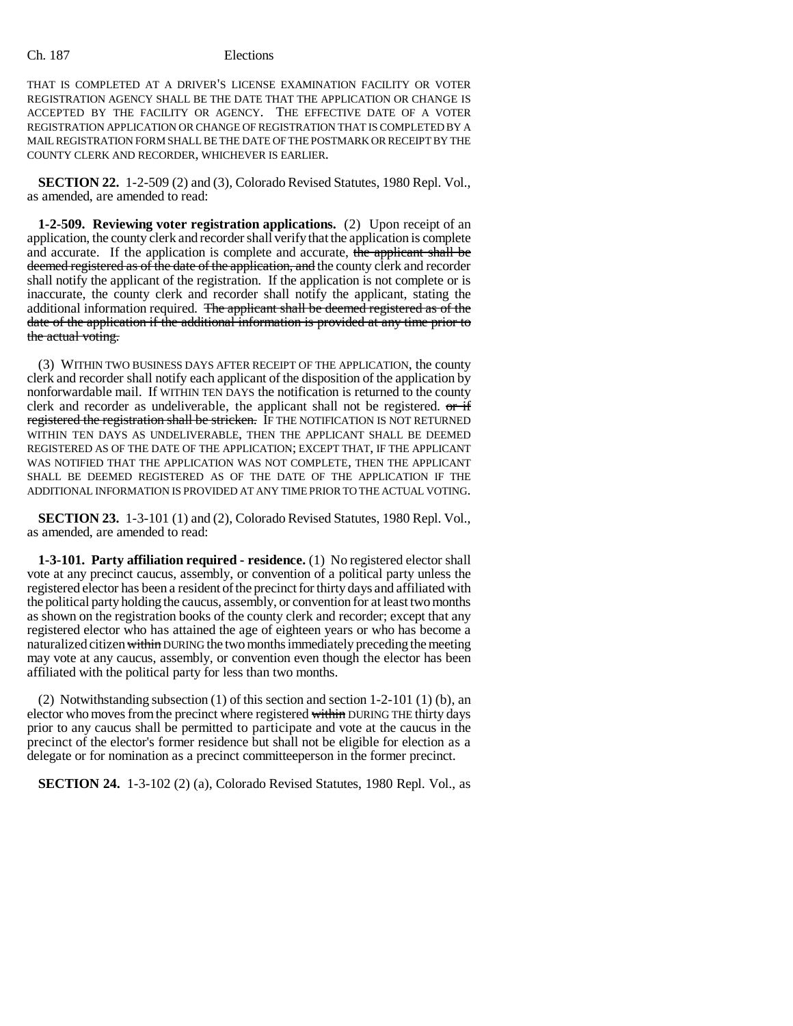THAT IS COMPLETED AT A DRIVER'S LICENSE EXAMINATION FACILITY OR VOTER REGISTRATION AGENCY SHALL BE THE DATE THAT THE APPLICATION OR CHANGE IS ACCEPTED BY THE FACILITY OR AGENCY. THE EFFECTIVE DATE OF A VOTER REGISTRATION APPLICATION OR CHANGE OF REGISTRATION THAT IS COMPLETED BY A MAIL REGISTRATION FORM SHALL BE THE DATE OF THE POSTMARK OR RECEIPT BY THE COUNTY CLERK AND RECORDER, WHICHEVER IS EARLIER.

**SECTION 22.** 1-2-509 (2) and (3), Colorado Revised Statutes, 1980 Repl. Vol., as amended, are amended to read:

**1-2-509. Reviewing voter registration applications.** (2) Upon receipt of an application, the county clerk and recorder shall verify that the application is complete and accurate. If the application is complete and accurate, the applicant shall be deemed registered as of the date of the application, and the county clerk and recorder shall notify the applicant of the registration. If the application is not complete or is inaccurate, the county clerk and recorder shall notify the applicant, stating the additional information required. The applicant shall be deemed registered as of the date of the application if the additional information is provided at any time prior to the actual voting.

(3) WITHIN TWO BUSINESS DAYS AFTER RECEIPT OF THE APPLICATION, the county clerk and recorder shall notify each applicant of the disposition of the application by nonforwardable mail. If WITHIN TEN DAYS the notification is returned to the county clerk and recorder as undeliverable, the applicant shall not be registered.  $\sigma$  if registered the registration shall be stricken. IF THE NOTIFICATION IS NOT RETURNED WITHIN TEN DAYS AS UNDELIVERABLE, THEN THE APPLICANT SHALL BE DEEMED REGISTERED AS OF THE DATE OF THE APPLICATION; EXCEPT THAT, IF THE APPLICANT WAS NOTIFIED THAT THE APPLICATION WAS NOT COMPLETE, THEN THE APPLICANT SHALL BE DEEMED REGISTERED AS OF THE DATE OF THE APPLICATION IF THE ADDITIONAL INFORMATION IS PROVIDED AT ANY TIME PRIOR TO THE ACTUAL VOTING.

**SECTION 23.** 1-3-101 (1) and (2), Colorado Revised Statutes, 1980 Repl. Vol., as amended, are amended to read:

**1-3-101. Party affiliation required - residence.** (1) No registered elector shall vote at any precinct caucus, assembly, or convention of a political party unless the registered elector has been a resident of the precinct for thirty days and affiliated with the political party holding the caucus, assembly, or convention for at least two months as shown on the registration books of the county clerk and recorder; except that any registered elector who has attained the age of eighteen years or who has become a naturalized citizen within DURING the two months immediately preceding the meeting may vote at any caucus, assembly, or convention even though the elector has been affiliated with the political party for less than two months.

(2) Notwithstanding subsection (1) of this section and section 1-2-101 (1) (b), an elector who moves from the precinct where registered within DURING THE thirty days prior to any caucus shall be permitted to participate and vote at the caucus in the precinct of the elector's former residence but shall not be eligible for election as a delegate or for nomination as a precinct committeeperson in the former precinct.

**SECTION 24.** 1-3-102 (2) (a), Colorado Revised Statutes, 1980 Repl. Vol., as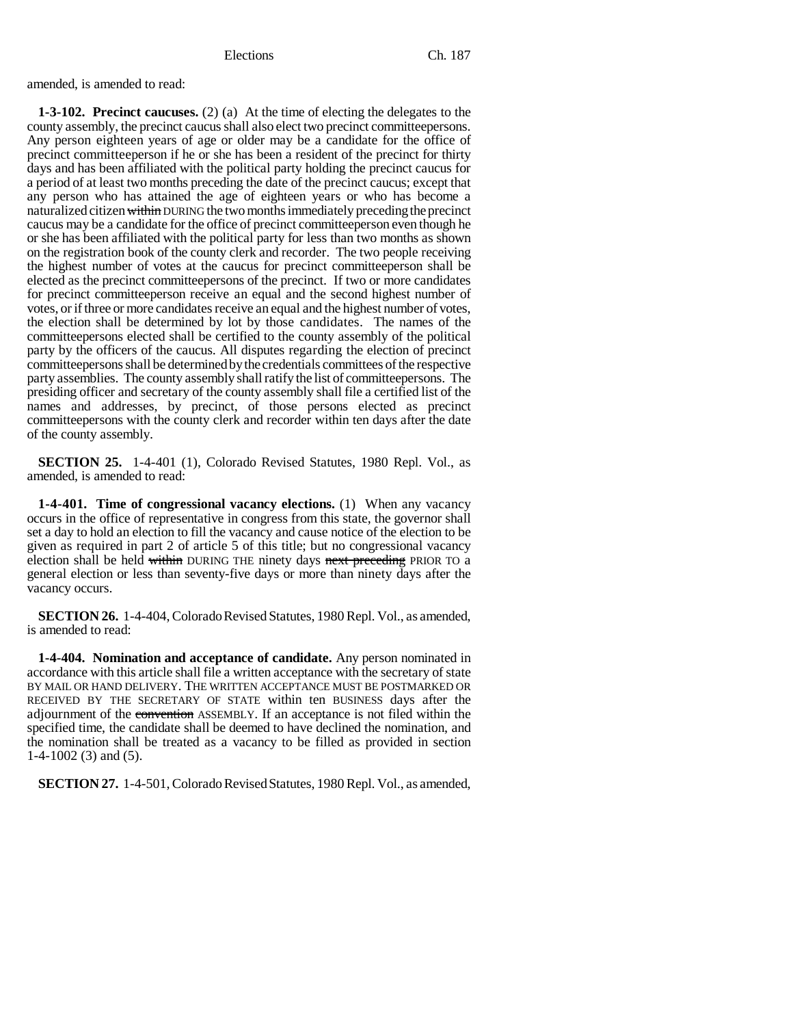amended, is amended to read:

**1-3-102. Precinct caucuses.** (2) (a) At the time of electing the delegates to the county assembly, the precinct caucus shall also elect two precinct committeepersons. Any person eighteen years of age or older may be a candidate for the office of precinct committeeperson if he or she has been a resident of the precinct for thirty days and has been affiliated with the political party holding the precinct caucus for a period of at least two months preceding the date of the precinct caucus; except that any person who has attained the age of eighteen years or who has become a naturalized citizen within DURING the two months immediately preceding the precinct caucus may be a candidate for the office of precinct committeeperson even though he or she has been affiliated with the political party for less than two months as shown on the registration book of the county clerk and recorder. The two people receiving the highest number of votes at the caucus for precinct committeeperson shall be elected as the precinct committeepersons of the precinct. If two or more candidates for precinct committeeperson receive an equal and the second highest number of votes, or if three or more candidates receive an equal and the highest number of votes, the election shall be determined by lot by those candidates. The names of the committeepersons elected shall be certified to the county assembly of the political party by the officers of the caucus. All disputes regarding the election of precinct committeepersons shall be determined by the credentials committees of the respective party assemblies. The county assembly shall ratify the list of committeepersons. The presiding officer and secretary of the county assembly shall file a certified list of the names and addresses, by precinct, of those persons elected as precinct committeepersons with the county clerk and recorder within ten days after the date of the county assembly.

**SECTION 25.** 1-4-401 (1), Colorado Revised Statutes, 1980 Repl. Vol., as amended, is amended to read:

**1-4-401. Time of congressional vacancy elections.** (1) When any vacancy occurs in the office of representative in congress from this state, the governor shall set a day to hold an election to fill the vacancy and cause notice of the election to be given as required in part 2 of article 5 of this title; but no congressional vacancy election shall be held within DURING THE ninety days next preceding PRIOR TO a general election or less than seventy-five days or more than ninety days after the vacancy occurs.

**SECTION 26.** 1-4-404, Colorado Revised Statutes, 1980 Repl. Vol., as amended, is amended to read:

**1-4-404. Nomination and acceptance of candidate.** Any person nominated in accordance with this article shall file a written acceptance with the secretary of state BY MAIL OR HAND DELIVERY. THE WRITTEN ACCEPTANCE MUST BE POSTMARKED OR RECEIVED BY THE SECRETARY OF STATE within ten BUSINESS days after the adjournment of the convention ASSEMBLY. If an acceptance is not filed within the specified time, the candidate shall be deemed to have declined the nomination, and the nomination shall be treated as a vacancy to be filled as provided in section 1-4-1002 (3) and (5).

**SECTION 27.** 1-4-501, Colorado Revised Statutes, 1980 Repl. Vol., as amended,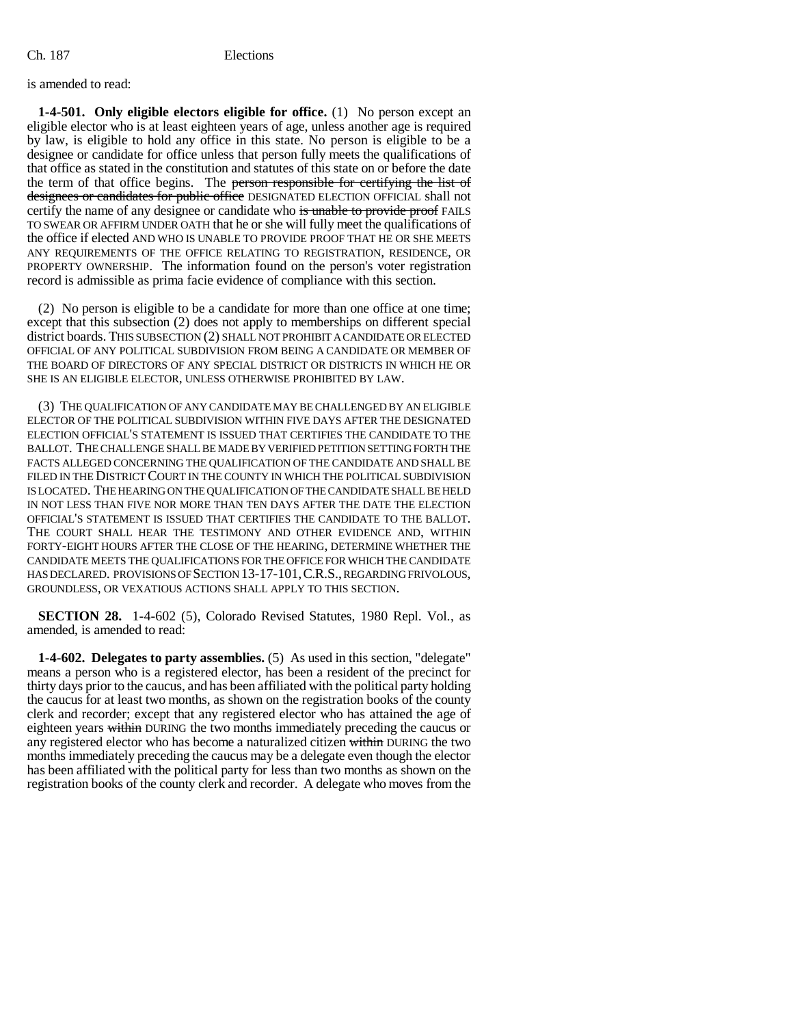is amended to read:

**1-4-501. Only eligible electors eligible for office.** (1) No person except an eligible elector who is at least eighteen years of age, unless another age is required by law, is eligible to hold any office in this state. No person is eligible to be a designee or candidate for office unless that person fully meets the qualifications of that office as stated in the constitution and statutes of this state on or before the date the term of that office begins. The person responsible for certifying the list of designees or candidates for public office DESIGNATED ELECTION OFFICIAL shall not certify the name of any designee or candidate who is unable to provide proof FAILS TO SWEAR OR AFFIRM UNDER OATH that he or she will fully meet the qualifications of the office if elected AND WHO IS UNABLE TO PROVIDE PROOF THAT HE OR SHE MEETS ANY REQUIREMENTS OF THE OFFICE RELATING TO REGISTRATION, RESIDENCE, OR PROPERTY OWNERSHIP. The information found on the person's voter registration record is admissible as prima facie evidence of compliance with this section.

(2) No person is eligible to be a candidate for more than one office at one time; except that this subsection (2) does not apply to memberships on different special district boards. THIS SUBSECTION (2) SHALL NOT PROHIBIT A CANDIDATE OR ELECTED OFFICIAL OF ANY POLITICAL SUBDIVISION FROM BEING A CANDIDATE OR MEMBER OF THE BOARD OF DIRECTORS OF ANY SPECIAL DISTRICT OR DISTRICTS IN WHICH HE OR SHE IS AN ELIGIBLE ELECTOR, UNLESS OTHERWISE PROHIBITED BY LAW.

(3) THE QUALIFICATION OF ANY CANDIDATE MAY BE CHALLENGED BY AN ELIGIBLE ELECTOR OF THE POLITICAL SUBDIVISION WITHIN FIVE DAYS AFTER THE DESIGNATED ELECTION OFFICIAL'S STATEMENT IS ISSUED THAT CERTIFIES THE CANDIDATE TO THE BALLOT. THE CHALLENGE SHALL BE MADE BY VERIFIED PETITION SETTING FORTH THE FACTS ALLEGED CONCERNING THE QUALIFICATION OF THE CANDIDATE AND SHALL BE FILED IN THE DISTRICT COURT IN THE COUNTY IN WHICH THE POLITICAL SUBDIVISION IS LOCATED. THE HEARING ON THE QUALIFICATION OF THE CANDIDATE SHALL BE HELD IN NOT LESS THAN FIVE NOR MORE THAN TEN DAYS AFTER THE DATE THE ELECTION OFFICIAL'S STATEMENT IS ISSUED THAT CERTIFIES THE CANDIDATE TO THE BALLOT. THE COURT SHALL HEAR THE TESTIMONY AND OTHER EVIDENCE AND, WITHIN FORTY-EIGHT HOURS AFTER THE CLOSE OF THE HEARING, DETERMINE WHETHER THE CANDIDATE MEETS THE QUALIFICATIONS FOR THE OFFICE FOR WHICH THE CANDIDATE HAS DECLARED. PROVISIONS OF SECTION 13-17-101,C.R.S., REGARDING FRIVOLOUS, GROUNDLESS, OR VEXATIOUS ACTIONS SHALL APPLY TO THIS SECTION.

**SECTION 28.** 1-4-602 (5), Colorado Revised Statutes, 1980 Repl. Vol., as amended, is amended to read:

**1-4-602. Delegates to party assemblies.** (5) As used in this section, "delegate" means a person who is a registered elector, has been a resident of the precinct for thirty days prior to the caucus, and has been affiliated with the political party holding the caucus for at least two months, as shown on the registration books of the county clerk and recorder; except that any registered elector who has attained the age of eighteen years within DURING the two months immediately preceding the caucus or any registered elector who has become a naturalized citizen within DURING the two months immediately preceding the caucus may be a delegate even though the elector has been affiliated with the political party for less than two months as shown on the registration books of the county clerk and recorder. A delegate who moves from the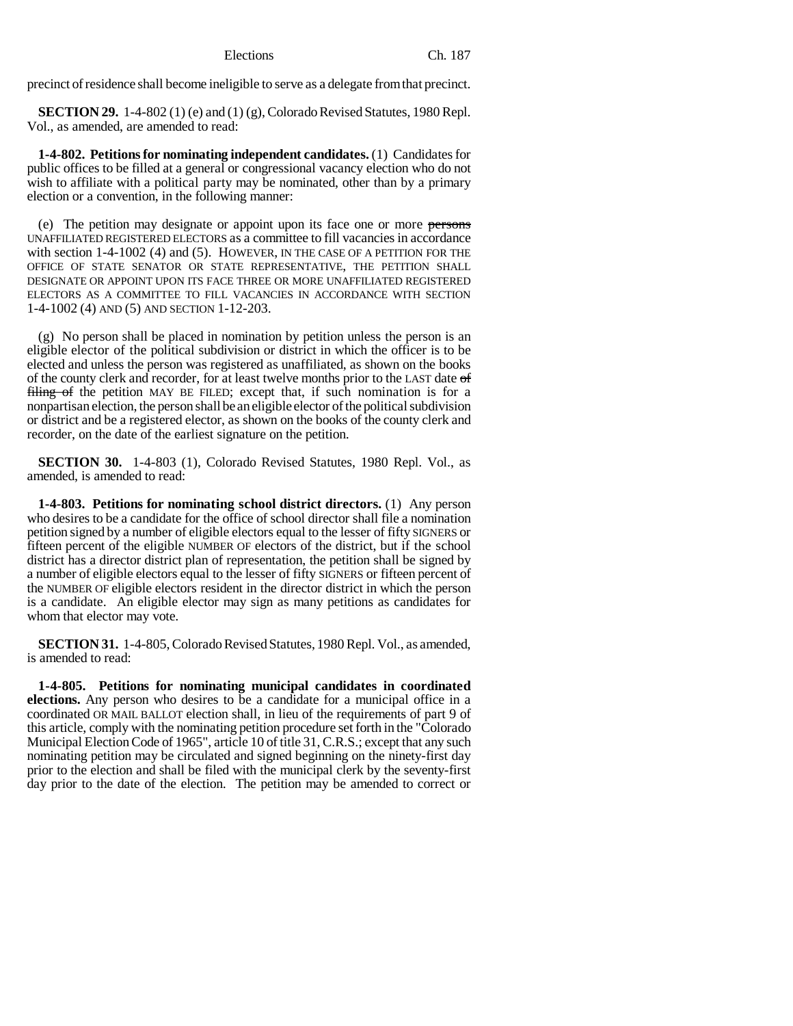precinct of residence shall become ineligible to serve as a delegate from that precinct.

**SECTION 29.** 1-4-802 (1) (e) and (1) (g), Colorado Revised Statutes, 1980 Repl. Vol., as amended, are amended to read:

**1-4-802. Petitions for nominating independent candidates.** (1) Candidates for public offices to be filled at a general or congressional vacancy election who do not wish to affiliate with a political party may be nominated, other than by a primary election or a convention, in the following manner:

(e) The petition may designate or appoint upon its face one or more persons UNAFFILIATED REGISTERED ELECTORS as a committee to fill vacancies in accordance with section 1-4-1002 (4) and (5). HOWEVER, IN THE CASE OF A PETITION FOR THE OFFICE OF STATE SENATOR OR STATE REPRESENTATIVE, THE PETITION SHALL DESIGNATE OR APPOINT UPON ITS FACE THREE OR MORE UNAFFILIATED REGISTERED ELECTORS AS A COMMITTEE TO FILL VACANCIES IN ACCORDANCE WITH SECTION 1-4-1002 (4) AND (5) AND SECTION 1-12-203.

(g) No person shall be placed in nomination by petition unless the person is an eligible elector of the political subdivision or district in which the officer is to be elected and unless the person was registered as unaffiliated, as shown on the books of the county clerk and recorder, for at least twelve months prior to the LAST date  $\sigma f$ filing of the petition MAY BE FILED; except that, if such nomination is for a nonpartisan election, the person shall be an eligible elector of the political subdivision or district and be a registered elector, as shown on the books of the county clerk and recorder, on the date of the earliest signature on the petition.

**SECTION 30.** 1-4-803 (1), Colorado Revised Statutes, 1980 Repl. Vol., as amended, is amended to read:

**1-4-803. Petitions for nominating school district directors.** (1) Any person who desires to be a candidate for the office of school director shall file a nomination petition signed by a number of eligible electors equal to the lesser of fifty SIGNERS or fifteen percent of the eligible NUMBER OF electors of the district, but if the school district has a director district plan of representation, the petition shall be signed by a number of eligible electors equal to the lesser of fifty SIGNERS or fifteen percent of the NUMBER OF eligible electors resident in the director district in which the person is a candidate. An eligible elector may sign as many petitions as candidates for whom that elector may vote.

**SECTION 31.** 1-4-805, Colorado Revised Statutes, 1980 Repl. Vol., as amended, is amended to read:

**1-4-805. Petitions for nominating municipal candidates in coordinated elections.** Any person who desires to be a candidate for a municipal office in a coordinated OR MAIL BALLOT election shall, in lieu of the requirements of part 9 of this article, comply with the nominating petition procedure set forth in the "Colorado Municipal Election Code of 1965", article 10 of title 31, C.R.S.; except that any such nominating petition may be circulated and signed beginning on the ninety-first day prior to the election and shall be filed with the municipal clerk by the seventy-first day prior to the date of the election. The petition may be amended to correct or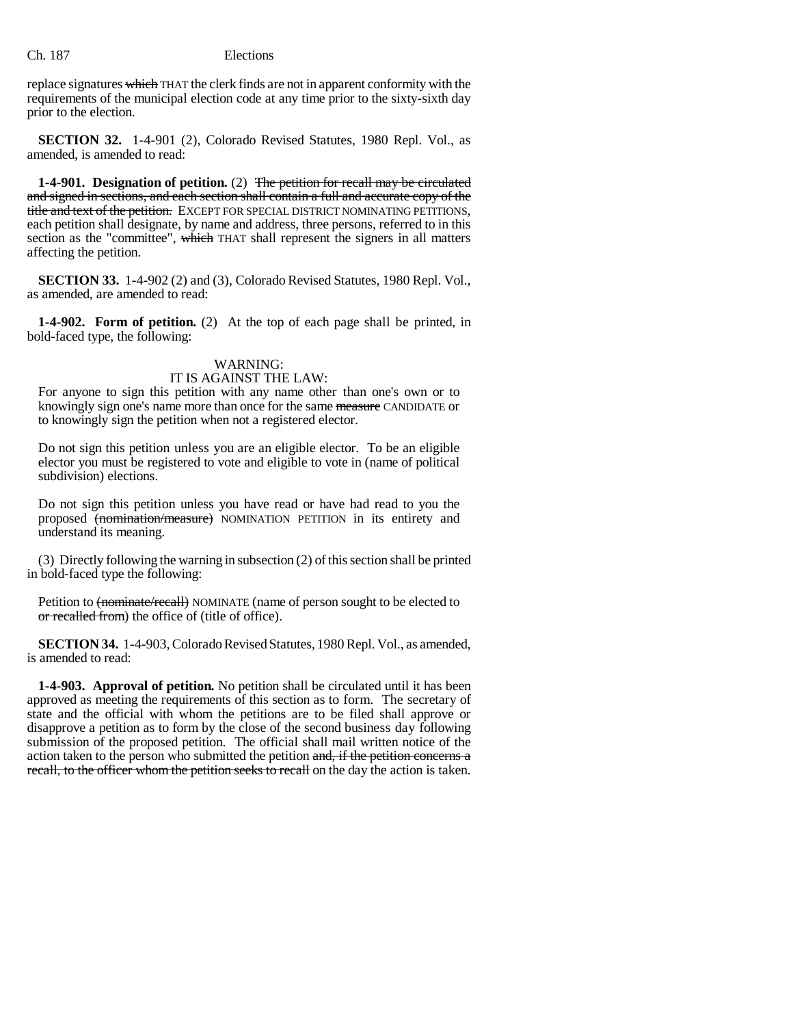replace signatures which THAT the clerk finds are not in apparent conformity with the requirements of the municipal election code at any time prior to the sixty-sixth day prior to the election.

**SECTION 32.** 1-4-901 (2), Colorado Revised Statutes, 1980 Repl. Vol., as amended, is amended to read:

**1-4-901. Designation of petition.** (2) The petition for recall may be circulated and signed in sections, and each section shall contain a full and accurate copy of the title and text of the petition. EXCEPT FOR SPECIAL DISTRICT NOMINATING PETITIONS, each petition shall designate, by name and address, three persons, referred to in this section as the "committee", which THAT shall represent the signers in all matters affecting the petition.

**SECTION 33.** 1-4-902 (2) and (3), Colorado Revised Statutes, 1980 Repl. Vol., as amended, are amended to read:

**1-4-902. Form of petition.** (2) At the top of each page shall be printed, in bold-faced type, the following:

# WARNING:

# IT IS AGAINST THE LAW:

For anyone to sign this petition with any name other than one's own or to knowingly sign one's name more than once for the same measure CANDIDATE or to knowingly sign the petition when not a registered elector.

Do not sign this petition unless you are an eligible elector. To be an eligible elector you must be registered to vote and eligible to vote in (name of political subdivision) elections.

Do not sign this petition unless you have read or have had read to you the proposed (nomination/measure) NOMINATION PETITION in its entirety and understand its meaning.

(3) Directly following the warning in subsection (2) of this section shall be printed in bold-faced type the following:

Petition to (nominate/recall) NOMINATE (name of person sought to be elected to or recalled from) the office of (title of office).

**SECTION 34.** 1-4-903, Colorado Revised Statutes, 1980 Repl. Vol., as amended, is amended to read:

**1-4-903. Approval of petition.** No petition shall be circulated until it has been approved as meeting the requirements of this section as to form. The secretary of state and the official with whom the petitions are to be filed shall approve or disapprove a petition as to form by the close of the second business day following submission of the proposed petition. The official shall mail written notice of the action taken to the person who submitted the petition and, if the petition concerns a recall, to the officer whom the petition seeks to recall on the day the action is taken.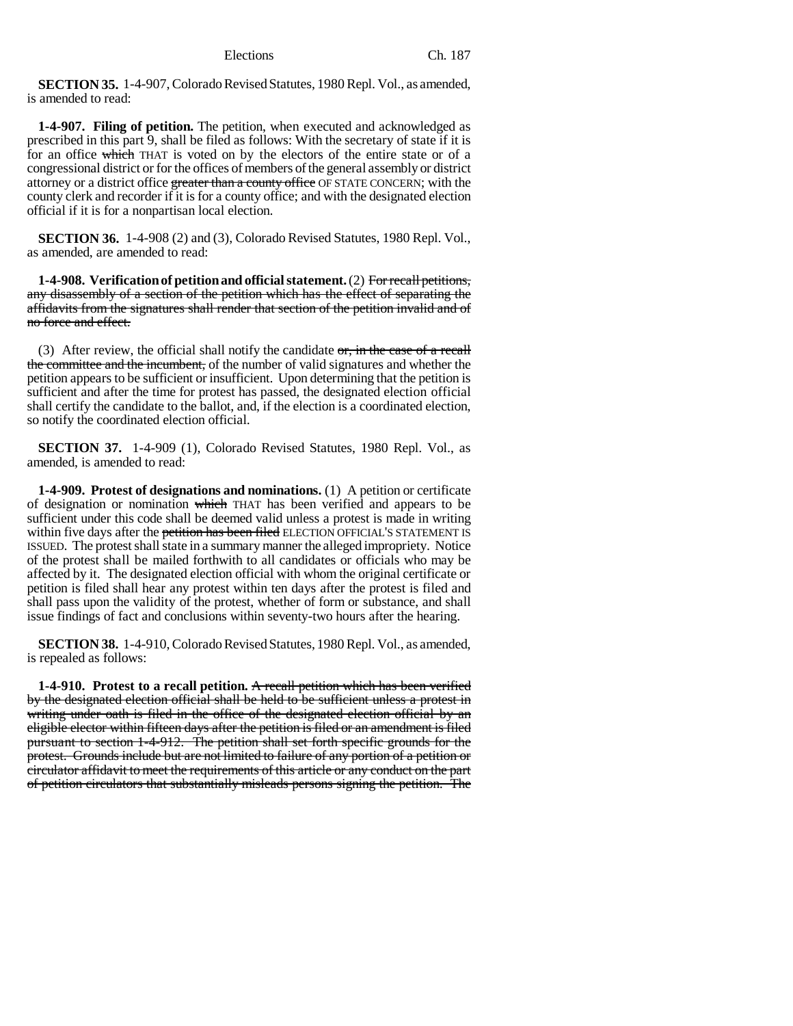**SECTION 35.** 1-4-907, Colorado Revised Statutes, 1980 Repl. Vol., as amended, is amended to read:

**1-4-907. Filing of petition.** The petition, when executed and acknowledged as prescribed in this part 9, shall be filed as follows: With the secretary of state if it is for an office which THAT is voted on by the electors of the entire state or of a congressional district or for the offices of members of the general assembly or district attorney or a district office greater than a county office OF STATE CONCERN; with the county clerk and recorder if it is for a county office; and with the designated election official if it is for a nonpartisan local election.

**SECTION 36.** 1-4-908 (2) and (3), Colorado Revised Statutes, 1980 Repl. Vol., as amended, are amended to read:

**1-4-908. Verification of petition and official statement.** (2) For recall petitions, any disassembly of a section of the petition which has the effect of separating the affidavits from the signatures shall render that section of the petition invalid and of no force and effect.

(3) After review, the official shall notify the candidate  $\sigma$ , in the case of a recall the committee and the incumbent, of the number of valid signatures and whether the petition appears to be sufficient or insufficient. Upon determining that the petition is sufficient and after the time for protest has passed, the designated election official shall certify the candidate to the ballot, and, if the election is a coordinated election, so notify the coordinated election official.

**SECTION 37.** 1-4-909 (1), Colorado Revised Statutes, 1980 Repl. Vol., as amended, is amended to read:

**1-4-909. Protest of designations and nominations.** (1) A petition or certificate of designation or nomination which THAT has been verified and appears to be sufficient under this code shall be deemed valid unless a protest is made in writing within five days after the petition has been filed ELECTION OFFICIAL'S STATEMENT IS ISSUED. The protest shall state in a summary manner the alleged impropriety. Notice of the protest shall be mailed forthwith to all candidates or officials who may be affected by it. The designated election official with whom the original certificate or petition is filed shall hear any protest within ten days after the protest is filed and shall pass upon the validity of the protest, whether of form or substance, and shall issue findings of fact and conclusions within seventy-two hours after the hearing.

**SECTION 38.** 1-4-910, Colorado Revised Statutes, 1980 Repl. Vol., as amended, is repealed as follows:

**1-4-910. Protest to a recall petition.** A recall petition which has been verified by the designated election official shall be held to be sufficient unless a protest in writing under oath is filed in the office of the designated election official by an eligible elector within fifteen days after the petition is filed or an amendment is filed pursuant to section 1-4-912. The petition shall set forth specific grounds for the protest. Grounds include but are not limited to failure of any portion of a petition or circulator affidavit to meet the requirements of this article or any conduct on the part of petition circulators that substantially misleads persons signing the petition. The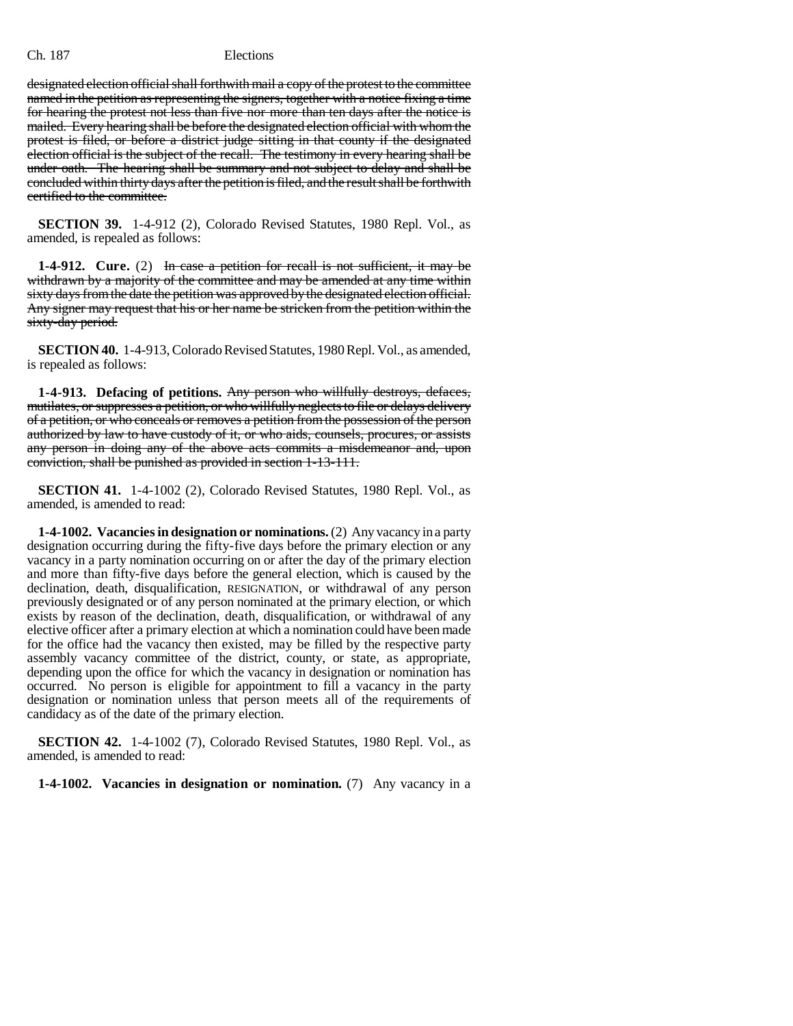designated election official shall forthwith mail a copy of the protest to the committee named in the petition as representing the signers, together with a notice fixing a time for hearing the protest not less than five nor more than ten days after the notice is mailed. Every hearing shall be before the designated election official with whom the protest is filed, or before a district judge sitting in that county if the designated election official is the subject of the recall. The testimony in every hearing shall be under oath. The hearing shall be summary and not subject to delay and shall be concluded within thirty days after the petition is filed, and the result shall be forthwith certified to the committee.

**SECTION 39.** 1-4-912 (2), Colorado Revised Statutes, 1980 Repl. Vol., as amended, is repealed as follows:

**1-4-912.** Cure. (2) In case a petition for recall is not sufficient, it may be withdrawn by a majority of the committee and may be amended at any time within sixty days from the date the petition was approved by the designated election official. Any signer may request that his or her name be stricken from the petition within the sixty-day period.

**SECTION 40.** 1-4-913, Colorado Revised Statutes, 1980 Repl. Vol., as amended, is repealed as follows:

**1-4-913. Defacing of petitions.** Any person who willfully destroys, defaces, mutilates, or suppresses a petition, or who willfully neglects to file or delays delivery of a petition, or who conceals or removes a petition from the possession of the person authorized by law to have custody of it, or who aids, counsels, procures, or assists any person in doing any of the above acts commits a misdemeanor and, upon conviction, shall be punished as provided in section 1-13-111.

**SECTION 41.** 1-4-1002 (2), Colorado Revised Statutes, 1980 Repl. Vol., as amended, is amended to read:

**1-4-1002. Vacancies in designation or nominations.** (2) Any vacancy in a party designation occurring during the fifty-five days before the primary election or any vacancy in a party nomination occurring on or after the day of the primary election and more than fifty-five days before the general election, which is caused by the declination, death, disqualification, RESIGNATION, or withdrawal of any person previously designated or of any person nominated at the primary election, or which exists by reason of the declination, death, disqualification, or withdrawal of any elective officer after a primary election at which a nomination could have been made for the office had the vacancy then existed, may be filled by the respective party assembly vacancy committee of the district, county, or state, as appropriate, depending upon the office for which the vacancy in designation or nomination has occurred. No person is eligible for appointment to fill a vacancy in the party designation or nomination unless that person meets all of the requirements of candidacy as of the date of the primary election.

**SECTION 42.** 1-4-1002 (7), Colorado Revised Statutes, 1980 Repl. Vol., as amended, is amended to read:

**1-4-1002. Vacancies in designation or nomination.** (7) Any vacancy in a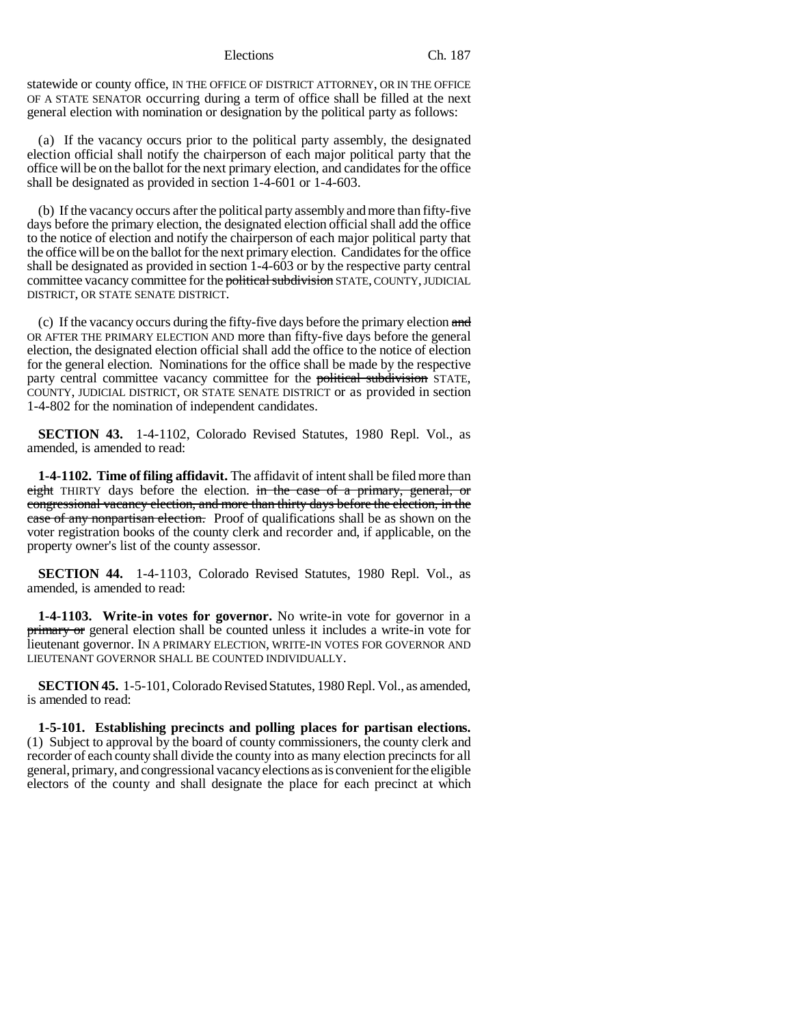statewide or county office, IN THE OFFICE OF DISTRICT ATTORNEY, OR IN THE OFFICE OF A STATE SENATOR occurring during a term of office shall be filled at the next general election with nomination or designation by the political party as follows:

(a) If the vacancy occurs prior to the political party assembly, the designated election official shall notify the chairperson of each major political party that the office will be on the ballot for the next primary election, and candidates for the office shall be designated as provided in section 1-4-601 or 1-4-603.

(b) If the vacancy occurs after the political party assembly and more than fifty-five days before the primary election, the designated election official shall add the office to the notice of election and notify the chairperson of each major political party that the office will be on the ballot for the next primary election. Candidates for the office shall be designated as provided in section 1-4-603 or by the respective party central committee vacancy committee for the political subdivision STATE, COUNTY, JUDICIAL DISTRICT, OR STATE SENATE DISTRICT.

(c) If the vacancy occurs during the fifty-five days before the primary election and OR AFTER THE PRIMARY ELECTION AND more than fifty-five days before the general election, the designated election official shall add the office to the notice of election for the general election. Nominations for the office shall be made by the respective party central committee vacancy committee for the political subdivision STATE, COUNTY, JUDICIAL DISTRICT, OR STATE SENATE DISTRICT or as provided in section 1-4-802 for the nomination of independent candidates.

**SECTION 43.** 1-4-1102, Colorado Revised Statutes, 1980 Repl. Vol., as amended, is amended to read:

**1-4-1102. Time of filing affidavit.** The affidavit of intent shall be filed more than eight THIRTY days before the election. in the case of a primary, general, or congressional vacancy election, and more than thirty days before the election, in the case of any nonpartisan election. Proof of qualifications shall be as shown on the voter registration books of the county clerk and recorder and, if applicable, on the property owner's list of the county assessor.

**SECTION 44.** 1-4-1103, Colorado Revised Statutes, 1980 Repl. Vol., as amended, is amended to read:

**1-4-1103. Write-in votes for governor.** No write-in vote for governor in a **primary or** general election shall be counted unless it includes a write-in vote for lieutenant governor. IN A PRIMARY ELECTION, WRITE-IN VOTES FOR GOVERNOR AND LIEUTENANT GOVERNOR SHALL BE COUNTED INDIVIDUALLY.

**SECTION 45.** 1-5-101, Colorado Revised Statutes, 1980 Repl. Vol., as amended, is amended to read:

**1-5-101. Establishing precincts and polling places for partisan elections.** (1) Subject to approval by the board of county commissioners, the county clerk and recorder of each county shall divide the county into as many election precincts for all general, primary, and congressional vacancy elections as is convenient for the eligible electors of the county and shall designate the place for each precinct at which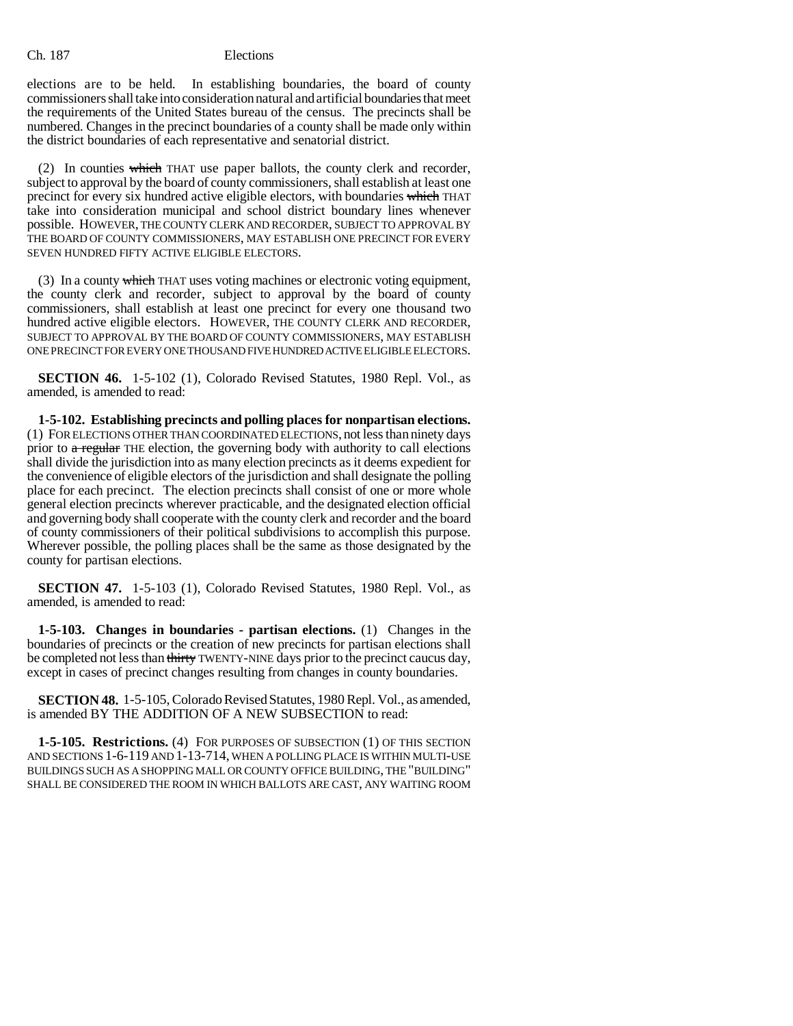elections are to be held. In establishing boundaries, the board of county commissioners shall take into consideration natural and artificial boundaries that meet the requirements of the United States bureau of the census. The precincts shall be numbered. Changes in the precinct boundaries of a county shall be made only within the district boundaries of each representative and senatorial district.

(2) In counties which THAT use paper ballots, the county clerk and recorder, subject to approval by the board of county commissioners, shall establish at least one precinct for every six hundred active eligible electors, with boundaries which THAT take into consideration municipal and school district boundary lines whenever possible. HOWEVER, THE COUNTY CLERK AND RECORDER, SUBJECT TO APPROVAL BY THE BOARD OF COUNTY COMMISSIONERS, MAY ESTABLISH ONE PRECINCT FOR EVERY SEVEN HUNDRED FIFTY ACTIVE ELIGIBLE ELECTORS.

(3) In a county which THAT uses voting machines or electronic voting equipment, the county clerk and recorder, subject to approval by the board of county commissioners, shall establish at least one precinct for every one thousand two hundred active eligible electors. HOWEVER, THE COUNTY CLERK AND RECORDER, SUBJECT TO APPROVAL BY THE BOARD OF COUNTY COMMISSIONERS, MAY ESTABLISH ONE PRECINCT FOR EVERY ONE THOUSAND FIVE HUNDRED ACTIVE ELIGIBLE ELECTORS.

**SECTION 46.** 1-5-102 (1), Colorado Revised Statutes, 1980 Repl. Vol., as amended, is amended to read:

**1-5-102. Establishing precincts and polling places for nonpartisan elections.** (1) FOR ELECTIONS OTHER THAN COORDINATED ELECTIONS, not less than ninety days prior to  $a$  regular THE election, the governing body with authority to call elections shall divide the jurisdiction into as many election precincts as it deems expedient for the convenience of eligible electors of the jurisdiction and shall designate the polling place for each precinct. The election precincts shall consist of one or more whole general election precincts wherever practicable, and the designated election official and governing body shall cooperate with the county clerk and recorder and the board of county commissioners of their political subdivisions to accomplish this purpose. Wherever possible, the polling places shall be the same as those designated by the county for partisan elections.

**SECTION 47.** 1-5-103 (1), Colorado Revised Statutes, 1980 Repl. Vol., as amended, is amended to read:

**1-5-103. Changes in boundaries - partisan elections.** (1) Changes in the boundaries of precincts or the creation of new precincts for partisan elections shall be completed not less than thirty TWENTY-NINE days prior to the precinct caucus day, except in cases of precinct changes resulting from changes in county boundaries.

**SECTION 48.** 1-5-105, Colorado Revised Statutes, 1980 Repl. Vol., as amended, is amended BY THE ADDITION OF A NEW SUBSECTION to read:

**1-5-105. Restrictions.** (4) FOR PURPOSES OF SUBSECTION (1) OF THIS SECTION AND SECTIONS 1-6-119 AND 1-13-714, WHEN A POLLING PLACE IS WITHIN MULTI-USE BUILDINGS SUCH AS A SHOPPING MALL OR COUNTY OFFICE BUILDING, THE "BUILDING" SHALL BE CONSIDERED THE ROOM IN WHICH BALLOTS ARE CAST, ANY WAITING ROOM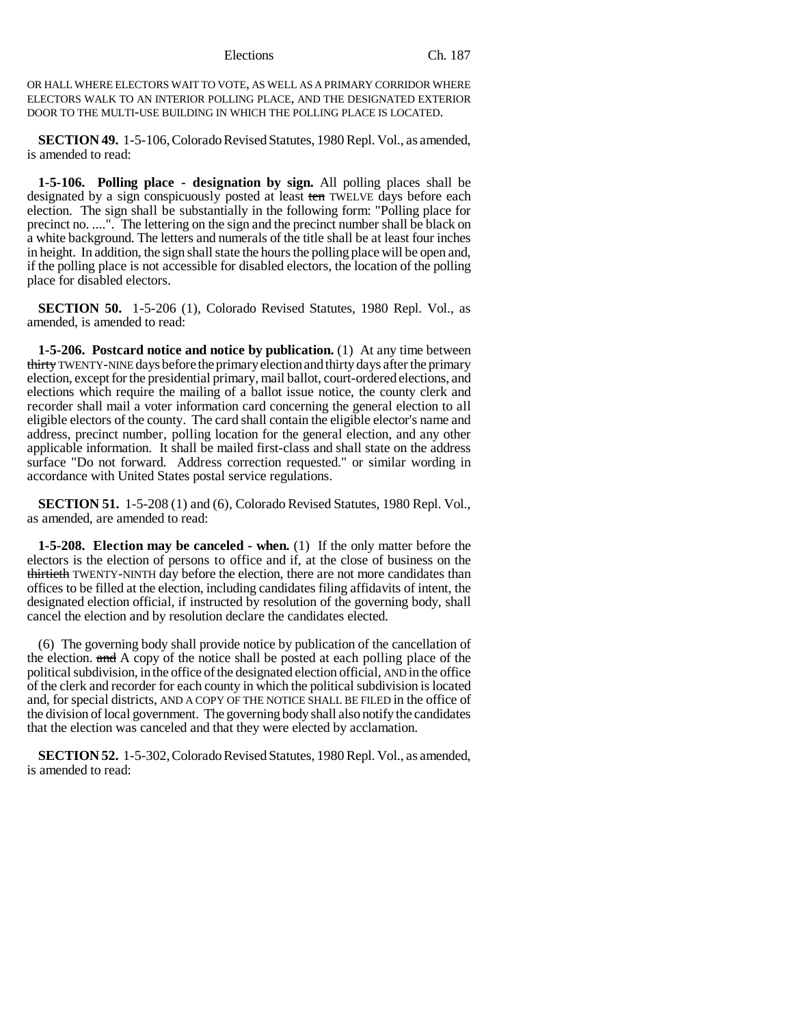OR HALL WHERE ELECTORS WAIT TO VOTE, AS WELL AS A PRIMARY CORRIDOR WHERE ELECTORS WALK TO AN INTERIOR POLLING PLACE, AND THE DESIGNATED EXTERIOR DOOR TO THE MULTI-USE BUILDING IN WHICH THE POLLING PLACE IS LOCATED.

**SECTION 49.** 1-5-106, Colorado Revised Statutes, 1980 Repl. Vol., as amended, is amended to read:

**1-5-106. Polling place - designation by sign.** All polling places shall be designated by a sign conspicuously posted at least ten TWELVE days before each election. The sign shall be substantially in the following form: "Polling place for precinct no. ....". The lettering on the sign and the precinct number shall be black on a white background. The letters and numerals of the title shall be at least four inches in height. In addition, the sign shall state the hours the polling place will be open and, if the polling place is not accessible for disabled electors, the location of the polling place for disabled electors.

**SECTION 50.** 1-5-206 (1), Colorado Revised Statutes, 1980 Repl. Vol., as amended, is amended to read:

**1-5-206. Postcard notice and notice by publication.** (1) At any time between thirty TWENTY-NINE days before the primary election and thirty days after the primary election, except for the presidential primary, mail ballot, court-ordered elections, and elections which require the mailing of a ballot issue notice, the county clerk and recorder shall mail a voter information card concerning the general election to all eligible electors of the county. The card shall contain the eligible elector's name and address, precinct number, polling location for the general election, and any other applicable information. It shall be mailed first-class and shall state on the address surface "Do not forward. Address correction requested." or similar wording in accordance with United States postal service regulations.

**SECTION 51.** 1-5-208 (1) and (6), Colorado Revised Statutes, 1980 Repl. Vol., as amended, are amended to read:

**1-5-208. Election may be canceled - when.** (1) If the only matter before the electors is the election of persons to office and if, at the close of business on the thirtieth TWENTY-NINTH day before the election, there are not more candidates than offices to be filled at the election, including candidates filing affidavits of intent, the designated election official, if instructed by resolution of the governing body, shall cancel the election and by resolution declare the candidates elected.

(6) The governing body shall provide notice by publication of the cancellation of the election. and A copy of the notice shall be posted at each polling place of the political subdivision, in the office of the designated election official, AND in the office of the clerk and recorder for each county in which the political subdivision is located and, for special districts, AND A COPY OF THE NOTICE SHALL BE FILED in the office of the division of local government. The governing body shall also notify the candidates that the election was canceled and that they were elected by acclamation.

**SECTION 52.** 1-5-302, Colorado Revised Statutes, 1980 Repl. Vol., as amended, is amended to read: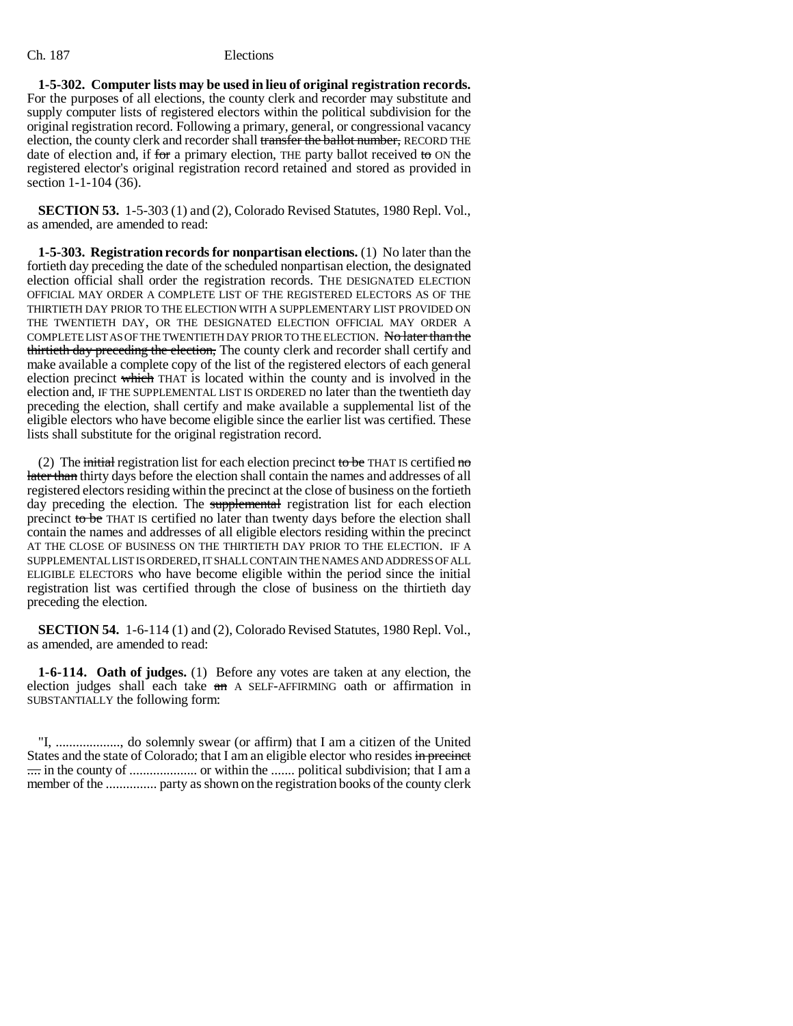**1-5-302. Computer lists may be used in lieu of original registration records.** For the purposes of all elections, the county clerk and recorder may substitute and supply computer lists of registered electors within the political subdivision for the original registration record. Following a primary, general, or congressional vacancy election, the county clerk and recorder shall transfer the ballot number, RECORD THE date of election and, if for a primary election, THE party ballot received to  $\alpha$  the registered elector's original registration record retained and stored as provided in section 1-1-104 (36).

**SECTION 53.** 1-5-303 (1) and (2), Colorado Revised Statutes, 1980 Repl. Vol., as amended, are amended to read:

**1-5-303. Registration records for nonpartisan elections.** (1) No later than the fortieth day preceding the date of the scheduled nonpartisan election, the designated election official shall order the registration records. THE DESIGNATED ELECTION OFFICIAL MAY ORDER A COMPLETE LIST OF THE REGISTERED ELECTORS AS OF THE THIRTIETH DAY PRIOR TO THE ELECTION WITH A SUPPLEMENTARY LIST PROVIDED ON THE TWENTIETH DAY, OR THE DESIGNATED ELECTION OFFICIAL MAY ORDER A COMPLETE LIST AS OF THE TWENTIETH DAY PRIOR TO THE ELECTION. No later than the thirtieth day preceding the election, The county clerk and recorder shall certify and make available a complete copy of the list of the registered electors of each general election precinct which THAT is located within the county and is involved in the election and, IF THE SUPPLEMENTAL LIST IS ORDERED no later than the twentieth day preceding the election, shall certify and make available a supplemental list of the eligible electors who have become eligible since the earlier list was certified. These lists shall substitute for the original registration record.

(2) The initial registration list for each election precinct to be THAT IS certified no later than thirty days before the election shall contain the names and addresses of all registered electors residing within the precinct at the close of business on the fortieth day preceding the election. The supplemental registration list for each election precinct to be THAT IS certified no later than twenty days before the election shall contain the names and addresses of all eligible electors residing within the precinct AT THE CLOSE OF BUSINESS ON THE THIRTIETH DAY PRIOR TO THE ELECTION. IF A SUPPLEMENTAL LIST IS ORDERED, IT SHALL CONTAIN THE NAMES AND ADDRESS OF ALL ELIGIBLE ELECTORS who have become eligible within the period since the initial registration list was certified through the close of business on the thirtieth day preceding the election.

**SECTION 54.** 1-6-114 (1) and (2), Colorado Revised Statutes, 1980 Repl. Vol., as amended, are amended to read:

**1-6-114. Oath of judges.** (1) Before any votes are taken at any election, the election judges shall each take an A SELF-AFFIRMING oath or affirmation in SUBSTANTIALLY the following form:

"I, ..................., do solemnly swear (or affirm) that I am a citizen of the United States and the state of Colorado; that I am an eligible elector who resides in precinct .... in the county of .................... or within the ....... political subdivision; that I am a member of the ............... party as shown on the registration books of the county clerk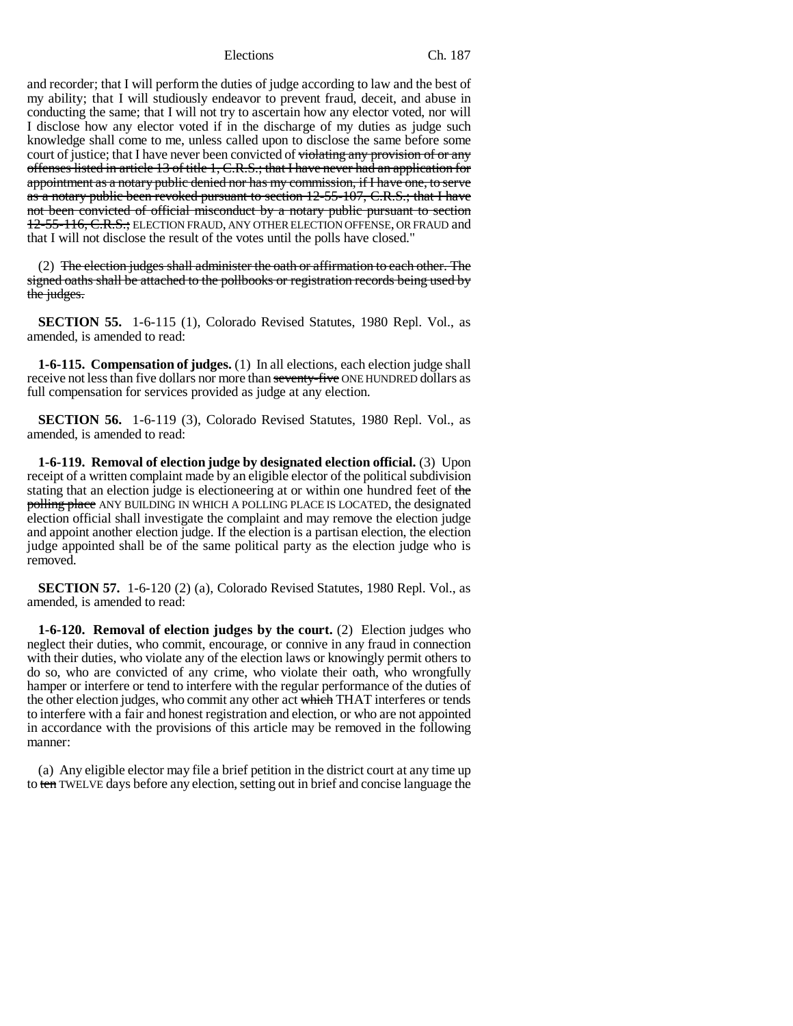and recorder; that I will perform the duties of judge according to law and the best of my ability; that I will studiously endeavor to prevent fraud, deceit, and abuse in conducting the same; that I will not try to ascertain how any elector voted, nor will I disclose how any elector voted if in the discharge of my duties as judge such knowledge shall come to me, unless called upon to disclose the same before some court of justice; that I have never been convicted of violating any provision of or any offenses listed in article 13 of title 1, C.R.S.; that I have never had an application for appointment as a notary public denied nor has my commission, if I have one, to serve as a notary public been revoked pursuant to section 12-55-107, C.R.S.; that I have not been convicted of official misconduct by a notary public pursuant to section 12-55-116, C.R.S.; ELECTION FRAUD, ANY OTHER ELECTION OFFENSE, OR FRAUD and that I will not disclose the result of the votes until the polls have closed."

(2) The election judges shall administer the oath or affirmation to each other. The signed oaths shall be attached to the pollbooks or registration records being used by the judges.

**SECTION 55.** 1-6-115 (1), Colorado Revised Statutes, 1980 Repl. Vol., as amended, is amended to read:

**1-6-115. Compensation of judges.** (1) In all elections, each election judge shall receive not less than five dollars nor more than seventy-five ONE HUNDRED dollars as full compensation for services provided as judge at any election.

**SECTION 56.** 1-6-119 (3), Colorado Revised Statutes, 1980 Repl. Vol., as amended, is amended to read:

**1-6-119. Removal of election judge by designated election official.** (3) Upon receipt of a written complaint made by an eligible elector of the political subdivision stating that an election judge is electioneering at or within one hundred feet of the polling place ANY BUILDING IN WHICH A POLLING PLACE IS LOCATED, the designated election official shall investigate the complaint and may remove the election judge and appoint another election judge. If the election is a partisan election, the election judge appointed shall be of the same political party as the election judge who is removed.

**SECTION 57.** 1-6-120 (2) (a), Colorado Revised Statutes, 1980 Repl. Vol., as amended, is amended to read:

**1-6-120. Removal of election judges by the court.** (2) Election judges who neglect their duties, who commit, encourage, or connive in any fraud in connection with their duties, who violate any of the election laws or knowingly permit others to do so, who are convicted of any crime, who violate their oath, who wrongfully hamper or interfere or tend to interfere with the regular performance of the duties of the other election judges, who commit any other act which THAT interferes or tends to interfere with a fair and honest registration and election, or who are not appointed in accordance with the provisions of this article may be removed in the following manner:

(a) Any eligible elector may file a brief petition in the district court at any time up to ten TWELVE days before any election, setting out in brief and concise language the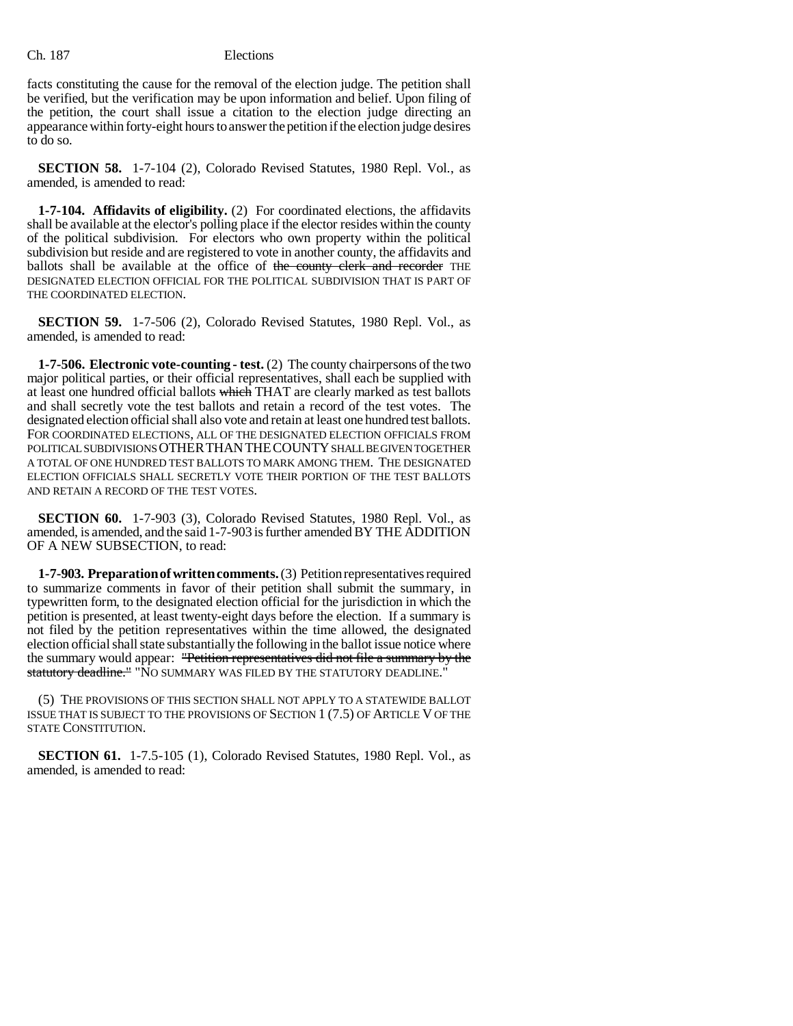facts constituting the cause for the removal of the election judge. The petition shall be verified, but the verification may be upon information and belief. Upon filing of the petition, the court shall issue a citation to the election judge directing an appearance within forty-eight hours to answer the petition if the election judge desires to do so.

**SECTION 58.** 1-7-104 (2), Colorado Revised Statutes, 1980 Repl. Vol., as amended, is amended to read:

**1-7-104. Affidavits of eligibility.** (2) For coordinated elections, the affidavits shall be available at the elector's polling place if the elector resides within the county of the political subdivision. For electors who own property within the political subdivision but reside and are registered to vote in another county, the affidavits and ballots shall be available at the office of the county clerk and recorder THE DESIGNATED ELECTION OFFICIAL FOR THE POLITICAL SUBDIVISION THAT IS PART OF THE COORDINATED ELECTION.

**SECTION 59.** 1-7-506 (2), Colorado Revised Statutes, 1980 Repl. Vol., as amended, is amended to read:

**1-7-506. Electronic vote-counting - test.** (2) The county chairpersons of the two major political parties, or their official representatives, shall each be supplied with at least one hundred official ballots which THAT are clearly marked as test ballots and shall secretly vote the test ballots and retain a record of the test votes. The designated election official shall also vote and retain at least one hundred test ballots. FOR COORDINATED ELECTIONS, ALL OF THE DESIGNATED ELECTION OFFICIALS FROM POLITICAL SUBDIVISIONS OTHER THAN THE COUNTY SHALL BE GIVEN TOGETHER A TOTAL OF ONE HUNDRED TEST BALLOTS TO MARK AMONG THEM. THE DESIGNATED ELECTION OFFICIALS SHALL SECRETLY VOTE THEIR PORTION OF THE TEST BALLOTS AND RETAIN A RECORD OF THE TEST VOTES.

**SECTION 60.** 1-7-903 (3), Colorado Revised Statutes, 1980 Repl. Vol., as amended, is amended, and the said 1-7-903 is further amended BY THE ADDITION OF A NEW SUBSECTION, to read:

**1-7-903. Preparation of written comments.** (3) Petition representatives required to summarize comments in favor of their petition shall submit the summary, in typewritten form, to the designated election official for the jurisdiction in which the petition is presented, at least twenty-eight days before the election. If a summary is not filed by the petition representatives within the time allowed, the designated election official shall state substantially the following in the ballot issue notice where the summary would appear: "Petition representatives did not file a summary by the statutory deadline." "NO SUMMARY WAS FILED BY THE STATUTORY DEADLINE."

(5) THE PROVISIONS OF THIS SECTION SHALL NOT APPLY TO A STATEWIDE BALLOT ISSUE THAT IS SUBJECT TO THE PROVISIONS OF SECTION 1 (7.5) OF ARTICLE V OF THE STATE CONSTITUTION.

**SECTION 61.** 1-7.5-105 (1), Colorado Revised Statutes, 1980 Repl. Vol., as amended, is amended to read: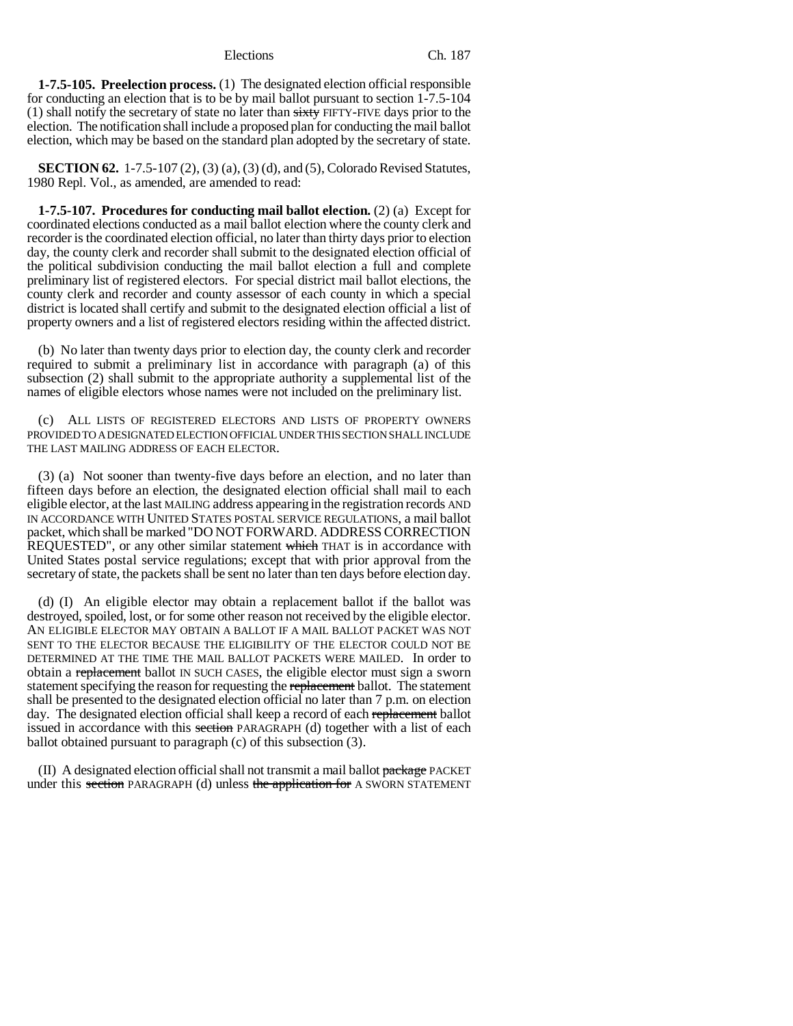**1-7.5-105. Preelection process.** (1) The designated election official responsible for conducting an election that is to be by mail ballot pursuant to section 1-7.5-104 (1) shall notify the secretary of state no later than  $s$ ixty FIFTY-FIVE days prior to the election. The notification shall include a proposed plan for conducting the mail ballot election, which may be based on the standard plan adopted by the secretary of state.

**SECTION 62.** 1-7.5-107 (2), (3) (a), (3) (d), and (5), Colorado Revised Statutes, 1980 Repl. Vol., as amended, are amended to read:

**1-7.5-107. Procedures for conducting mail ballot election.** (2) (a) Except for coordinated elections conducted as a mail ballot election where the county clerk and recorder is the coordinated election official, no later than thirty days prior to election day, the county clerk and recorder shall submit to the designated election official of the political subdivision conducting the mail ballot election a full and complete preliminary list of registered electors. For special district mail ballot elections, the county clerk and recorder and county assessor of each county in which a special district is located shall certify and submit to the designated election official a list of property owners and a list of registered electors residing within the affected district.

(b) No later than twenty days prior to election day, the county clerk and recorder required to submit a preliminary list in accordance with paragraph (a) of this subsection (2) shall submit to the appropriate authority a supplemental list of the names of eligible electors whose names were not included on the preliminary list.

(c) ALL LISTS OF REGISTERED ELECTORS AND LISTS OF PROPERTY OWNERS PROVIDED TO A DESIGNATED ELECTION OFFICIAL UNDER THIS SECTION SHALL INCLUDE THE LAST MAILING ADDRESS OF EACH ELECTOR.

(3) (a) Not sooner than twenty-five days before an election, and no later than fifteen days before an election, the designated election official shall mail to each eligible elector, at the last MAILING address appearing in the registration records AND IN ACCORDANCE WITH UNITED STATES POSTAL SERVICE REGULATIONS, a mail ballot packet, which shall be marked "DO NOT FORWARD. ADDRESS CORRECTION REQUESTED", or any other similar statement which THAT is in accordance with United States postal service regulations; except that with prior approval from the secretary of state, the packets shall be sent no later than ten days before election day.

(d) (I) An eligible elector may obtain a replacement ballot if the ballot was destroyed, spoiled, lost, or for some other reason not received by the eligible elector. AN ELIGIBLE ELECTOR MAY OBTAIN A BALLOT IF A MAIL BALLOT PACKET WAS NOT SENT TO THE ELECTOR BECAUSE THE ELIGIBILITY OF THE ELECTOR COULD NOT BE DETERMINED AT THE TIME THE MAIL BALLOT PACKETS WERE MAILED. In order to obtain a replacement ballot IN SUCH CASES, the eligible elector must sign a sworn statement specifying the reason for requesting the replacement ballot. The statement shall be presented to the designated election official no later than 7 p.m. on election day. The designated election official shall keep a record of each replacement ballot issued in accordance with this section PARAGRAPH (d) together with a list of each ballot obtained pursuant to paragraph (c) of this subsection (3).

(II) A designated election official shall not transmit a mail ballot package PACKET under this section PARAGRAPH (d) unless the application for A SWORN STATEMENT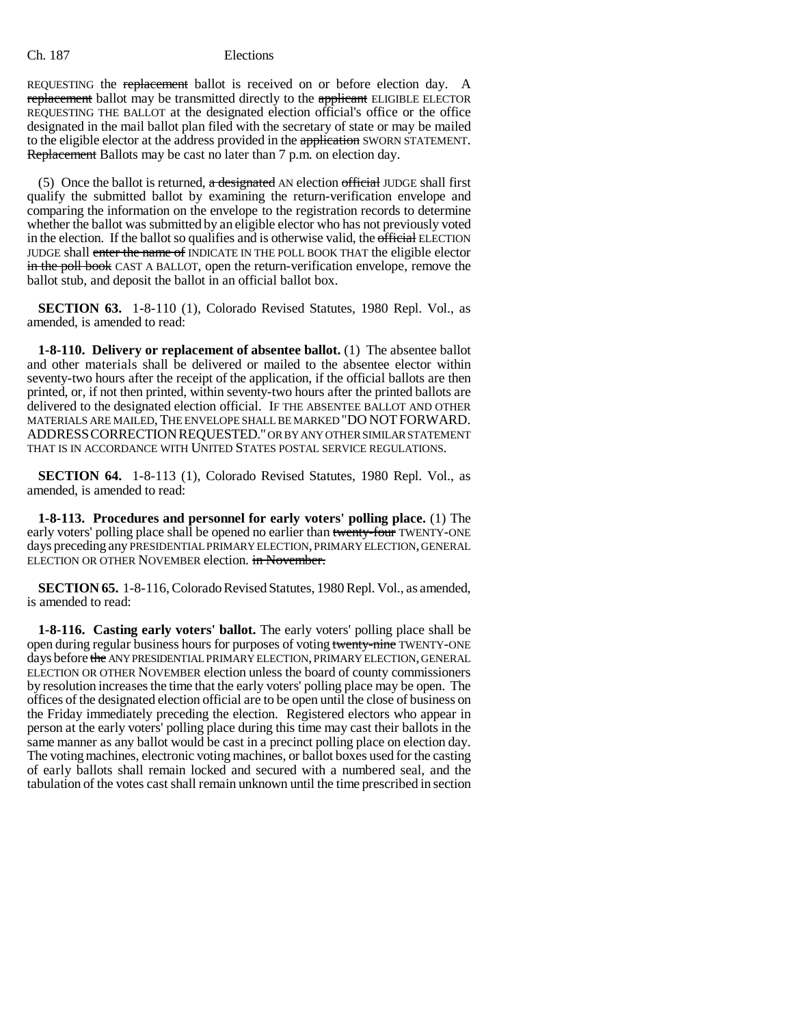REQUESTING the replacement ballot is received on or before election day. A replacement ballot may be transmitted directly to the applicant ELIGIBLE ELECTOR REQUESTING THE BALLOT at the designated election official's office or the office designated in the mail ballot plan filed with the secretary of state or may be mailed to the eligible elector at the address provided in the application SWORN STATEMENT. Replacement Ballots may be cast no later than 7 p.m. on election day.

(5) Once the ballot is returned,  $\alpha$  designated AN election official JUDGE shall first qualify the submitted ballot by examining the return-verification envelope and comparing the information on the envelope to the registration records to determine whether the ballot was submitted by an eligible elector who has not previously voted in the election. If the ballot so qualifies and is otherwise valid, the official ELECTION JUDGE shall enter the name of INDICATE IN THE POLL BOOK THAT the eligible elector in the poll book CAST A BALLOT, open the return-verification envelope, remove the ballot stub, and deposit the ballot in an official ballot box.

**SECTION 63.** 1-8-110 (1), Colorado Revised Statutes, 1980 Repl. Vol., as amended, is amended to read:

**1-8-110. Delivery or replacement of absentee ballot.** (1) The absentee ballot and other materials shall be delivered or mailed to the absentee elector within seventy-two hours after the receipt of the application, if the official ballots are then printed, or, if not then printed, within seventy-two hours after the printed ballots are delivered to the designated election official. IF THE ABSENTEE BALLOT AND OTHER MATERIALS ARE MAILED, THE ENVELOPE SHALL BE MARKED "DO NOTFORWARD. ADDRESSCORRECTIONREQUESTED." OR BY ANY OTHER SIMILAR STATEMENT THAT IS IN ACCORDANCE WITH UNITED STATES POSTAL SERVICE REGULATIONS.

**SECTION 64.** 1-8-113 (1), Colorado Revised Statutes, 1980 Repl. Vol., as amended, is amended to read:

**1-8-113. Procedures and personnel for early voters' polling place.** (1) The early voters' polling place shall be opened no earlier than twenty-four TWENTY-ONE days preceding any PRESIDENTIAL PRIMARY ELECTION, PRIMARY ELECTION, GENERAL ELECTION OR OTHER NOVEMBER election. in November.

**SECTION 65.** 1-8-116, Colorado Revised Statutes, 1980 Repl. Vol., as amended, is amended to read:

**1-8-116. Casting early voters' ballot.** The early voters' polling place shall be open during regular business hours for purposes of voting twenty-nine TWENTY-ONE days before the ANY PRESIDENTIAL PRIMARY ELECTION, PRIMARY ELECTION, GENERAL ELECTION OR OTHER NOVEMBER election unless the board of county commissioners by resolution increases the time that the early voters' polling place may be open. The offices of the designated election official are to be open until the close of business on the Friday immediately preceding the election. Registered electors who appear in person at the early voters' polling place during this time may cast their ballots in the same manner as any ballot would be cast in a precinct polling place on election day. The voting machines, electronic voting machines, or ballot boxes used for the casting of early ballots shall remain locked and secured with a numbered seal, and the tabulation of the votes cast shall remain unknown until the time prescribed in section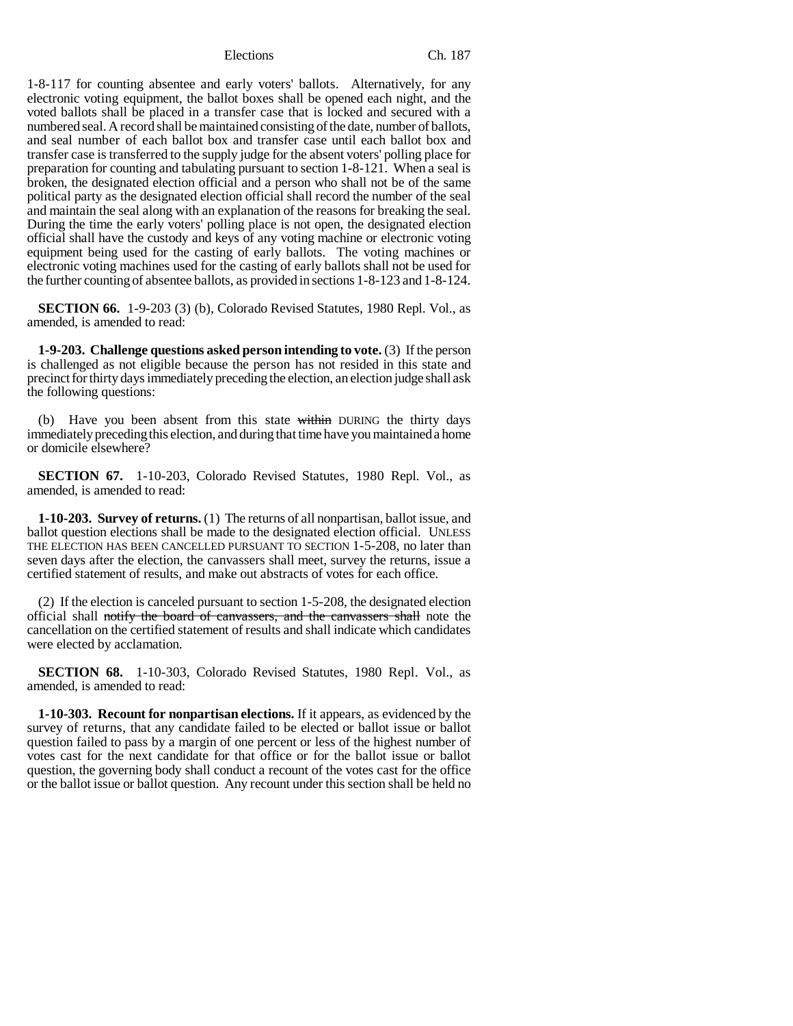1-8-117 for counting absentee and early voters' ballots. Alternatively, for any electronic voting equipment, the ballot boxes shall be opened each night, and the voted ballots shall be placed in a transfer case that is locked and secured with a numbered seal. A record shall be maintained consisting of the date, number of ballots, and seal number of each ballot box and transfer case until each ballot box and transfer case is transferred to the supply judge for the absent voters' polling place for preparation for counting and tabulating pursuant to section 1-8-121. When a seal is broken, the designated election official and a person who shall not be of the same political party as the designated election official shall record the number of the seal and maintain the seal along with an explanation of the reasons for breaking the seal. During the time the early voters' polling place is not open, the designated election official shall have the custody and keys of any voting machine or electronic voting equipment being used for the casting of early ballots. The voting machines or electronic voting machines used for the casting of early ballots shall not be used for the further counting of absentee ballots, as provided in sections 1-8-123 and 1-8-124.

**SECTION 66.** 1-9-203 (3) (b), Colorado Revised Statutes, 1980 Repl. Vol., as amended, is amended to read:

**1-9-203. Challenge questions asked person intending to vote.** (3) If the person is challenged as not eligible because the person has not resided in this state and precinct for thirty days immediately preceding the election, an election judge shall ask the following questions:

(b) Have you been absent from this state  $\frac{1}{w}$  thin DURING the thirty days immediately preceding this election, and during that time have you maintained a home or domicile elsewhere?

**SECTION 67.** 1-10-203, Colorado Revised Statutes, 1980 Repl. Vol., as amended, is amended to read:

**1-10-203. Survey of returns.** (1) The returns of all nonpartisan, ballot issue, and ballot question elections shall be made to the designated election official. UNLESS THE ELECTION HAS BEEN CANCELLED PURSUANT TO SECTION 1-5-208, no later than seven days after the election, the canvassers shall meet, survey the returns, issue a certified statement of results, and make out abstracts of votes for each office.

(2) If the election is canceled pursuant to section 1-5-208, the designated election official shall notify the board of canvassers, and the canvassers shall note the cancellation on the certified statement of results and shall indicate which candidates were elected by acclamation.

**SECTION 68.** 1-10-303, Colorado Revised Statutes, 1980 Repl. Vol., as amended, is amended to read:

**1-10-303. Recount for nonpartisan elections.** If it appears, as evidenced by the survey of returns, that any candidate failed to be elected or ballot issue or ballot question failed to pass by a margin of one percent or less of the highest number of votes cast for the next candidate for that office or for the ballot issue or ballot question, the governing body shall conduct a recount of the votes cast for the office or the ballot issue or ballot question. Any recount under this section shall be held no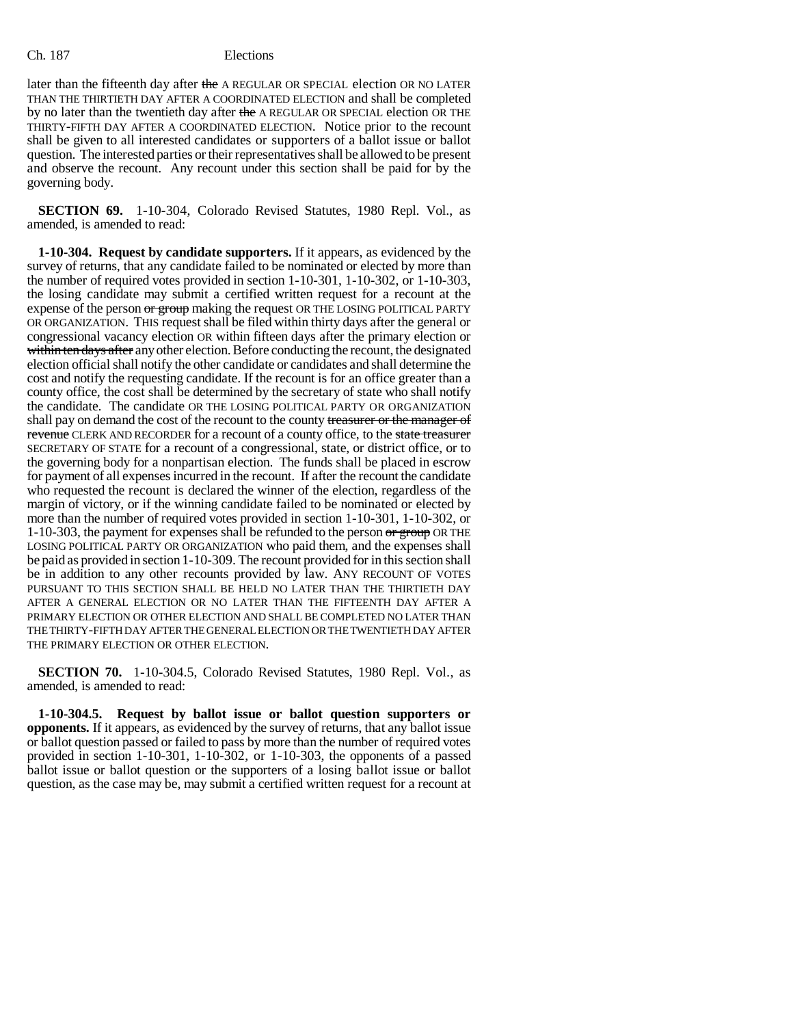later than the fifteenth day after the A REGULAR OR SPECIAL election OR NO LATER THAN THE THIRTIETH DAY AFTER A COORDINATED ELECTION and shall be completed by no later than the twentieth day after the A REGULAR OR SPECIAL election OR THE THIRTY-FIFTH DAY AFTER A COORDINATED ELECTION. Notice prior to the recount shall be given to all interested candidates or supporters of a ballot issue or ballot question. The interested parties or their representatives shall be allowed to be present and observe the recount. Any recount under this section shall be paid for by the governing body.

**SECTION 69.** 1-10-304, Colorado Revised Statutes, 1980 Repl. Vol., as amended, is amended to read:

**1-10-304. Request by candidate supporters.** If it appears, as evidenced by the survey of returns, that any candidate failed to be nominated or elected by more than the number of required votes provided in section 1-10-301, 1-10-302, or 1-10-303, the losing candidate may submit a certified written request for a recount at the expense of the person or group making the request OR THE LOSING POLITICAL PARTY OR ORGANIZATION. THIS request shall be filed within thirty days after the general or congressional vacancy election OR within fifteen days after the primary election or within ten days after any other election. Before conducting the recount, the designated election official shall notify the other candidate or candidates and shall determine the cost and notify the requesting candidate. If the recount is for an office greater than a county office, the cost shall be determined by the secretary of state who shall notify the candidate. The candidate OR THE LOSING POLITICAL PARTY OR ORGANIZATION shall pay on demand the cost of the recount to the county treasurer or the manager of revenue CLERK AND RECORDER for a recount of a county office, to the state treasurer SECRETARY OF STATE for a recount of a congressional, state, or district office, or to the governing body for a nonpartisan election. The funds shall be placed in escrow for payment of all expenses incurred in the recount. If after the recount the candidate who requested the recount is declared the winner of the election, regardless of the margin of victory, or if the winning candidate failed to be nominated or elected by more than the number of required votes provided in section 1-10-301, 1-10-302, or 1-10-303, the payment for expenses shall be refunded to the person or group OR THE LOSING POLITICAL PARTY OR ORGANIZATION who paid them, and the expenses shall be paid as provided in section 1-10-309. The recount provided for in this section shall be in addition to any other recounts provided by law. ANY RECOUNT OF VOTES PURSUANT TO THIS SECTION SHALL BE HELD NO LATER THAN THE THIRTIETH DAY AFTER A GENERAL ELECTION OR NO LATER THAN THE FIFTEENTH DAY AFTER A PRIMARY ELECTION OR OTHER ELECTION AND SHALL BE COMPLETED NO LATER THAN THE THIRTY-FIFTH DAY AFTER THE GENERAL ELECTION OR THE TWENTIETH DAY AFTER THE PRIMARY ELECTION OR OTHER ELECTION.

**SECTION 70.** 1-10-304.5, Colorado Revised Statutes, 1980 Repl. Vol., as amended, is amended to read:

**1-10-304.5. Request by ballot issue or ballot question supporters or opponents.** If it appears, as evidenced by the survey of returns, that any ballot issue or ballot question passed or failed to pass by more than the number of required votes provided in section 1-10-301, 1-10-302, or 1-10-303, the opponents of a passed ballot issue or ballot question or the supporters of a losing ballot issue or ballot question, as the case may be, may submit a certified written request for a recount at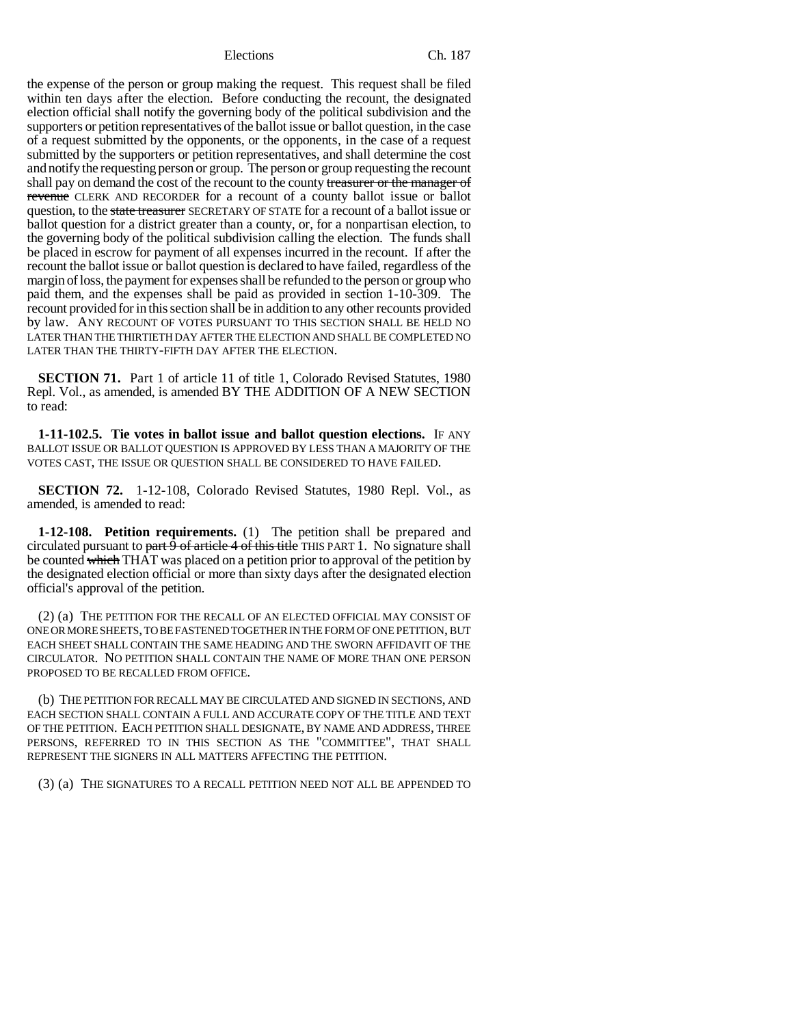the expense of the person or group making the request. This request shall be filed within ten days after the election. Before conducting the recount, the designated election official shall notify the governing body of the political subdivision and the supporters or petition representatives of the ballot issue or ballot question, in the case of a request submitted by the opponents, or the opponents, in the case of a request submitted by the supporters or petition representatives, and shall determine the cost and notify the requesting person or group. The person or group requesting the recount shall pay on demand the cost of the recount to the county treasurer or the manager of revenue CLERK AND RECORDER for a recount of a county ballot issue or ballot question, to the state treasurer SECRETARY OF STATE for a recount of a ballot issue or ballot question for a district greater than a county, or, for a nonpartisan election, to the governing body of the political subdivision calling the election. The funds shall be placed in escrow for payment of all expenses incurred in the recount. If after the recount the ballot issue or ballot question is declared to have failed, regardless of the margin of loss, the payment for expenses shall be refunded to the person or group who paid them, and the expenses shall be paid as provided in section 1-10-309. The recount provided for in this section shall be in addition to any other recounts provided by law. ANY RECOUNT OF VOTES PURSUANT TO THIS SECTION SHALL BE HELD NO LATER THAN THE THIRTIETH DAY AFTER THE ELECTION AND SHALL BE COMPLETED NO LATER THAN THE THIRTY-FIFTH DAY AFTER THE ELECTION.

**SECTION 71.** Part 1 of article 11 of title 1, Colorado Revised Statutes, 1980 Repl. Vol., as amended, is amended BY THE ADDITION OF A NEW SECTION to read:

**1-11-102.5. Tie votes in ballot issue and ballot question elections.** IF ANY BALLOT ISSUE OR BALLOT QUESTION IS APPROVED BY LESS THAN A MAJORITY OF THE VOTES CAST, THE ISSUE OR QUESTION SHALL BE CONSIDERED TO HAVE FAILED.

**SECTION 72.** 1-12-108, Colorado Revised Statutes, 1980 Repl. Vol., as amended, is amended to read:

**1-12-108. Petition requirements.** (1) The petition shall be prepared and circulated pursuant to part 9 of article 4 of this title THIS PART 1. No signature shall be counted which THAT was placed on a petition prior to approval of the petition by the designated election official or more than sixty days after the designated election official's approval of the petition.

(2) (a) THE PETITION FOR THE RECALL OF AN ELECTED OFFICIAL MAY CONSIST OF ONE OR MORE SHEETS, TO BE FASTENED TOGETHER IN THE FORM OF ONE PETITION, BUT EACH SHEET SHALL CONTAIN THE SAME HEADING AND THE SWORN AFFIDAVIT OF THE CIRCULATOR. NO PETITION SHALL CONTAIN THE NAME OF MORE THAN ONE PERSON PROPOSED TO BE RECALLED FROM OFFICE.

(b) THE PETITION FOR RECALL MAY BE CIRCULATED AND SIGNED IN SECTIONS, AND EACH SECTION SHALL CONTAIN A FULL AND ACCURATE COPY OF THE TITLE AND TEXT OF THE PETITION. EACH PETITION SHALL DESIGNATE, BY NAME AND ADDRESS, THREE PERSONS, REFERRED TO IN THIS SECTION AS THE "COMMITTEE", THAT SHALL REPRESENT THE SIGNERS IN ALL MATTERS AFFECTING THE PETITION.

(3) (a) THE SIGNATURES TO A RECALL PETITION NEED NOT ALL BE APPENDED TO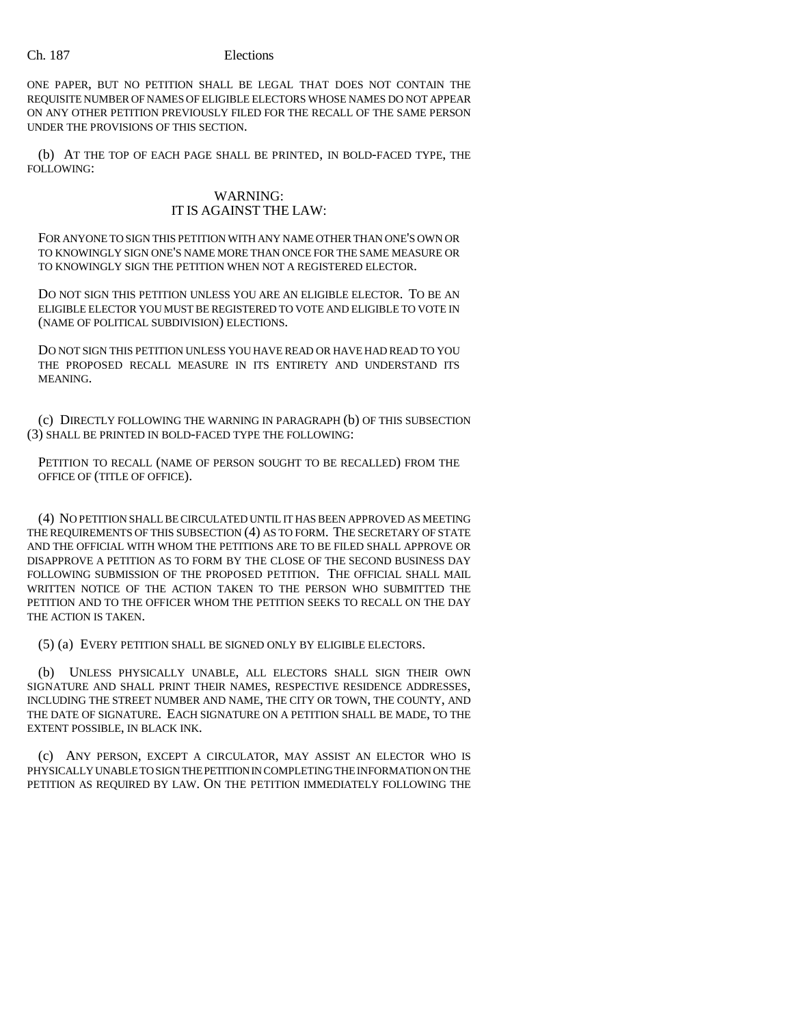ONE PAPER, BUT NO PETITION SHALL BE LEGAL THAT DOES NOT CONTAIN THE REQUISITE NUMBER OF NAMES OF ELIGIBLE ELECTORS WHOSE NAMES DO NOT APPEAR ON ANY OTHER PETITION PREVIOUSLY FILED FOR THE RECALL OF THE SAME PERSON UNDER THE PROVISIONS OF THIS SECTION.

(b) AT THE TOP OF EACH PAGE SHALL BE PRINTED, IN BOLD-FACED TYPE, THE FOLLOWING:

# WARNING: IT IS AGAINST THE LAW:

FOR ANYONE TO SIGN THIS PETITION WITH ANY NAME OTHER THAN ONE'S OWN OR TO KNOWINGLY SIGN ONE'S NAME MORE THAN ONCE FOR THE SAME MEASURE OR TO KNOWINGLY SIGN THE PETITION WHEN NOT A REGISTERED ELECTOR.

DO NOT SIGN THIS PETITION UNLESS YOU ARE AN ELIGIBLE ELECTOR. TO BE AN ELIGIBLE ELECTOR YOU MUST BE REGISTERED TO VOTE AND ELIGIBLE TO VOTE IN (NAME OF POLITICAL SUBDIVISION) ELECTIONS.

DO NOT SIGN THIS PETITION UNLESS YOU HAVE READ OR HAVE HAD READ TO YOU THE PROPOSED RECALL MEASURE IN ITS ENTIRETY AND UNDERSTAND ITS MEANING.

(c) DIRECTLY FOLLOWING THE WARNING IN PARAGRAPH (b) OF THIS SUBSECTION (3) SHALL BE PRINTED IN BOLD-FACED TYPE THE FOLLOWING:

PETITION TO RECALL (NAME OF PERSON SOUGHT TO BE RECALLED) FROM THE OFFICE OF (TITLE OF OFFICE).

(4) NO PETITION SHALL BE CIRCULATED UNTIL IT HAS BEEN APPROVED AS MEETING THE REQUIREMENTS OF THIS SUBSECTION (4) AS TO FORM. THE SECRETARY OF STATE AND THE OFFICIAL WITH WHOM THE PETITIONS ARE TO BE FILED SHALL APPROVE OR DISAPPROVE A PETITION AS TO FORM BY THE CLOSE OF THE SECOND BUSINESS DAY FOLLOWING SUBMISSION OF THE PROPOSED PETITION. THE OFFICIAL SHALL MAIL WRITTEN NOTICE OF THE ACTION TAKEN TO THE PERSON WHO SUBMITTED THE PETITION AND TO THE OFFICER WHOM THE PETITION SEEKS TO RECALL ON THE DAY THE ACTION IS TAKEN.

(5) (a) EVERY PETITION SHALL BE SIGNED ONLY BY ELIGIBLE ELECTORS.

(b) UNLESS PHYSICALLY UNABLE, ALL ELECTORS SHALL SIGN THEIR OWN SIGNATURE AND SHALL PRINT THEIR NAMES, RESPECTIVE RESIDENCE ADDRESSES, INCLUDING THE STREET NUMBER AND NAME, THE CITY OR TOWN, THE COUNTY, AND THE DATE OF SIGNATURE. EACH SIGNATURE ON A PETITION SHALL BE MADE, TO THE EXTENT POSSIBLE, IN BLACK INK.

(c) ANY PERSON, EXCEPT A CIRCULATOR, MAY ASSIST AN ELECTOR WHO IS PHYSICALLY UNABLE TO SIGN THE PETITION IN COMPLETING THE INFORMATION ON THE PETITION AS REQUIRED BY LAW. ON THE PETITION IMMEDIATELY FOLLOWING THE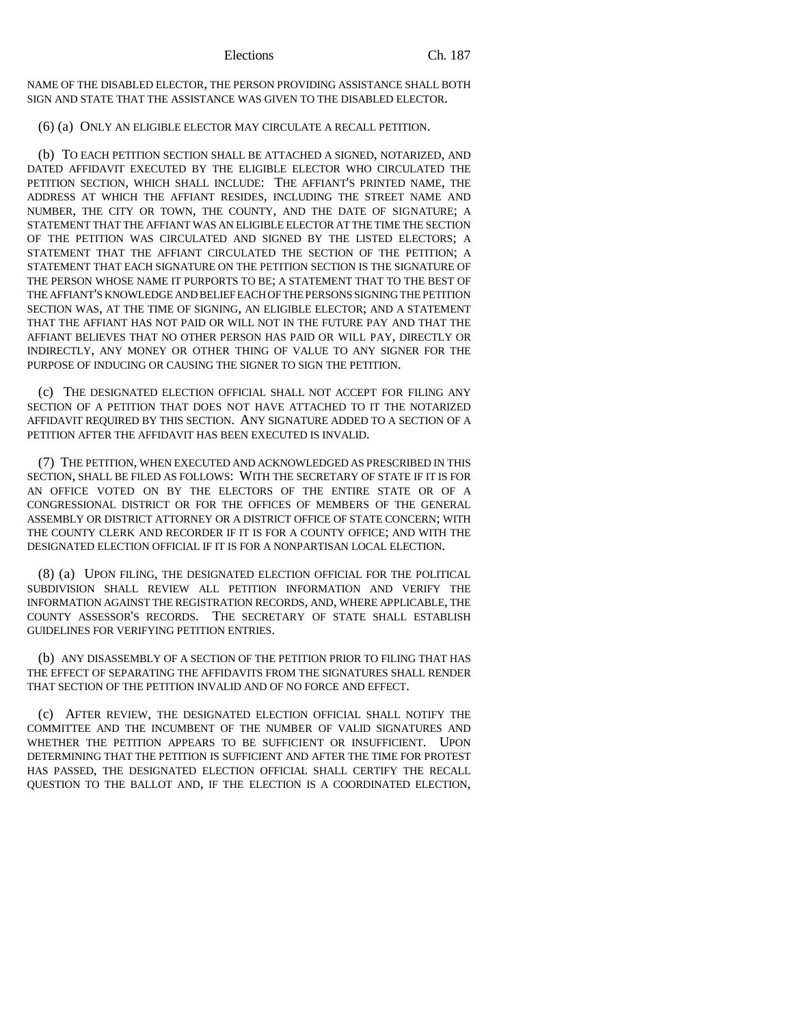NAME OF THE DISABLED ELECTOR, THE PERSON PROVIDING ASSISTANCE SHALL BOTH SIGN AND STATE THAT THE ASSISTANCE WAS GIVEN TO THE DISABLED ELECTOR.

# (6) (a) ONLY AN ELIGIBLE ELECTOR MAY CIRCULATE A RECALL PETITION.

(b) TO EACH PETITION SECTION SHALL BE ATTACHED A SIGNED, NOTARIZED, AND DATED AFFIDAVIT EXECUTED BY THE ELIGIBLE ELECTOR WHO CIRCULATED THE PETITION SECTION, WHICH SHALL INCLUDE: THE AFFIANT'S PRINTED NAME, THE ADDRESS AT WHICH THE AFFIANT RESIDES, INCLUDING THE STREET NAME AND NUMBER, THE CITY OR TOWN, THE COUNTY, AND THE DATE OF SIGNATURE; A STATEMENT THAT THE AFFIANT WAS AN ELIGIBLE ELECTOR AT THE TIME THE SECTION OF THE PETITION WAS CIRCULATED AND SIGNED BY THE LISTED ELECTORS; A STATEMENT THAT THE AFFIANT CIRCULATED THE SECTION OF THE PETITION; A STATEMENT THAT EACH SIGNATURE ON THE PETITION SECTION IS THE SIGNATURE OF THE PERSON WHOSE NAME IT PURPORTS TO BE; A STATEMENT THAT TO THE BEST OF THE AFFIANT'S KNOWLEDGE AND BELIEF EACH OF THE PERSONS SIGNING THE PETITION SECTION WAS, AT THE TIME OF SIGNING, AN ELIGIBLE ELECTOR; AND A STATEMENT THAT THE AFFIANT HAS NOT PAID OR WILL NOT IN THE FUTURE PAY AND THAT THE AFFIANT BELIEVES THAT NO OTHER PERSON HAS PAID OR WILL PAY, DIRECTLY OR INDIRECTLY, ANY MONEY OR OTHER THING OF VALUE TO ANY SIGNER FOR THE PURPOSE OF INDUCING OR CAUSING THE SIGNER TO SIGN THE PETITION.

(c) THE DESIGNATED ELECTION OFFICIAL SHALL NOT ACCEPT FOR FILING ANY SECTION OF A PETITION THAT DOES NOT HAVE ATTACHED TO IT THE NOTARIZED AFFIDAVIT REQUIRED BY THIS SECTION. ANY SIGNATURE ADDED TO A SECTION OF A PETITION AFTER THE AFFIDAVIT HAS BEEN EXECUTED IS INVALID.

(7) THE PETITION, WHEN EXECUTED AND ACKNOWLEDGED AS PRESCRIBED IN THIS SECTION, SHALL BE FILED AS FOLLOWS: WITH THE SECRETARY OF STATE IF IT IS FOR AN OFFICE VOTED ON BY THE ELECTORS OF THE ENTIRE STATE OR OF A CONGRESSIONAL DISTRICT OR FOR THE OFFICES OF MEMBERS OF THE GENERAL ASSEMBLY OR DISTRICT ATTORNEY OR A DISTRICT OFFICE OF STATE CONCERN; WITH THE COUNTY CLERK AND RECORDER IF IT IS FOR A COUNTY OFFICE; AND WITH THE DESIGNATED ELECTION OFFICIAL IF IT IS FOR A NONPARTISAN LOCAL ELECTION.

(8) (a) UPON FILING, THE DESIGNATED ELECTION OFFICIAL FOR THE POLITICAL SUBDIVISION SHALL REVIEW ALL PETITION INFORMATION AND VERIFY THE INFORMATION AGAINST THE REGISTRATION RECORDS, AND, WHERE APPLICABLE, THE COUNTY ASSESSOR'S RECORDS. THE SECRETARY OF STATE SHALL ESTABLISH GUIDELINES FOR VERIFYING PETITION ENTRIES.

(b) ANY DISASSEMBLY OF A SECTION OF THE PETITION PRIOR TO FILING THAT HAS THE EFFECT OF SEPARATING THE AFFIDAVITS FROM THE SIGNATURES SHALL RENDER THAT SECTION OF THE PETITION INVALID AND OF NO FORCE AND EFFECT.

(c) AFTER REVIEW, THE DESIGNATED ELECTION OFFICIAL SHALL NOTIFY THE COMMITTEE AND THE INCUMBENT OF THE NUMBER OF VALID SIGNATURES AND WHETHER THE PETITION APPEARS TO BE SUFFICIENT OR INSUFFICIENT. UPON DETERMINING THAT THE PETITION IS SUFFICIENT AND AFTER THE TIME FOR PROTEST HAS PASSED, THE DESIGNATED ELECTION OFFICIAL SHALL CERTIFY THE RECALL QUESTION TO THE BALLOT AND, IF THE ELECTION IS A COORDINATED ELECTION,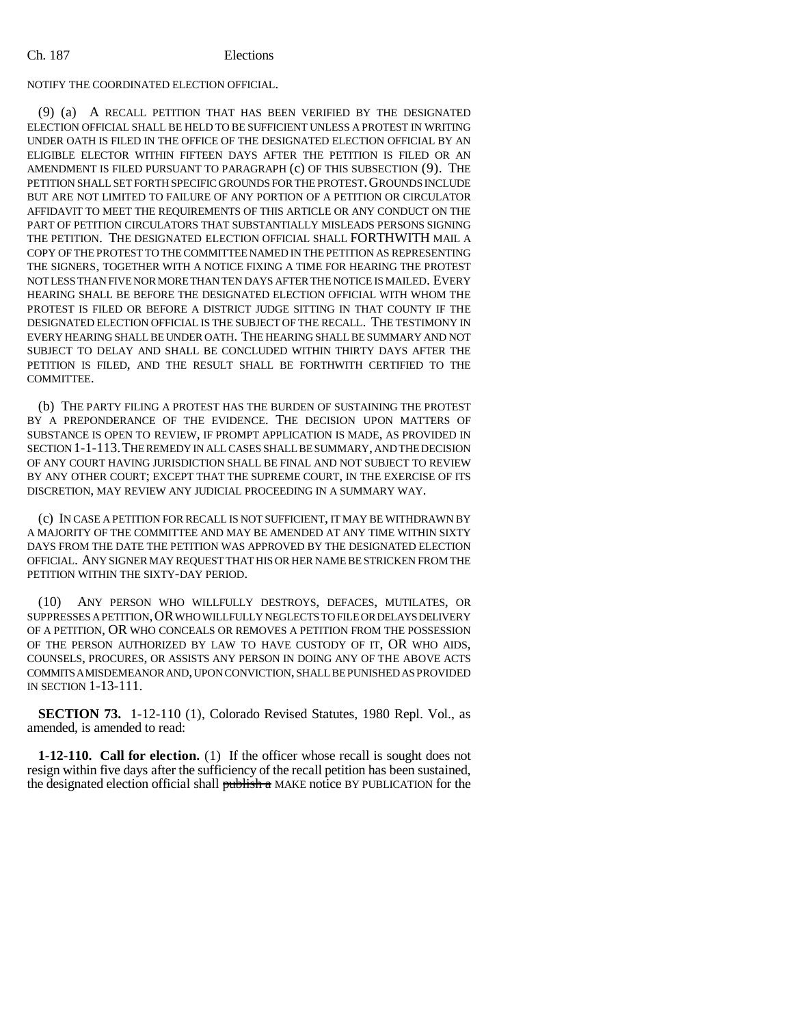#### NOTIFY THE COORDINATED ELECTION OFFICIAL.

(9) (a) A RECALL PETITION THAT HAS BEEN VERIFIED BY THE DESIGNATED ELECTION OFFICIAL SHALL BE HELD TO BE SUFFICIENT UNLESS A PROTEST IN WRITING UNDER OATH IS FILED IN THE OFFICE OF THE DESIGNATED ELECTION OFFICIAL BY AN ELIGIBLE ELECTOR WITHIN FIFTEEN DAYS AFTER THE PETITION IS FILED OR AN AMENDMENT IS FILED PURSUANT TO PARAGRAPH (c) OF THIS SUBSECTION (9). THE PETITION SHALL SET FORTH SPECIFIC GROUNDS FOR THE PROTEST. GROUNDS INCLUDE BUT ARE NOT LIMITED TO FAILURE OF ANY PORTION OF A PETITION OR CIRCULATOR AFFIDAVIT TO MEET THE REQUIREMENTS OF THIS ARTICLE OR ANY CONDUCT ON THE PART OF PETITION CIRCULATORS THAT SUBSTANTIALLY MISLEADS PERSONS SIGNING THE PETITION. THE DESIGNATED ELECTION OFFICIAL SHALL FORTHWITH MAIL A COPY OF THE PROTEST TO THE COMMITTEE NAMED IN THE PETITION AS REPRESENTING THE SIGNERS, TOGETHER WITH A NOTICE FIXING A TIME FOR HEARING THE PROTEST NOT LESS THAN FIVE NOR MORE THAN TEN DAYS AFTER THE NOTICE IS MAILED. EVERY HEARING SHALL BE BEFORE THE DESIGNATED ELECTION OFFICIAL WITH WHOM THE PROTEST IS FILED OR BEFORE A DISTRICT JUDGE SITTING IN THAT COUNTY IF THE DESIGNATED ELECTION OFFICIAL IS THE SUBJECT OF THE RECALL. THE TESTIMONY IN EVERY HEARING SHALL BE UNDER OATH. THE HEARING SHALL BE SUMMARY AND NOT SUBJECT TO DELAY AND SHALL BE CONCLUDED WITHIN THIRTY DAYS AFTER THE PETITION IS FILED, AND THE RESULT SHALL BE FORTHWITH CERTIFIED TO THE COMMITTEE.

(b) THE PARTY FILING A PROTEST HAS THE BURDEN OF SUSTAINING THE PROTEST BY A PREPONDERANCE OF THE EVIDENCE. THE DECISION UPON MATTERS OF SUBSTANCE IS OPEN TO REVIEW, IF PROMPT APPLICATION IS MADE, AS PROVIDED IN SECTION 1-1-113.THE REMEDY IN ALL CASES SHALL BE SUMMARY, AND THE DECISION OF ANY COURT HAVING JURISDICTION SHALL BE FINAL AND NOT SUBJECT TO REVIEW BY ANY OTHER COURT; EXCEPT THAT THE SUPREME COURT, IN THE EXERCISE OF ITS DISCRETION, MAY REVIEW ANY JUDICIAL PROCEEDING IN A SUMMARY WAY.

(c) IN CASE A PETITION FOR RECALL IS NOT SUFFICIENT, IT MAY BE WITHDRAWN BY A MAJORITY OF THE COMMITTEE AND MAY BE AMENDED AT ANY TIME WITHIN SIXTY DAYS FROM THE DATE THE PETITION WAS APPROVED BY THE DESIGNATED ELECTION OFFICIAL. ANY SIGNER MAY REQUEST THAT HIS OR HER NAME BE STRICKEN FROM THE PETITION WITHIN THE SIXTY-DAY PERIOD.

(10) ANY PERSON WHO WILLFULLY DESTROYS, DEFACES, MUTILATES, OR SUPPRESSES A PETITION,OR WHO WILLFULLY NEGLECTS TO FILE OR DELAYS DELIVERY OF A PETITION, OR WHO CONCEALS OR REMOVES A PETITION FROM THE POSSESSION OF THE PERSON AUTHORIZED BY LAW TO HAVE CUSTODY OF IT, OR WHO AIDS, COUNSELS, PROCURES, OR ASSISTS ANY PERSON IN DOING ANY OF THE ABOVE ACTS COMMITS A MISDEMEANOR AND, UPON CONVICTION, SHALL BE PUNISHED AS PROVIDED IN SECTION 1-13-111.

**SECTION 73.** 1-12-110 (1), Colorado Revised Statutes, 1980 Repl. Vol., as amended, is amended to read:

**1-12-110. Call for election.** (1) If the officer whose recall is sought does not resign within five days after the sufficiency of the recall petition has been sustained, the designated election official shall publish a MAKE notice BY PUBLICATION for the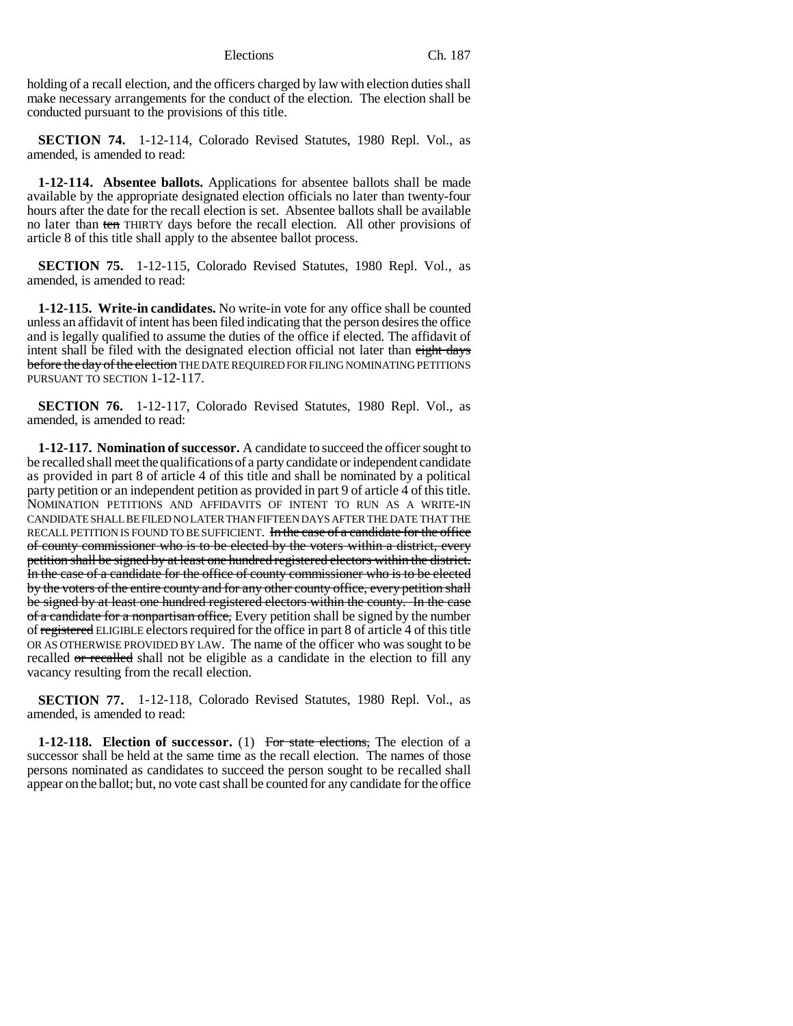holding of a recall election, and the officers charged by law with election duties shall make necessary arrangements for the conduct of the election. The election shall be conducted pursuant to the provisions of this title.

**SECTION 74.** 1-12-114, Colorado Revised Statutes, 1980 Repl. Vol., as amended, is amended to read:

**1-12-114. Absentee ballots.** Applications for absentee ballots shall be made available by the appropriate designated election officials no later than twenty-four hours after the date for the recall election is set. Absentee ballots shall be available no later than ten THIRTY days before the recall election. All other provisions of article 8 of this title shall apply to the absentee ballot process.

**SECTION 75.** 1-12-115, Colorado Revised Statutes, 1980 Repl. Vol., as amended, is amended to read:

**1-12-115. Write-in candidates.** No write-in vote for any office shall be counted unless an affidavit of intent has been filed indicating that the person desires the office and is legally qualified to assume the duties of the office if elected. The affidavit of intent shall be filed with the designated election official not later than eight days before the day of the election THE DATE REQUIRED FOR FILING NOMINATING PETITIONS PURSUANT TO SECTION 1-12-117.

**SECTION 76.** 1-12-117, Colorado Revised Statutes, 1980 Repl. Vol., as amended, is amended to read:

**1-12-117. Nomination of successor.** A candidate to succeed the officer sought to be recalled shall meet the qualifications of a party candidate or independent candidate as provided in part 8 of article 4 of this title and shall be nominated by a political party petition or an independent petition as provided in part 9 of article 4 of this title. NOMINATION PETITIONS AND AFFIDAVITS OF INTENT TO RUN AS A WRITE-IN CANDIDATE SHALL BE FILED NO LATER THAN FIFTEEN DAYS AFTER THE DATE THAT THE RECALL PETITION IS FOUND TO BE SUFFICIENT. In the case of a candidate for the office of county commissioner who is to be elected by the voters within a district, every petition shall be signed by at least one hundred registered electors within the district. In the case of a candidate for the office of county commissioner who is to be elected by the voters of the entire county and for any other county office, every petition shall be signed by at least one hundred registered electors within the county. In the case of a candidate for a nonpartisan office, Every petition shall be signed by the number of registered ELIGIBLE electors required for the office in part 8 of article 4 of this title OR AS OTHERWISE PROVIDED BY LAW. The name of the officer who was sought to be recalled or recalled shall not be eligible as a candidate in the election to fill any vacancy resulting from the recall election.

**SECTION 77.** 1-12-118, Colorado Revised Statutes, 1980 Repl. Vol., as amended, is amended to read:

**1-12-118.** Election of successor. (1) For state elections, The election of a successor shall be held at the same time as the recall election. The names of those persons nominated as candidates to succeed the person sought to be recalled shall appear on the ballot; but, no vote cast shall be counted for any candidate for the office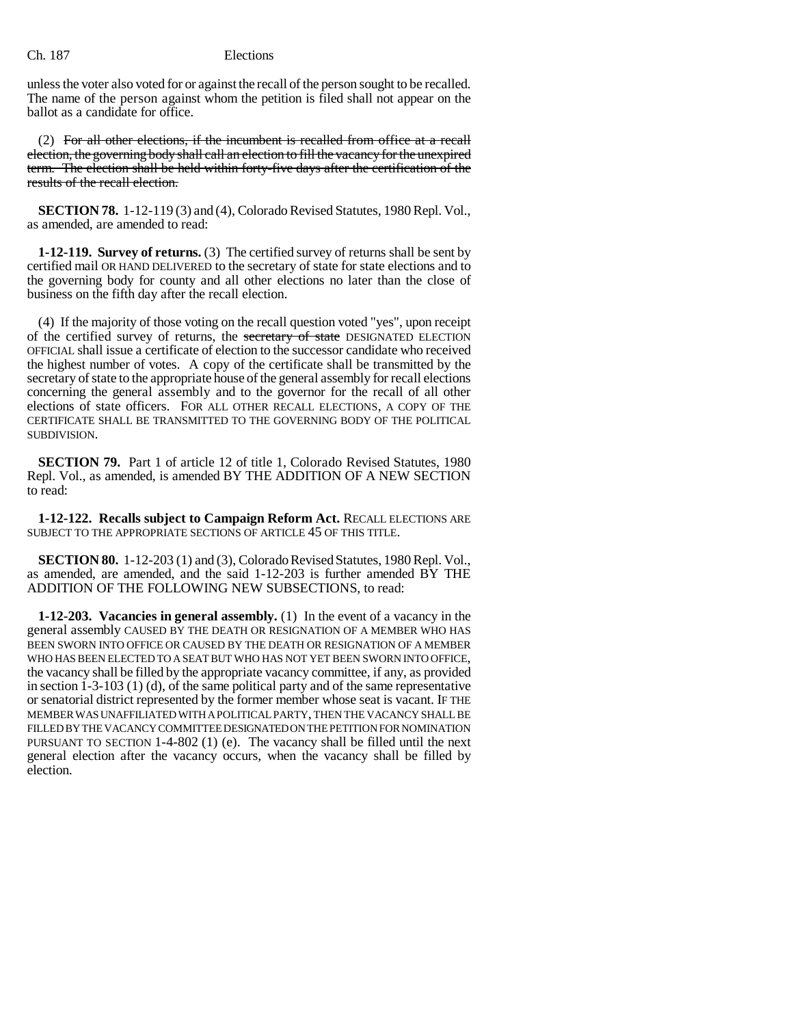unless the voter also voted for or against the recall of the person sought to be recalled. The name of the person against whom the petition is filed shall not appear on the ballot as a candidate for office.

(2) For all other elections, if the incumbent is recalled from office at a recall election, the governing body shall call an election to fill the vacancy for the unexpired term. The election shall be held within forty-five days after the certification of the results of the recall election.

**SECTION 78.** 1-12-119 (3) and (4), Colorado Revised Statutes, 1980 Repl. Vol., as amended, are amended to read:

**1-12-119. Survey of returns.** (3) The certified survey of returns shall be sent by certified mail OR HAND DELIVERED to the secretary of state for state elections and to the governing body for county and all other elections no later than the close of business on the fifth day after the recall election.

(4) If the majority of those voting on the recall question voted "yes", upon receipt of the certified survey of returns, the secretary of state DESIGNATED ELECTION OFFICIAL shall issue a certificate of election to the successor candidate who received the highest number of votes. A copy of the certificate shall be transmitted by the secretary of state to the appropriate house of the general assembly for recall elections concerning the general assembly and to the governor for the recall of all other elections of state officers. FOR ALL OTHER RECALL ELECTIONS, A COPY OF THE CERTIFICATE SHALL BE TRANSMITTED TO THE GOVERNING BODY OF THE POLITICAL SUBDIVISION.

**SECTION 79.** Part 1 of article 12 of title 1, Colorado Revised Statutes, 1980 Repl. Vol., as amended, is amended BY THE ADDITION OF A NEW SECTION to read:

**1-12-122. Recalls subject to Campaign Reform Act.** RECALL ELECTIONS ARE SUBJECT TO THE APPROPRIATE SECTIONS OF ARTICLE 45 OF THIS TITLE.

**SECTION 80.** 1-12-203 (1) and (3), Colorado Revised Statutes, 1980 Repl. Vol., as amended, are amended, and the said 1-12-203 is further amended BY THE ADDITION OF THE FOLLOWING NEW SUBSECTIONS, to read:

**1-12-203. Vacancies in general assembly.** (1) In the event of a vacancy in the general assembly CAUSED BY THE DEATH OR RESIGNATION OF A MEMBER WHO HAS BEEN SWORN INTO OFFICE OR CAUSED BY THE DEATH OR RESIGNATION OF A MEMBER WHO HAS BEEN ELECTED TO A SEAT BUT WHO HAS NOT YET BEEN SWORN INTO OFFICE, the vacancy shall be filled by the appropriate vacancy committee, if any, as provided in section  $1-3-103$  (1) (d), of the same political party and of the same representative or senatorial district represented by the former member whose seat is vacant. IF THE MEMBER WAS UNAFFILIATED WITH A POLITICAL PARTY, THEN THE VACANCY SHALL BE FILLED BY THE VACANCY COMMITTEE DESIGNATED ON THE PETITION FOR NOMINATION PURSUANT TO SECTION 1-4-802 (1) (e). The vacancy shall be filled until the next general election after the vacancy occurs, when the vacancy shall be filled by election.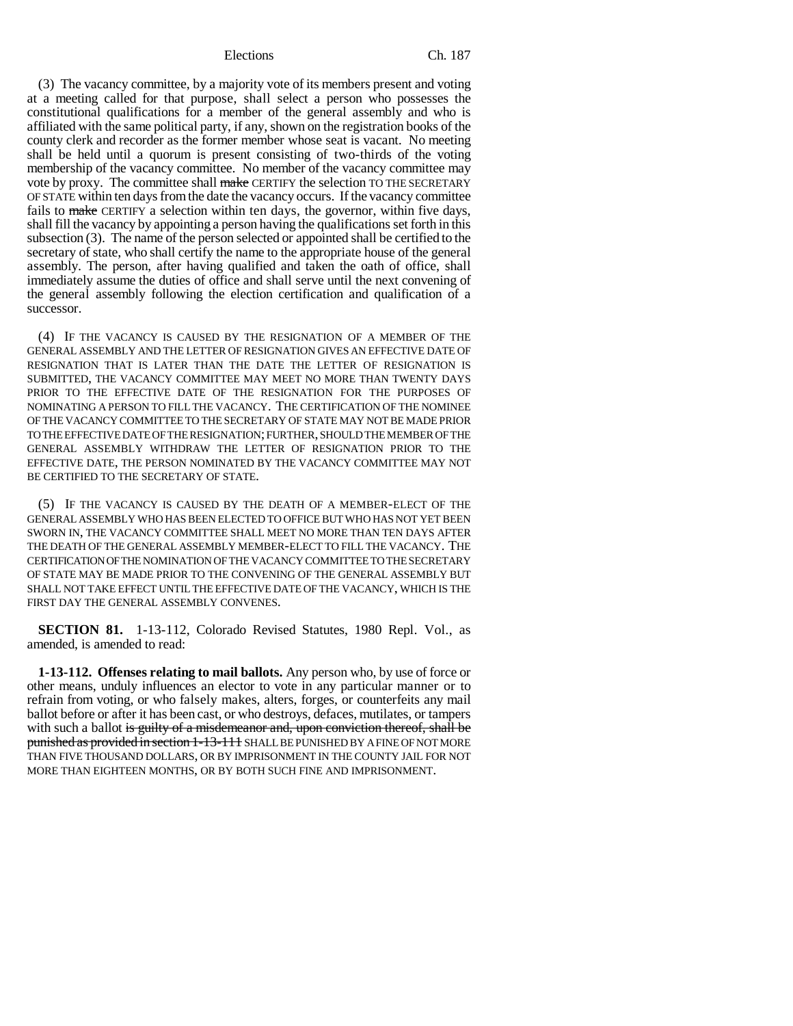(3) The vacancy committee, by a majority vote of its members present and voting at a meeting called for that purpose, shall select a person who possesses the constitutional qualifications for a member of the general assembly and who is affiliated with the same political party, if any, shown on the registration books of the county clerk and recorder as the former member whose seat is vacant. No meeting shall be held until a quorum is present consisting of two-thirds of the voting membership of the vacancy committee. No member of the vacancy committee may vote by proxy. The committee shall make CERTIFY the selection TO THE SECRETARY OF STATE within ten days from the date the vacancy occurs. If the vacancy committee fails to make CERTIFY a selection within ten days, the governor, within five days, shall fill the vacancy by appointing a person having the qualifications set forth in this subsection (3). The name of the person selected or appointed shall be certified to the secretary of state, who shall certify the name to the appropriate house of the general assembly. The person, after having qualified and taken the oath of office, shall immediately assume the duties of office and shall serve until the next convening of the general assembly following the election certification and qualification of a successor.

(4) IF THE VACANCY IS CAUSED BY THE RESIGNATION OF A MEMBER OF THE GENERAL ASSEMBLY AND THE LETTER OF RESIGNATION GIVES AN EFFECTIVE DATE OF RESIGNATION THAT IS LATER THAN THE DATE THE LETTER OF RESIGNATION IS SUBMITTED, THE VACANCY COMMITTEE MAY MEET NO MORE THAN TWENTY DAYS PRIOR TO THE EFFECTIVE DATE OF THE RESIGNATION FOR THE PURPOSES OF NOMINATING A PERSON TO FILL THE VACANCY. THE CERTIFICATION OF THE NOMINEE OF THE VACANCY COMMITTEE TO THE SECRETARY OF STATE MAY NOT BE MADE PRIOR TO THE EFFECTIVE DATE OF THE RESIGNATION; FURTHER, SHOULD THE MEMBER OF THE GENERAL ASSEMBLY WITHDRAW THE LETTER OF RESIGNATION PRIOR TO THE EFFECTIVE DATE, THE PERSON NOMINATED BY THE VACANCY COMMITTEE MAY NOT BE CERTIFIED TO THE SECRETARY OF STATE.

(5) IF THE VACANCY IS CAUSED BY THE DEATH OF A MEMBER-ELECT OF THE GENERAL ASSEMBLY WHO HAS BEEN ELECTED TO OFFICE BUT WHO HAS NOT YET BEEN SWORN IN, THE VACANCY COMMITTEE SHALL MEET NO MORE THAN TEN DAYS AFTER THE DEATH OF THE GENERAL ASSEMBLY MEMBER-ELECT TO FILL THE VACANCY. THE CERTIFICATION OF THE NOMINATION OF THE VACANCY COMMITTEE TO THE SECRETARY OF STATE MAY BE MADE PRIOR TO THE CONVENING OF THE GENERAL ASSEMBLY BUT SHALL NOT TAKE EFFECT UNTIL THE EFFECTIVE DATE OF THE VACANCY, WHICH IS THE FIRST DAY THE GENERAL ASSEMBLY CONVENES.

**SECTION 81.** 1-13-112, Colorado Revised Statutes, 1980 Repl. Vol., as amended, is amended to read:

**1-13-112. Offenses relating to mail ballots.** Any person who, by use of force or other means, unduly influences an elector to vote in any particular manner or to refrain from voting, or who falsely makes, alters, forges, or counterfeits any mail ballot before or after it has been cast, or who destroys, defaces, mutilates, or tampers with such a ballot is guilty of a misdemeanor and, upon conviction thereof, shall be punished as provided in section 1-13-111 SHALL BE PUNISHED BY A FINE OF NOT MORE THAN FIVE THOUSAND DOLLARS, OR BY IMPRISONMENT IN THE COUNTY JAIL FOR NOT MORE THAN EIGHTEEN MONTHS, OR BY BOTH SUCH FINE AND IMPRISONMENT.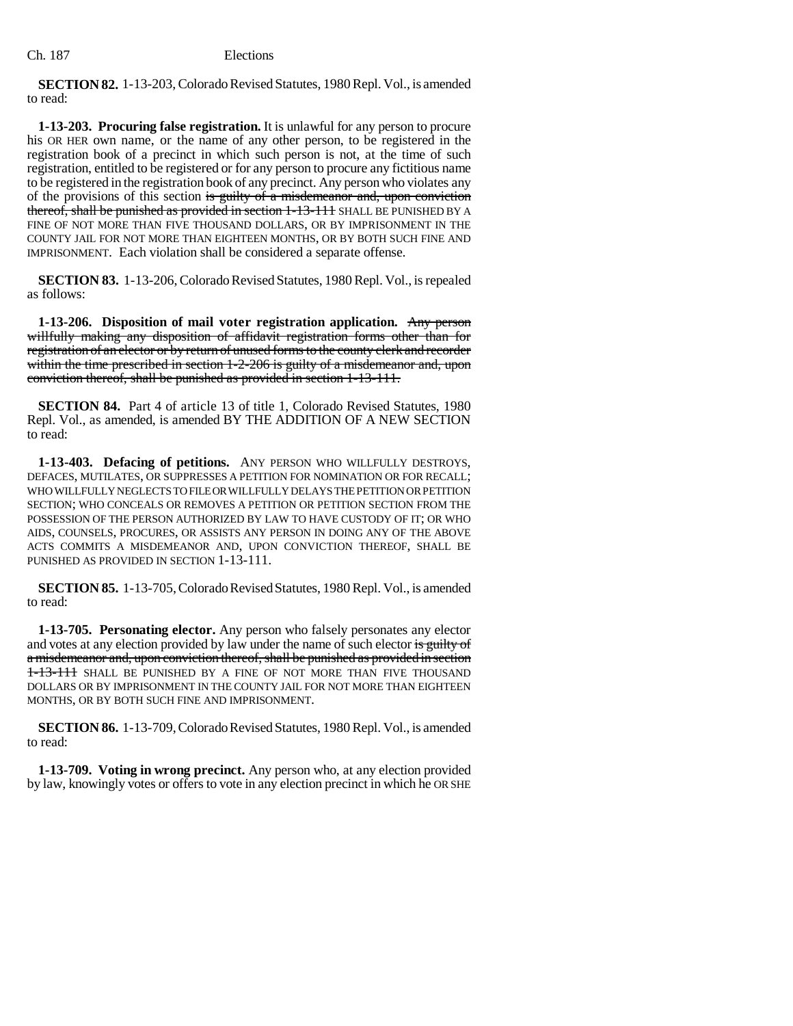**SECTION 82.** 1-13-203, Colorado Revised Statutes, 1980 Repl. Vol., is amended to read:

**1-13-203. Procuring false registration.** It is unlawful for any person to procure his OR HER own name, or the name of any other person, to be registered in the registration book of a precinct in which such person is not, at the time of such registration, entitled to be registered or for any person to procure any fictitious name to be registered in the registration book of any precinct. Any person who violates any of the provisions of this section is guilty of a misdemeanor and, upon conviction thereof, shall be punished as provided in section 1-13-111 SHALL BE PUNISHED BY A FINE OF NOT MORE THAN FIVE THOUSAND DOLLARS, OR BY IMPRISONMENT IN THE COUNTY JAIL FOR NOT MORE THAN EIGHTEEN MONTHS, OR BY BOTH SUCH FINE AND IMPRISONMENT. Each violation shall be considered a separate offense.

**SECTION 83.** 1-13-206, Colorado Revised Statutes, 1980 Repl. Vol., is repealed as follows:

**1-13-206. Disposition of mail voter registration application.** Any person willfully making any disposition of affidavit registration forms other than for registration of an elector or by return of unused forms to the county clerk and recorder within the time prescribed in section 1-2-206 is guilty of a misdemeanor and, upon conviction thereof, shall be punished as provided in section 1-13-111.

**SECTION 84.** Part 4 of article 13 of title 1, Colorado Revised Statutes, 1980 Repl. Vol., as amended, is amended BY THE ADDITION OF A NEW SECTION to read:

**1-13-403. Defacing of petitions.** ANY PERSON WHO WILLFULLY DESTROYS, DEFACES, MUTILATES, OR SUPPRESSES A PETITION FOR NOMINATION OR FOR RECALL; WHO WILLFULLY NEGLECTS TO FILE OR WILLFULLY DELAYS THE PETITION OR PETITION SECTION; WHO CONCEALS OR REMOVES A PETITION OR PETITION SECTION FROM THE POSSESSION OF THE PERSON AUTHORIZED BY LAW TO HAVE CUSTODY OF IT; OR WHO AIDS, COUNSELS, PROCURES, OR ASSISTS ANY PERSON IN DOING ANY OF THE ABOVE ACTS COMMITS A MISDEMEANOR AND, UPON CONVICTION THEREOF, SHALL BE PUNISHED AS PROVIDED IN SECTION 1-13-111.

**SECTION 85.** 1-13-705, Colorado Revised Statutes, 1980 Repl. Vol., is amended to read:

**1-13-705. Personating elector.** Any person who falsely personates any elector and votes at any election provided by law under the name of such elector is guilty of a misdemeanor and, upon conviction thereof, shall be punished as provided in section 1-13-111 SHALL BE PUNISHED BY A FINE OF NOT MORE THAN FIVE THOUSAND DOLLARS OR BY IMPRISONMENT IN THE COUNTY JAIL FOR NOT MORE THAN EIGHTEEN MONTHS, OR BY BOTH SUCH FINE AND IMPRISONMENT.

**SECTION 86.** 1-13-709, Colorado Revised Statutes, 1980 Repl. Vol., is amended to read:

**1-13-709. Voting in wrong precinct.** Any person who, at any election provided by law, knowingly votes or offers to vote in any election precinct in which he OR SHE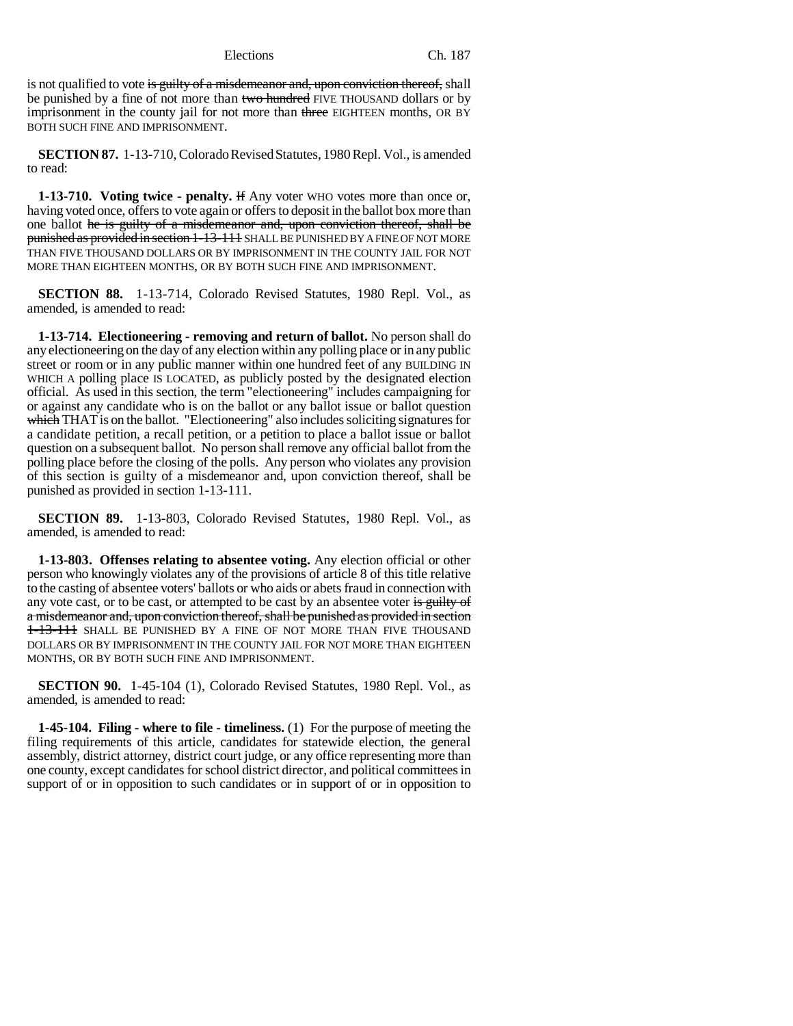is not qualified to vote is guilty of a misdemeanor and, upon conviction thereof, shall be punished by a fine of not more than two hundred FIVE THOUSAND dollars or by imprisonment in the county jail for not more than three EIGHTEEN months, OR BY BOTH SUCH FINE AND IMPRISONMENT.

**SECTION 87.** 1-13-710, Colorado Revised Statutes, 1980 Repl. Vol., is amended to read:

**1-13-710. Voting twice - penalty.** If Any voter WHO votes more than once or, having voted once, offers to vote again or offers to deposit in the ballot box more than one ballot he is guilty of a misdemeanor and, upon conviction thereof, shall be punished as provided in section 1-13-111 SHALL BE PUNISHED BY A FINE OF NOT MORE THAN FIVE THOUSAND DOLLARS OR BY IMPRISONMENT IN THE COUNTY JAIL FOR NOT MORE THAN EIGHTEEN MONTHS, OR BY BOTH SUCH FINE AND IMPRISONMENT.

**SECTION 88.** 1-13-714, Colorado Revised Statutes, 1980 Repl. Vol., as amended, is amended to read:

**1-13-714. Electioneering - removing and return of ballot.** No person shall do any electioneering on the day of any election within any polling place or in any public street or room or in any public manner within one hundred feet of any BUILDING IN WHICH A polling place IS LOCATED, as publicly posted by the designated election official. As used in this section, the term "electioneering" includes campaigning for or against any candidate who is on the ballot or any ballot issue or ballot question which THAT is on the ballot. "Electioneering" also includes soliciting signatures for a candidate petition, a recall petition, or a petition to place a ballot issue or ballot question on a subsequent ballot. No person shall remove any official ballot from the polling place before the closing of the polls. Any person who violates any provision of this section is guilty of a misdemeanor and, upon conviction thereof, shall be punished as provided in section 1-13-111.

**SECTION 89.** 1-13-803, Colorado Revised Statutes, 1980 Repl. Vol., as amended, is amended to read:

**1-13-803. Offenses relating to absentee voting.** Any election official or other person who knowingly violates any of the provisions of article 8 of this title relative to the casting of absentee voters' ballots or who aids or abets fraud in connection with any vote cast, or to be cast, or attempted to be cast by an absentee voter is guilty of a misdemeanor and, upon conviction thereof, shall be punished as provided in section 1-13-111 SHALL BE PUNISHED BY A FINE OF NOT MORE THAN FIVE THOUSAND DOLLARS OR BY IMPRISONMENT IN THE COUNTY JAIL FOR NOT MORE THAN EIGHTEEN MONTHS, OR BY BOTH SUCH FINE AND IMPRISONMENT.

**SECTION 90.** 1-45-104 (1), Colorado Revised Statutes, 1980 Repl. Vol., as amended, is amended to read:

**1-45-104. Filing - where to file - timeliness.** (1) For the purpose of meeting the filing requirements of this article, candidates for statewide election, the general assembly, district attorney, district court judge, or any office representing more than one county, except candidates for school district director, and political committees in support of or in opposition to such candidates or in support of or in opposition to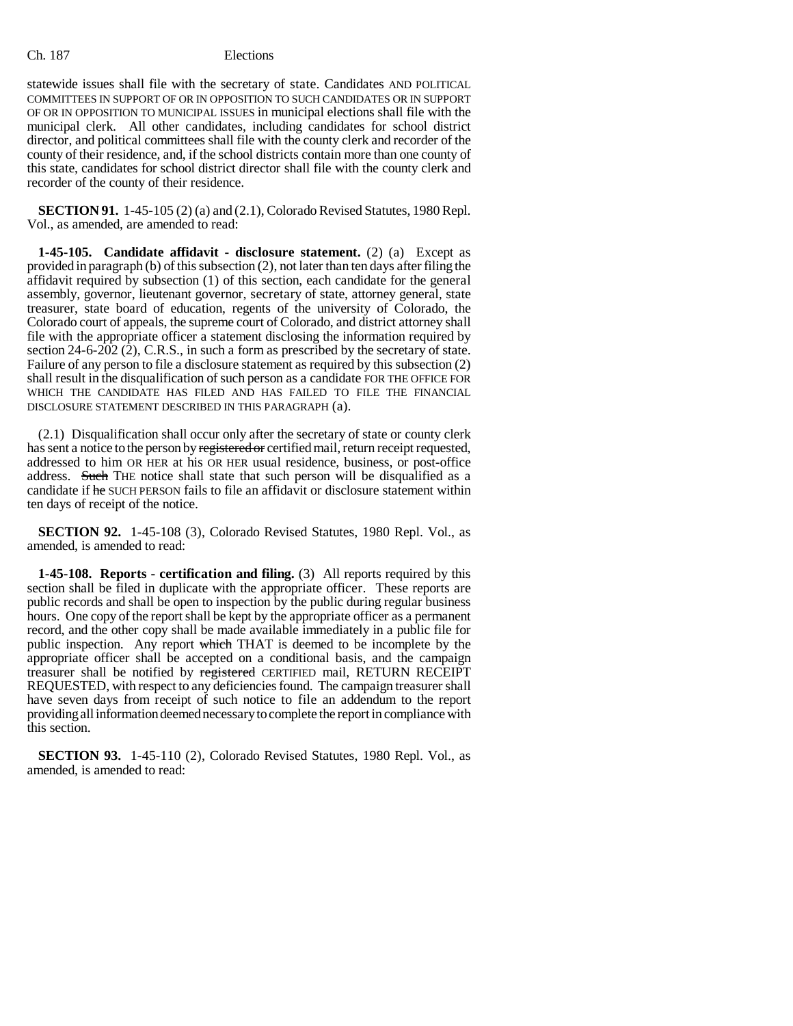statewide issues shall file with the secretary of state. Candidates AND POLITICAL COMMITTEES IN SUPPORT OF OR IN OPPOSITION TO SUCH CANDIDATES OR IN SUPPORT OF OR IN OPPOSITION TO MUNICIPAL ISSUES in municipal elections shall file with the municipal clerk. All other candidates, including candidates for school district director, and political committees shall file with the county clerk and recorder of the county of their residence, and, if the school districts contain more than one county of this state, candidates for school district director shall file with the county clerk and recorder of the county of their residence.

**SECTION 91.** 1-45-105 (2) (a) and (2.1), Colorado Revised Statutes, 1980 Repl. Vol., as amended, are amended to read:

**1-45-105. Candidate affidavit - disclosure statement.** (2) (a) Except as provided in paragraph (b) of this subsection  $(2)$ , not later than ten days after filing the affidavit required by subsection (1) of this section, each candidate for the general assembly, governor, lieutenant governor, secretary of state, attorney general, state treasurer, state board of education, regents of the university of Colorado, the Colorado court of appeals, the supreme court of Colorado, and district attorney shall file with the appropriate officer a statement disclosing the information required by section  $24-6-202$  (2), C.R.S., in such a form as prescribed by the secretary of state. Failure of any person to file a disclosure statement as required by this subsection (2) shall result in the disqualification of such person as a candidate FOR THE OFFICE FOR WHICH THE CANDIDATE HAS FILED AND HAS FAILED TO FILE THE FINANCIAL DISCLOSURE STATEMENT DESCRIBED IN THIS PARAGRAPH (a).

(2.1) Disqualification shall occur only after the secretary of state or county clerk has sent a notice to the person by registered or certified mail, return receipt requested, addressed to him OR HER at his OR HER usual residence, business, or post-office address. Such THE notice shall state that such person will be disqualified as a candidate if he SUCH PERSON fails to file an affidavit or disclosure statement within ten days of receipt of the notice.

**SECTION 92.** 1-45-108 (3), Colorado Revised Statutes, 1980 Repl. Vol., as amended, is amended to read:

**1-45-108. Reports - certification and filing.** (3) All reports required by this section shall be filed in duplicate with the appropriate officer. These reports are public records and shall be open to inspection by the public during regular business hours. One copy of the report shall be kept by the appropriate officer as a permanent record, and the other copy shall be made available immediately in a public file for public inspection. Any report which THAT is deemed to be incomplete by the appropriate officer shall be accepted on a conditional basis, and the campaign treasurer shall be notified by registered CERTIFIED mail, RETURN RECEIPT REQUESTED, with respect to any deficiencies found. The campaign treasurer shall have seven days from receipt of such notice to file an addendum to the report providing all information deemed necessary to complete the report in compliance with this section.

**SECTION 93.** 1-45-110 (2), Colorado Revised Statutes, 1980 Repl. Vol., as amended, is amended to read: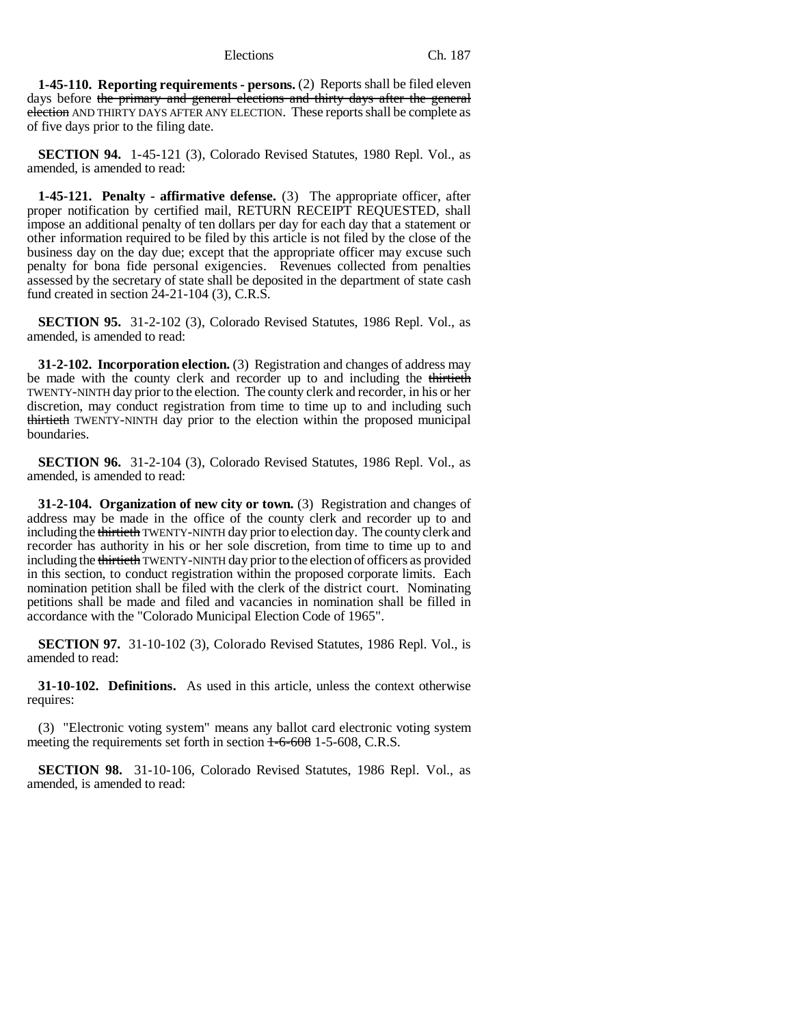**1-45-110. Reporting requirements - persons.** (2) Reports shall be filed eleven days before the primary and general elections and thirty days after the general election AND THIRTY DAYS AFTER ANY ELECTION. These reports shall be complete as of five days prior to the filing date.

**SECTION 94.** 1-45-121 (3), Colorado Revised Statutes, 1980 Repl. Vol., as amended, is amended to read:

**1-45-121. Penalty - affirmative defense.** (3) The appropriate officer, after proper notification by certified mail, RETURN RECEIPT REQUESTED, shall impose an additional penalty of ten dollars per day for each day that a statement or other information required to be filed by this article is not filed by the close of the business day on the day due; except that the appropriate officer may excuse such penalty for bona fide personal exigencies. Revenues collected from penalties assessed by the secretary of state shall be deposited in the department of state cash fund created in section 24-21-104 (3), C.R.S.

**SECTION 95.** 31-2-102 (3), Colorado Revised Statutes, 1986 Repl. Vol., as amended, is amended to read:

**31-2-102. Incorporation election.** (3) Registration and changes of address may be made with the county clerk and recorder up to and including the thirtieth TWENTY-NINTH day prior to the election. The county clerk and recorder, in his or her discretion, may conduct registration from time to time up to and including such thirtieth TWENTY-NINTH day prior to the election within the proposed municipal boundaries.

**SECTION 96.** 31-2-104 (3), Colorado Revised Statutes, 1986 Repl. Vol., as amended, is amended to read:

**31-2-104. Organization of new city or town.** (3) Registration and changes of address may be made in the office of the county clerk and recorder up to and including the thirtieth TWENTY-NINTH day prior to election day. The county clerk and recorder has authority in his or her sole discretion, from time to time up to and including the thirtieth TWENTY-NINTH day prior to the election of officers as provided in this section, to conduct registration within the proposed corporate limits. Each nomination petition shall be filed with the clerk of the district court. Nominating petitions shall be made and filed and vacancies in nomination shall be filled in accordance with the "Colorado Municipal Election Code of 1965".

**SECTION 97.** 31-10-102 (3), Colorado Revised Statutes, 1986 Repl. Vol., is amended to read:

**31-10-102. Definitions.** As used in this article, unless the context otherwise requires:

(3) "Electronic voting system" means any ballot card electronic voting system meeting the requirements set forth in section  $1-6-608$  1-5-608, C.R.S.

**SECTION 98.** 31-10-106, Colorado Revised Statutes, 1986 Repl. Vol., as amended, is amended to read: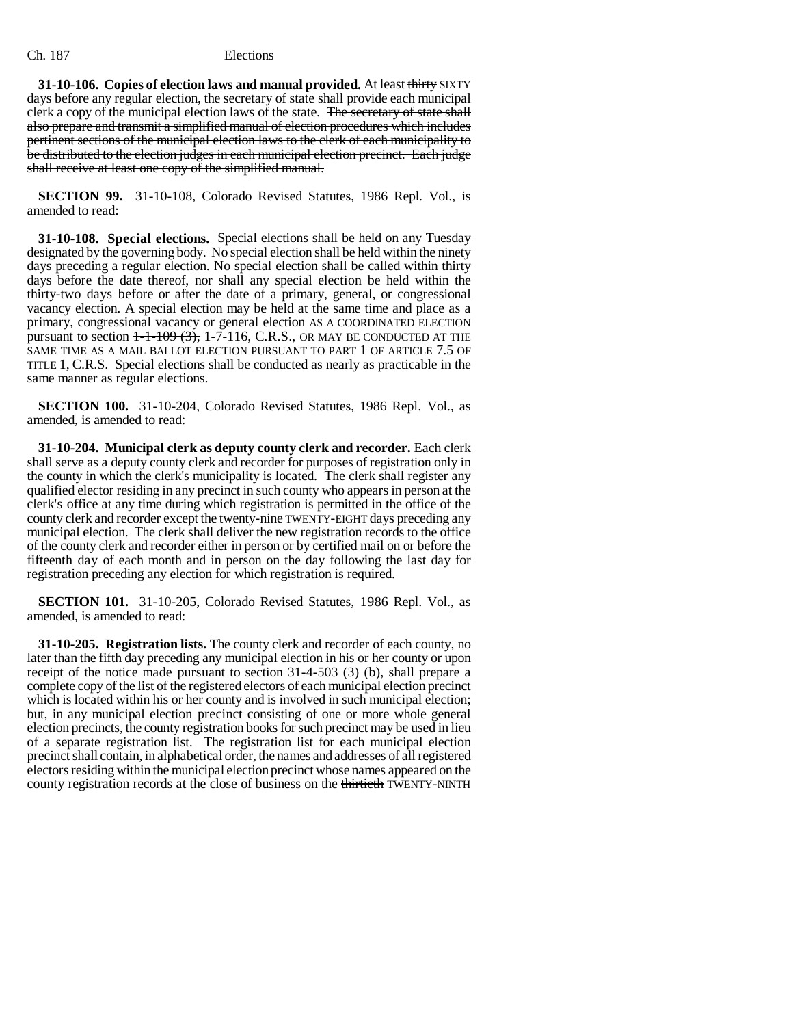**31-10-106. Copies of election laws and manual provided.** At least thirty SIXTY days before any regular election, the secretary of state shall provide each municipal clerk a copy of the municipal election laws of the state. The secretary of state shall also prepare and transmit a simplified manual of election procedures which includes pertinent sections of the municipal election laws to the clerk of each municipality to be distributed to the election judges in each municipal election precinct. Each judge shall receive at least one copy of the simplified manual.

**SECTION 99.** 31-10-108, Colorado Revised Statutes, 1986 Repl. Vol., is amended to read:

**31-10-108. Special elections.** Special elections shall be held on any Tuesday designated by the governing body. No special election shall be held within the ninety days preceding a regular election. No special election shall be called within thirty days before the date thereof, nor shall any special election be held within the thirty-two days before or after the date of a primary, general, or congressional vacancy election. A special election may be held at the same time and place as a primary, congressional vacancy or general election AS A COORDINATED ELECTION pursuant to section  $1-1-109$  (3), 1-7-116, C.R.S., OR MAY BE CONDUCTED AT THE SAME TIME AS A MAIL BALLOT ELECTION PURSUANT TO PART 1 OF ARTICLE 7.5 OF TITLE 1, C.R.S. Special elections shall be conducted as nearly as practicable in the same manner as regular elections.

**SECTION 100.** 31-10-204, Colorado Revised Statutes, 1986 Repl. Vol., as amended, is amended to read:

**31-10-204. Municipal clerk as deputy county clerk and recorder.** Each clerk shall serve as a deputy county clerk and recorder for purposes of registration only in the county in which the clerk's municipality is located. The clerk shall register any qualified elector residing in any precinct in such county who appears in person at the clerk's office at any time during which registration is permitted in the office of the county clerk and recorder except the twenty-nine TWENTY-EIGHT days preceding any municipal election. The clerk shall deliver the new registration records to the office of the county clerk and recorder either in person or by certified mail on or before the fifteenth day of each month and in person on the day following the last day for registration preceding any election for which registration is required.

**SECTION 101.** 31-10-205, Colorado Revised Statutes, 1986 Repl. Vol., as amended, is amended to read:

**31-10-205. Registration lists.** The county clerk and recorder of each county, no later than the fifth day preceding any municipal election in his or her county or upon receipt of the notice made pursuant to section 31-4-503 (3) (b), shall prepare a complete copy of the list of the registered electors of each municipal election precinct which is located within his or her county and is involved in such municipal election; but, in any municipal election precinct consisting of one or more whole general election precincts, the county registration books for such precinct may be used in lieu of a separate registration list. The registration list for each municipal election precinct shall contain, in alphabetical order, the names and addresses of all registered electors residing within the municipal election precinct whose names appeared on the county registration records at the close of business on the thirtieth TWENTY-NINTH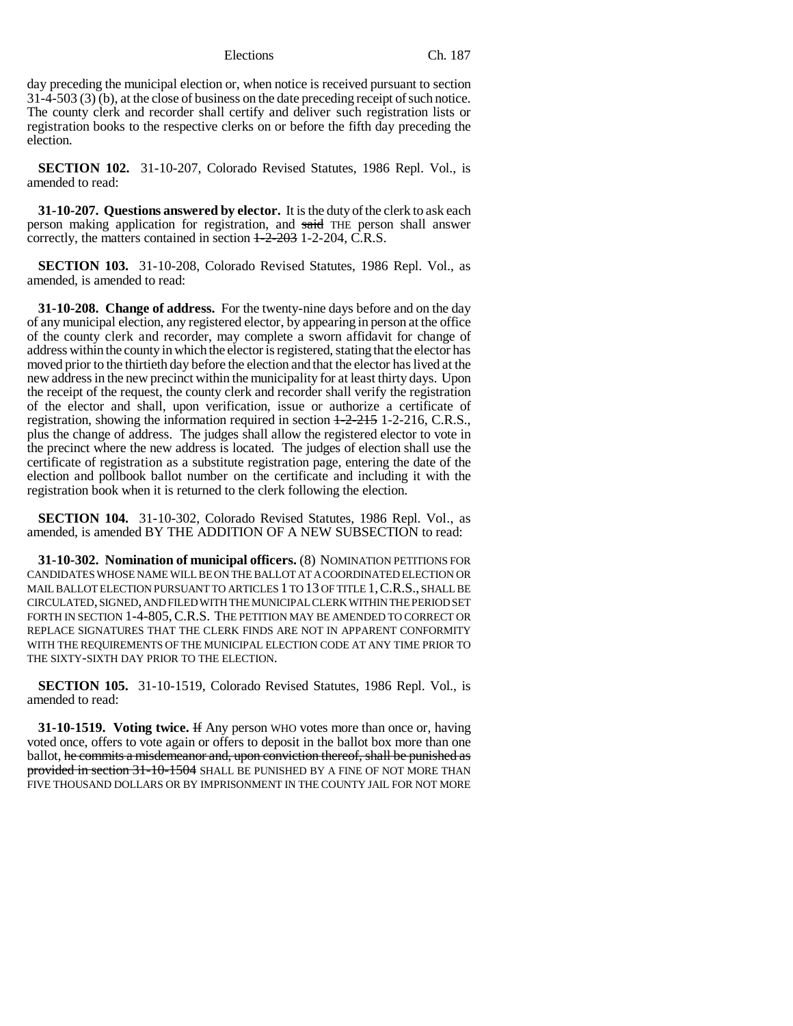day preceding the municipal election or, when notice is received pursuant to section 31-4-503 (3) (b), at the close of business on the date preceding receipt of such notice. The county clerk and recorder shall certify and deliver such registration lists or registration books to the respective clerks on or before the fifth day preceding the election.

**SECTION 102.** 31-10-207, Colorado Revised Statutes, 1986 Repl. Vol., is amended to read:

**31-10-207. Questions answered by elector.** It is the duty of the clerk to ask each person making application for registration, and said THE person shall answer correctly, the matters contained in section  $\frac{1-2-203}{2}$  1-2-204, C.R.S.

**SECTION 103.** 31-10-208, Colorado Revised Statutes, 1986 Repl. Vol., as amended, is amended to read:

**31-10-208. Change of address.** For the twenty-nine days before and on the day of any municipal election, any registered elector, by appearing in person at the office of the county clerk and recorder, may complete a sworn affidavit for change of address within the county in which the elector is registered, stating that the elector has moved prior to the thirtieth day before the election and that the elector has lived at the new address in the new precinct within the municipality for at least thirty days. Upon the receipt of the request, the county clerk and recorder shall verify the registration of the elector and shall, upon verification, issue or authorize a certificate of registration, showing the information required in section  $+\frac{2-215}{1-2-216}$ , C.R.S., plus the change of address. The judges shall allow the registered elector to vote in the precinct where the new address is located. The judges of election shall use the certificate of registration as a substitute registration page, entering the date of the election and pollbook ballot number on the certificate and including it with the registration book when it is returned to the clerk following the election.

**SECTION 104.** 31-10-302, Colorado Revised Statutes, 1986 Repl. Vol., as amended, is amended BY THE ADDITION OF A NEW SUBSECTION to read:

**31-10-302. Nomination of municipal officers.** (8) NOMINATION PETITIONS FOR CANDIDATES WHOSE NAME WILL BE ON THE BALLOT AT A COORDINATED ELECTION OR MAIL BALLOT ELECTION PURSUANT TO ARTICLES 1 TO 13 OF TITLE 1,C.R.S., SHALL BE CIRCULATED, SIGNED, AND FILED WITH THE MUNICIPAL CLERK WITHIN THE PERIOD SET FORTH IN SECTION 1-4-805,C.R.S. THE PETITION MAY BE AMENDED TO CORRECT OR REPLACE SIGNATURES THAT THE CLERK FINDS ARE NOT IN APPARENT CONFORMITY WITH THE REQUIREMENTS OF THE MUNICIPAL ELECTION CODE AT ANY TIME PRIOR TO THE SIXTY-SIXTH DAY PRIOR TO THE ELECTION.

**SECTION 105.** 31-10-1519, Colorado Revised Statutes, 1986 Repl. Vol., is amended to read:

**31-10-1519. Voting twice.** If Any person WHO votes more than once or, having voted once, offers to vote again or offers to deposit in the ballot box more than one ballot, he commits a misdemeanor and, upon conviction thereof, shall be punished as provided in section 31-10-1504 SHALL BE PUNISHED BY A FINE OF NOT MORE THAN FIVE THOUSAND DOLLARS OR BY IMPRISONMENT IN THE COUNTY JAIL FOR NOT MORE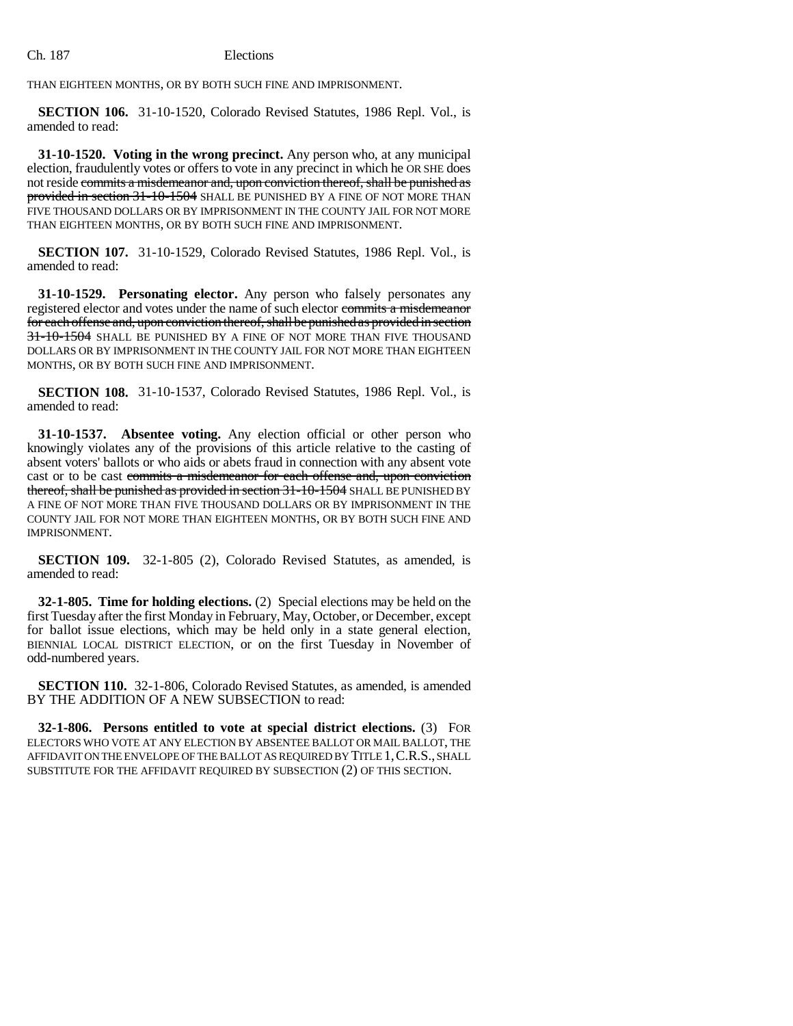THAN EIGHTEEN MONTHS, OR BY BOTH SUCH FINE AND IMPRISONMENT.

**SECTION 106.** 31-10-1520, Colorado Revised Statutes, 1986 Repl. Vol., is amended to read:

**31-10-1520. Voting in the wrong precinct.** Any person who, at any municipal election, fraudulently votes or offers to vote in any precinct in which he OR SHE does not reside commits a misdemeanor and, upon conviction thereof, shall be punished as provided in section 31-10-1504 SHALL BE PUNISHED BY A FINE OF NOT MORE THAN FIVE THOUSAND DOLLARS OR BY IMPRISONMENT IN THE COUNTY JAIL FOR NOT MORE THAN EIGHTEEN MONTHS, OR BY BOTH SUCH FINE AND IMPRISONMENT.

**SECTION 107.** 31-10-1529, Colorado Revised Statutes, 1986 Repl. Vol., is amended to read:

**31-10-1529. Personating elector.** Any person who falsely personates any registered elector and votes under the name of such elector commits a misdemeanor for each offense and, upon conviction thereof, shall be punished as provided in section 31-10-1504 SHALL BE PUNISHED BY A FINE OF NOT MORE THAN FIVE THOUSAND DOLLARS OR BY IMPRISONMENT IN THE COUNTY JAIL FOR NOT MORE THAN EIGHTEEN MONTHS, OR BY BOTH SUCH FINE AND IMPRISONMENT.

**SECTION 108.** 31-10-1537, Colorado Revised Statutes, 1986 Repl. Vol., is amended to read:

**31-10-1537. Absentee voting.** Any election official or other person who knowingly violates any of the provisions of this article relative to the casting of absent voters' ballots or who aids or abets fraud in connection with any absent vote cast or to be cast commits a misdemeanor for each offense and, upon conviction thereof, shall be punished as provided in section 31-10-1504 SHALL BE PUNISHED BY A FINE OF NOT MORE THAN FIVE THOUSAND DOLLARS OR BY IMPRISONMENT IN THE COUNTY JAIL FOR NOT MORE THAN EIGHTEEN MONTHS, OR BY BOTH SUCH FINE AND IMPRISONMENT.

**SECTION 109.** 32-1-805 (2), Colorado Revised Statutes, as amended, is amended to read:

**32-1-805. Time for holding elections.** (2) Special elections may be held on the first Tuesday after the first Monday in February, May, October, or December, except for ballot issue elections, which may be held only in a state general election, BIENNIAL LOCAL DISTRICT ELECTION, or on the first Tuesday in November of odd-numbered years.

**SECTION 110.** 32-1-806, Colorado Revised Statutes, as amended, is amended BY THE ADDITION OF A NEW SUBSECTION to read:

**32-1-806. Persons entitled to vote at special district elections.** (3) FOR ELECTORS WHO VOTE AT ANY ELECTION BY ABSENTEE BALLOT OR MAIL BALLOT, THE AFFIDAVIT ON THE ENVELOPE OF THE BALLOT AS REQUIRED BY TITLE 1,C.R.S., SHALL SUBSTITUTE FOR THE AFFIDAVIT REQUIRED BY SUBSECTION (2) OF THIS SECTION.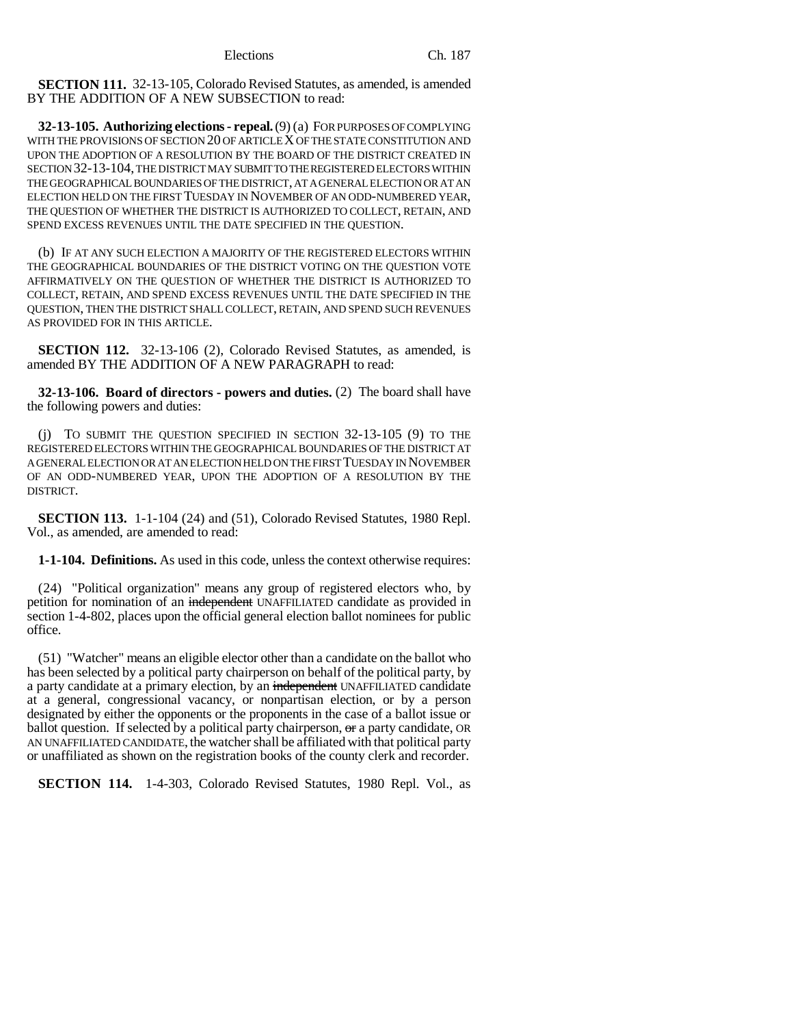**SECTION 111.** 32-13-105, Colorado Revised Statutes, as amended, is amended BY THE ADDITION OF A NEW SUBSECTION to read:

**32-13-105. Authorizing elections - repeal.** (9) (a) FOR PURPOSES OF COMPLYING WITH THE PROVISIONS OF SECTION 20 OF ARTICLE X OF THE STATE CONSTITUTION AND UPON THE ADOPTION OF A RESOLUTION BY THE BOARD OF THE DISTRICT CREATED IN SECTION 32-13-104, THE DISTRICT MAY SUBMIT TO THE REGISTERED ELECTORS WITHIN THE GEOGRAPHICAL BOUNDARIES OF THE DISTRICT, AT A GENERAL ELECTION OR AT AN ELECTION HELD ON THE FIRST TUESDAY IN NOVEMBER OF AN ODD-NUMBERED YEAR, THE QUESTION OF WHETHER THE DISTRICT IS AUTHORIZED TO COLLECT, RETAIN, AND SPEND EXCESS REVENUES UNTIL THE DATE SPECIFIED IN THE QUESTION.

(b) IF AT ANY SUCH ELECTION A MAJORITY OF THE REGISTERED ELECTORS WITHIN THE GEOGRAPHICAL BOUNDARIES OF THE DISTRICT VOTING ON THE QUESTION VOTE AFFIRMATIVELY ON THE QUESTION OF WHETHER THE DISTRICT IS AUTHORIZED TO COLLECT, RETAIN, AND SPEND EXCESS REVENUES UNTIL THE DATE SPECIFIED IN THE QUESTION, THEN THE DISTRICT SHALL COLLECT, RETAIN, AND SPEND SUCH REVENUES AS PROVIDED FOR IN THIS ARTICLE.

**SECTION 112.** 32-13-106 (2), Colorado Revised Statutes, as amended, is amended BY THE ADDITION OF A NEW PARAGRAPH to read:

**32-13-106. Board of directors - powers and duties.** (2) The board shall have the following powers and duties:

(j) TO SUBMIT THE QUESTION SPECIFIED IN SECTION 32-13-105 (9) TO THE REGISTERED ELECTORS WITHIN THE GEOGRAPHICAL BOUNDARIES OF THE DISTRICT AT A GENERAL ELECTION OR AT AN ELECTION HELD ON THE FIRST TUESDAY IN NOVEMBER OF AN ODD-NUMBERED YEAR, UPON THE ADOPTION OF A RESOLUTION BY THE DISTRICT.

**SECTION 113.** 1-1-104 (24) and (51), Colorado Revised Statutes, 1980 Repl. Vol., as amended, are amended to read:

**1-1-104. Definitions.** As used in this code, unless the context otherwise requires:

(24) "Political organization" means any group of registered electors who, by petition for nomination of an independent UNAFFILIATED candidate as provided in section 1-4-802, places upon the official general election ballot nominees for public office.

(51) "Watcher" means an eligible elector other than a candidate on the ballot who has been selected by a political party chairperson on behalf of the political party, by a party candidate at a primary election, by an independent UNAFFILIATED candidate at a general, congressional vacancy, or nonpartisan election, or by a person designated by either the opponents or the proponents in the case of a ballot issue or ballot question. If selected by a political party chairperson,  $\Theta$  a party candidate, OR AN UNAFFILIATED CANDIDATE, the watcher shall be affiliated with that political party or unaffiliated as shown on the registration books of the county clerk and recorder.

**SECTION 114.** 1-4-303, Colorado Revised Statutes, 1980 Repl. Vol., as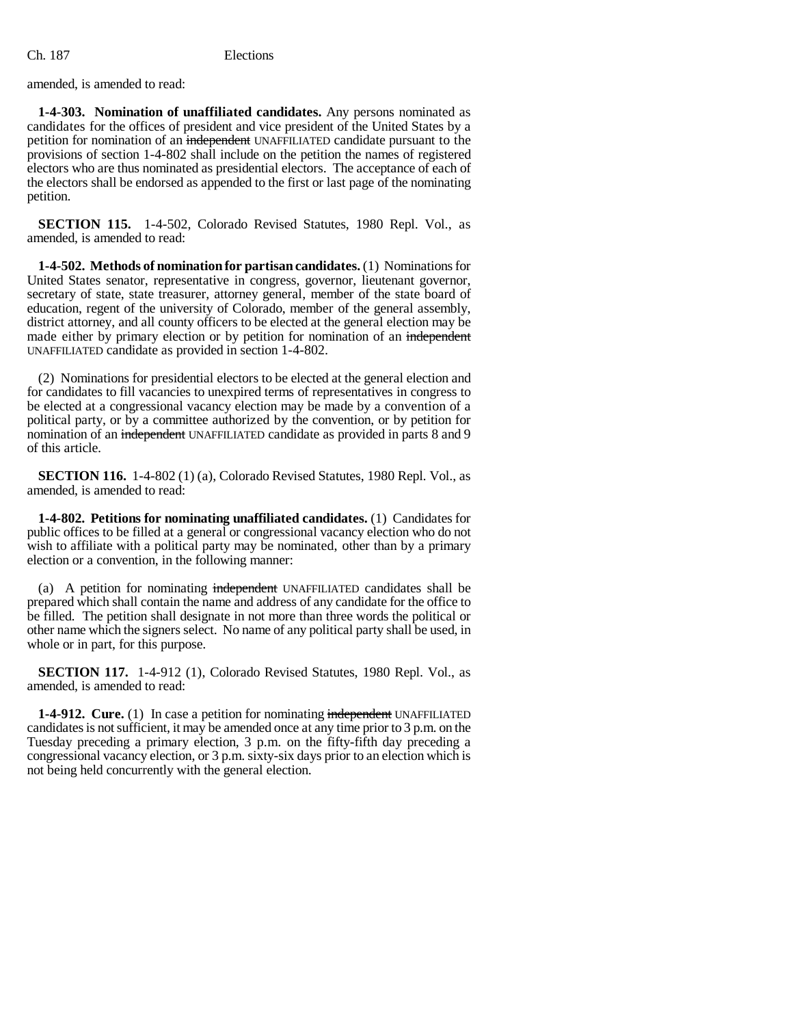amended, is amended to read:

**1-4-303. Nomination of unaffiliated candidates.** Any persons nominated as candidates for the offices of president and vice president of the United States by a petition for nomination of an independent UNAFFILIATED candidate pursuant to the provisions of section 1-4-802 shall include on the petition the names of registered electors who are thus nominated as presidential electors. The acceptance of each of the electors shall be endorsed as appended to the first or last page of the nominating petition.

**SECTION 115.** 1-4-502, Colorado Revised Statutes, 1980 Repl. Vol., as amended, is amended to read:

**1-4-502. Methods of nomination for partisan candidates.** (1) Nominations for United States senator, representative in congress, governor, lieutenant governor, secretary of state, state treasurer, attorney general, member of the state board of education, regent of the university of Colorado, member of the general assembly, district attorney, and all county officers to be elected at the general election may be made either by primary election or by petition for nomination of an independent UNAFFILIATED candidate as provided in section 1-4-802.

(2) Nominations for presidential electors to be elected at the general election and for candidates to fill vacancies to unexpired terms of representatives in congress to be elected at a congressional vacancy election may be made by a convention of a political party, or by a committee authorized by the convention, or by petition for nomination of an independent UNAFFILIATED candidate as provided in parts 8 and 9 of this article.

**SECTION 116.** 1-4-802 (1) (a), Colorado Revised Statutes, 1980 Repl. Vol., as amended, is amended to read:

**1-4-802. Petitions for nominating unaffiliated candidates.** (1) Candidates for public offices to be filled at a general or congressional vacancy election who do not wish to affiliate with a political party may be nominated, other than by a primary election or a convention, in the following manner:

(a) A petition for nominating independent UNAFFILIATED candidates shall be prepared which shall contain the name and address of any candidate for the office to be filled. The petition shall designate in not more than three words the political or other name which the signers select. No name of any political party shall be used, in whole or in part, for this purpose.

**SECTION 117.** 1-4-912 (1), Colorado Revised Statutes, 1980 Repl. Vol., as amended, is amended to read:

**1-4-912. Cure.** (1) In case a petition for nominating independent UNAFFILIATED candidates is not sufficient, it may be amended once at any time prior to 3 p.m. on the Tuesday preceding a primary election, 3 p.m. on the fifty-fifth day preceding a congressional vacancy election, or 3 p.m. sixty-six days prior to an election which is not being held concurrently with the general election.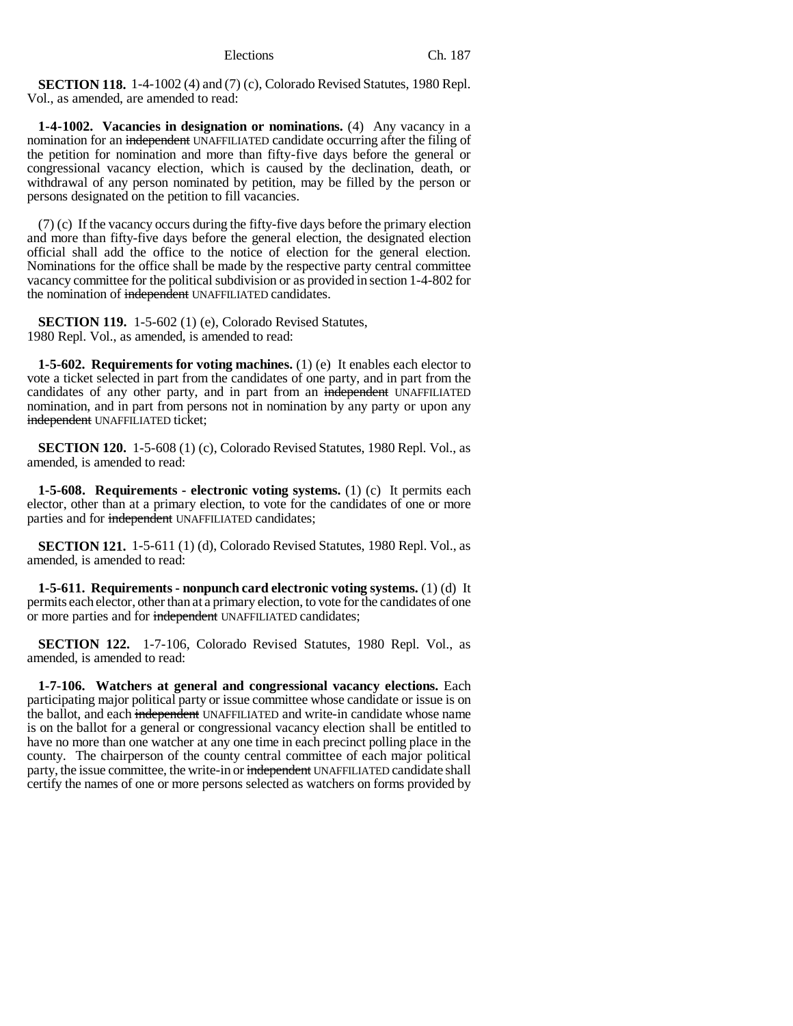**SECTION 118.** 1-4-1002 (4) and (7) (c), Colorado Revised Statutes, 1980 Repl. Vol., as amended, are amended to read:

**1-4-1002. Vacancies in designation or nominations.** (4) Any vacancy in a nomination for an independent UNAFFILIATED candidate occurring after the filing of the petition for nomination and more than fifty-five days before the general or congressional vacancy election, which is caused by the declination, death, or withdrawal of any person nominated by petition, may be filled by the person or persons designated on the petition to fill vacancies.

(7) (c) If the vacancy occurs during the fifty-five days before the primary election and more than fifty-five days before the general election, the designated election official shall add the office to the notice of election for the general election. Nominations for the office shall be made by the respective party central committee vacancy committee for the political subdivision or as provided in section 1-4-802 for the nomination of independent UNAFFILIATED candidates.

**SECTION 119.** 1-5-602 (1) (e), Colorado Revised Statutes, 1980 Repl. Vol., as amended, is amended to read:

**1-5-602. Requirements for voting machines.** (1) (e) It enables each elector to vote a ticket selected in part from the candidates of one party, and in part from the candidates of any other party, and in part from an independent UNAFFILIATED nomination, and in part from persons not in nomination by any party or upon any independent UNAFFILIATED ticket;

**SECTION 120.** 1-5-608 (1) (c), Colorado Revised Statutes, 1980 Repl. Vol., as amended, is amended to read:

**1-5-608. Requirements - electronic voting systems.** (1) (c) It permits each elector, other than at a primary election, to vote for the candidates of one or more parties and for independent UNAFFILIATED candidates;

**SECTION 121.** 1-5-611 (1) (d), Colorado Revised Statutes, 1980 Repl. Vol., as amended, is amended to read:

**1-5-611. Requirements - nonpunch card electronic voting systems.** (1) (d) It permits each elector, other than at a primary election, to vote for the candidates of one or more parties and for independent UNAFFILIATED candidates;

**SECTION 122.** 1-7-106, Colorado Revised Statutes, 1980 Repl. Vol., as amended, is amended to read:

**1-7-106. Watchers at general and congressional vacancy elections.** Each participating major political party or issue committee whose candidate or issue is on the ballot, and each independent UNAFFILIATED and write-in candidate whose name is on the ballot for a general or congressional vacancy election shall be entitled to have no more than one watcher at any one time in each precinct polling place in the county. The chairperson of the county central committee of each major political party, the issue committee, the write-in or independent UNAFFILIATED candidate shall certify the names of one or more persons selected as watchers on forms provided by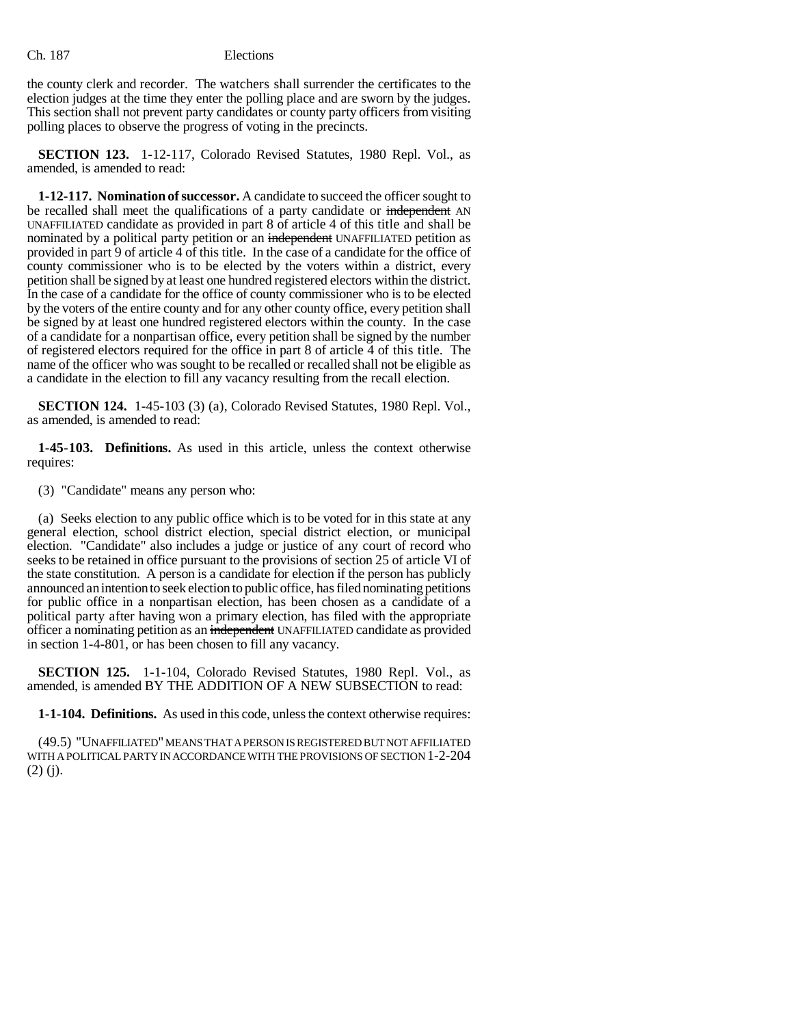the county clerk and recorder. The watchers shall surrender the certificates to the election judges at the time they enter the polling place and are sworn by the judges. This section shall not prevent party candidates or county party officers from visiting polling places to observe the progress of voting in the precincts.

**SECTION 123.** 1-12-117, Colorado Revised Statutes, 1980 Repl. Vol., as amended, is amended to read:

**1-12-117. Nomination of successor.** A candidate to succeed the officer sought to be recalled shall meet the qualifications of a party candidate or independent AN UNAFFILIATED candidate as provided in part 8 of article 4 of this title and shall be nominated by a political party petition or an independent UNAFFILIATED petition as provided in part 9 of article 4 of this title. In the case of a candidate for the office of county commissioner who is to be elected by the voters within a district, every petition shall be signed by at least one hundred registered electors within the district. In the case of a candidate for the office of county commissioner who is to be elected by the voters of the entire county and for any other county office, every petition shall be signed by at least one hundred registered electors within the county. In the case of a candidate for a nonpartisan office, every petition shall be signed by the number of registered electors required for the office in part 8 of article 4 of this title. The name of the officer who was sought to be recalled or recalled shall not be eligible as a candidate in the election to fill any vacancy resulting from the recall election.

**SECTION 124.** 1-45-103 (3) (a), Colorado Revised Statutes, 1980 Repl. Vol., as amended, is amended to read:

**1-45-103. Definitions.** As used in this article, unless the context otherwise requires:

(3) "Candidate" means any person who:

(a) Seeks election to any public office which is to be voted for in this state at any general election, school district election, special district election, or municipal election. "Candidate" also includes a judge or justice of any court of record who seeks to be retained in office pursuant to the provisions of section 25 of article VI of the state constitution. A person is a candidate for election if the person has publicly announced an intention to seek election to public office, has filed nominating petitions for public office in a nonpartisan election, has been chosen as a candidate of a political party after having won a primary election, has filed with the appropriate officer a nominating petition as an independent UNAFFILIATED candidate as provided in section 1-4-801, or has been chosen to fill any vacancy.

**SECTION 125.** 1-1-104, Colorado Revised Statutes, 1980 Repl. Vol., as amended, is amended BY THE ADDITION OF A NEW SUBSECTION to read:

**1-1-104. Definitions.** As used in this code, unless the context otherwise requires:

(49.5) "UNAFFILIATED" MEANS THAT A PERSON IS REGISTERED BUT NOT AFFILIATED WITH A POLITICAL PARTY IN ACCORDANCE WITH THE PROVISIONS OF SECTION 1-2-204 (2) (j).